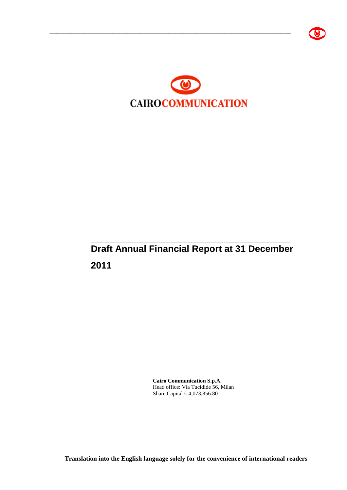



# \_\_\_\_\_\_\_\_\_\_\_\_\_\_\_\_\_\_\_\_\_\_\_\_\_\_\_\_\_\_\_\_\_\_\_\_\_\_\_\_\_\_\_\_\_\_\_\_\_\_\_\_\_\_\_\_\_ **Draft Annual Financial Report at 31 December 2011**

**Cairo Communication S.p.A.**  Head office: Via Tucidide 56, Milan Share Capital € 4,073,856.80

**Translation into the English language solely for the convenience of international readers**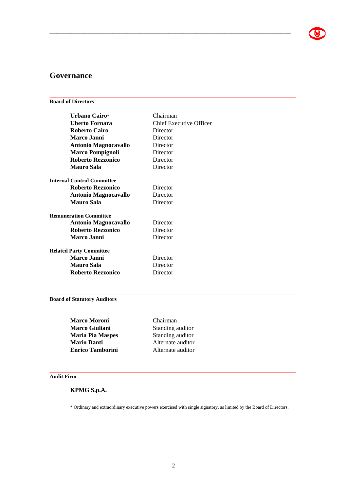## **Governance**

#### **Board of Directors**

| Urbano Cairo*                     | Chairman                       |
|-----------------------------------|--------------------------------|
| Uberto Fornara                    | <b>Chief Executive Officer</b> |
| <b>Roberto Cairo</b>              | Director                       |
| Marco Janni                       | Director                       |
| <b>Antonio Magnocavallo</b>       | Director                       |
| <b>Marco Pompignoli</b>           | Director                       |
| <b>Roberto Rezzonico</b>          | Director                       |
| <b>Mauro Sala</b>                 | Director                       |
| <b>Internal Control Committee</b> |                                |
| <b>Roberto Rezzonico</b>          | Director                       |
| <b>Antonio Magnocavallo</b>       | Director                       |
| <b>Mauro Sala</b>                 | Director                       |
| <b>Remuneration Committee</b>     |                                |
| <b>Antonio Magnocavallo</b>       | Director                       |
| <b>Roberto Rezzonico</b>          | Director                       |
| <b>Marco Janni</b>                | Director                       |
| <b>Related Party Committee</b>    |                                |
| Marco Janni                       | Director                       |
| <b>Mauro Sala</b>                 | Director                       |
| <b>Roberto Rezzonico</b>          | Director                       |

\_\_\_\_\_\_\_\_\_\_\_\_\_\_\_\_\_\_\_\_\_\_\_\_\_\_\_\_\_\_\_\_\_\_\_\_\_\_\_\_\_\_\_\_\_\_\_\_\_\_\_\_\_\_\_\_\_\_\_\_\_\_\_\_\_\_\_\_\_

**\_\_\_\_\_\_\_\_\_\_\_\_\_\_\_\_\_\_\_\_\_\_\_\_\_\_\_\_\_\_\_\_\_\_\_\_\_\_\_\_\_\_\_\_\_\_\_\_\_\_\_\_\_\_\_\_\_\_\_\_\_\_\_\_\_\_\_\_\_\_\_\_\_\_\_\_\_\_\_\_\_\_\_\_\_\_\_\_** 

#### **Board of Statutory Auditors**

| <b>Marco Moroni</b>     | Chairman          |  |
|-------------------------|-------------------|--|
| <b>Marco Giuliani</b>   | Standing auditor  |  |
| <b>Maria Pia Maspes</b> | Standing auditor  |  |
| <b>Mario Danti</b>      | Alternate auditor |  |
| <b>Enrico Tamborini</b> | Alternate auditor |  |
|                         |                   |  |

#### **Audit Firm**

### **KPMG S.p.A.**

\* Ordinary and extraordinary executive powers exercised with single signatory, as limited by the Board of Directors.

**\_\_\_\_\_\_\_\_\_\_\_\_\_\_\_\_\_\_\_\_\_\_\_\_\_\_\_\_\_\_\_\_\_\_\_\_\_\_\_\_\_\_\_\_\_\_\_\_\_\_\_\_\_\_\_\_\_\_\_\_\_\_\_\_\_\_\_\_\_\_\_\_\_\_\_\_\_\_\_\_\_\_\_\_\_\_\_\_** 

**\_\_\_\_\_\_\_\_\_\_\_\_\_\_\_\_\_\_\_\_\_\_\_\_\_\_\_\_\_\_\_\_\_\_\_\_\_\_\_\_\_\_\_\_\_\_\_\_\_\_\_\_\_\_\_\_\_\_\_\_\_\_\_\_\_\_\_\_\_\_\_\_\_\_\_\_\_\_\_\_\_\_\_\_\_\_\_\_**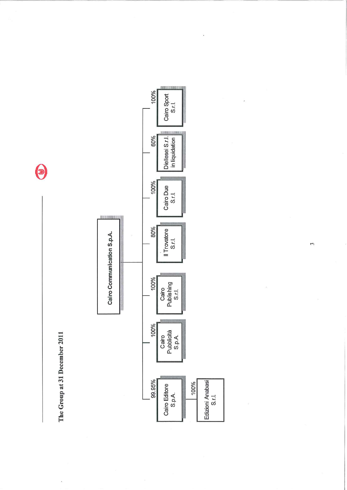The Group at 31 December 2011

 $\bar{\mathcal{A}}$ 

 $\bigcirc$ 



 $\mathfrak{c}$ 

ś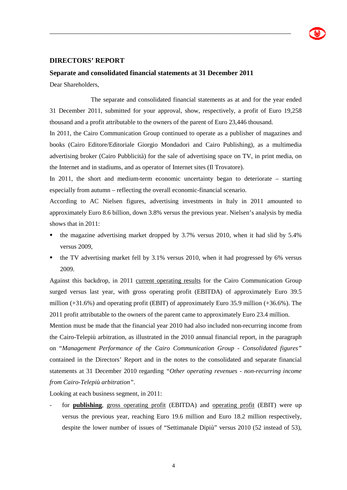

#### **DIRECTORS' REPORT**

#### **Separate and consolidated financial statements at 31 December 2011**

Dear Shareholders,

 The separate and consolidated financial statements as at and for the year ended 31 December 2011, submitted for your approval, show, respectively, a profit of Euro 19,258 thousand and a profit attributable to the owners of the parent of Euro 23,446 thousand.

\_\_\_\_\_\_\_\_\_\_\_\_\_\_\_\_\_\_\_\_\_\_\_\_\_\_\_\_\_\_\_\_\_\_\_\_\_\_\_\_\_\_\_\_\_\_\_\_\_\_\_\_\_\_\_\_\_\_\_\_\_\_\_\_\_\_\_\_\_

In 2011, the Cairo Communication Group continued to operate as a publisher of magazines and books (Cairo Editore/Editoriale Giorgio Mondadori and Cairo Publishing), as a multimedia advertising broker (Cairo Pubblicità) for the sale of advertising space on TV, in print media, on the Internet and in stadiums, and as operator of Internet sites (Il Trovatore).

In 2011, the short and medium-term economic uncertainty began to deteriorate – starting especially from autumn – reflecting the overall economic-financial scenario.

According to AC Nielsen figures, advertising investments in Italy in 2011 amounted to approximately Euro 8.6 billion, down 3.8% versus the previous year. Nielsen's analysis by media shows that in 2011:

- the magazine advertising market dropped by 3.7% versus 2010, when it had slid by 5.4% versus 2009,
- $\bullet$  the TV advertising market fell by 3.1% versus 2010, when it had progressed by 6% versus 2009.

Against this backdrop, in 2011 current operating results for the Cairo Communication Group surged versus last year, with gross operating profit (EBITDA) of approximately Euro 39.5 million (+31.6%) and operating profit (EBIT) of approximately Euro 35.9 million (+36.6%). The 2011 profit attributable to the owners of the parent came to approximately Euro 23.4 million.

Mention must be made that the financial year 2010 had also included non-recurring income from the Cairo-Telepiù arbitration, as illustrated in the 2010 annual financial report, in the paragraph on "*Management Performance of the Cairo Communication Group - Consolidated figures"*  contained in the Directors' Report and in the notes to the consolidated and separate financial statements at 31 December 2010 regarding *"Other operating revenues - non-recurring income from Cairo-Telepiù arbitration"*.

Looking at each business segment, in 2011:

- for **publishing**, gross operating profit (EBITDA) and operating profit (EBIT) were up versus the previous year, reaching Euro 19.6 million and Euro 18.2 million respectively, despite the lower number of issues of "Settimanale Dipiù" versus 2010 (52 instead of 53),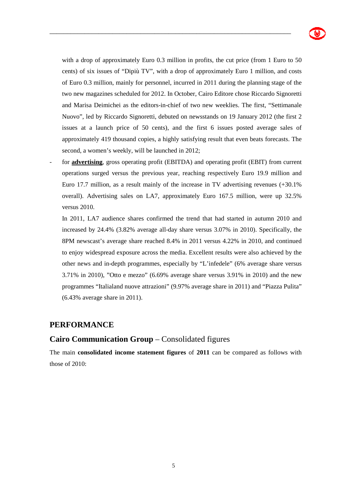

with a drop of approximately Euro 0.3 million in profits, the cut price (from 1 Euro to 50 cents) of six issues of "Dipiù TV", with a drop of approximately Euro 1 million, and costs of Euro 0.3 million, mainly for personnel, incurred in 2011 during the planning stage of the two new magazines scheduled for 2012. In October, Cairo Editore chose Riccardo Signoretti and Marisa Deimichei as the editors-in-chief of two new weeklies. The first, "Settimanale Nuovo", led by Riccardo Signoretti, debuted on newsstands on 19 January 2012 (the first 2 issues at a launch price of 50 cents), and the first 6 issues posted average sales of approximately 419 thousand copies, a highly satisfying result that even beats forecasts. The second, a women's weekly, will be launched in 2012;

\_\_\_\_\_\_\_\_\_\_\_\_\_\_\_\_\_\_\_\_\_\_\_\_\_\_\_\_\_\_\_\_\_\_\_\_\_\_\_\_\_\_\_\_\_\_\_\_\_\_\_\_\_\_\_\_\_\_\_\_\_\_\_\_\_\_\_\_\_

for **advertising**, gross operating profit (EBITDA) and operating profit (EBIT) from current operations surged versus the previous year, reaching respectively Euro 19.9 million and Euro 17.7 million, as a result mainly of the increase in TV advertising revenues (+30.1% overall). Advertising sales on LA7, approximately Euro 167.5 million, were up 32.5% versus 2010.

In 2011, LA7 audience shares confirmed the trend that had started in autumn 2010 and increased by 24.4% (3.82% average all-day share versus 3.07% in 2010). Specifically, the 8PM newscast's average share reached 8.4% in 2011 versus 4.22% in 2010, and continued to enjoy widespread exposure across the media. Excellent results were also achieved by the other news and in-depth programmes, especially by "L'infedele" (6% average share versus 3.71% in 2010), "Otto e mezzo" (6.69% average share versus 3.91% in 2010) and the new programmes "Italialand nuove attrazioni" (9.97% average share in 2011) and "Piazza Pulita" (6.43% average share in 2011).

### **PERFORMANCE**

## **Cairo Communication Group** – Consolidated figures

The main **consolidated income statement figures** of **2011** can be compared as follows with those of 2010: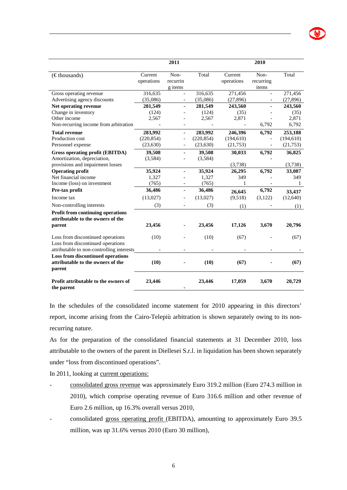|                                                                                         |                       | 2011                        |            |                       | 2010                       |            |
|-----------------------------------------------------------------------------------------|-----------------------|-----------------------------|------------|-----------------------|----------------------------|------------|
| $(\epsilon$ thousands)                                                                  | Current<br>operations | Non-<br>recurrin<br>g items | Total      | Current<br>operations | Non-<br>recurring<br>items | Total      |
| Gross operating revenue                                                                 | 316,635               |                             | 316,635    | 271,456               |                            | 271,456    |
| Advertising agency discounts                                                            | (35,086)              |                             | (35,086)   | (27, 896)             |                            | (27, 896)  |
| Net operating revenue                                                                   | 281,549               |                             | 281,549    | 243,560               |                            | 243,560    |
| Change in inventory                                                                     | (124)                 |                             | (124)      | (35)                  |                            | (35)       |
| Other income                                                                            | 2,567                 |                             | 2,567      | 2,871                 |                            | 2,871      |
| Non-recurring income from arbitration                                                   |                       |                             |            |                       | 6,792                      | 6,792      |
| <b>Total revenue</b>                                                                    | 283,992               | ä,                          | 283,992    | 246,396               | 6,792                      | 253,188    |
| Production cost                                                                         | (220, 854)            |                             | (220, 854) | (194, 610)            |                            | (194, 610) |
| Personnel expense                                                                       | (23, 630)             |                             | (23, 630)  | (21,753)              |                            | (21,753)   |
| Gross operating profit (EBITDA)                                                         | 39,508                |                             | 39,508     | 30,033                | 6,792                      | 36,825     |
| Amortization, depreciation,                                                             | (3,584)               |                             | (3,584)    |                       |                            |            |
| provisions and impairment losses                                                        |                       |                             |            | (3,738)               |                            | (3,738)    |
| <b>Operating profit</b>                                                                 | 35,924                |                             | 35,924     | 26,295                | 6,792                      | 33,087     |
| Net financial income                                                                    | 1,327                 |                             | 1,327      | 349                   |                            | 349        |
| Income (loss) on investment                                                             | (765)                 |                             | (765)      |                       |                            | 1          |
| Pre-tax profit                                                                          | 36,486                | ä,                          | 36,486     | 26,645                | 6,792                      | 33,437     |
| Income tax                                                                              | (13,027)              |                             | (13,027)   | (9,518)               | (3,122)                    | (12,640)   |
| Non-controlling interests                                                               | (3)                   |                             | (3)        | (1)                   |                            | (1)        |
| <b>Profit from continuing operations</b><br>attributable to the owners of the           |                       |                             |            |                       |                            |            |
| parent                                                                                  | 23,456                |                             | 23,456     | 17,126                | 3,670                      | 20,796     |
| Loss from discontinued operations<br>Loss from discontinued operations                  | (10)                  |                             | (10)       | (67)                  |                            | (67)       |
| attributable to non-controlling interests                                               |                       |                             |            |                       |                            |            |
| <b>Loss from discontinued operations</b><br>attributable to the owners of the<br>parent | (10)                  |                             | (10)       | (67)                  |                            | (67)       |
| Profit attributable to the owners of                                                    | 23,446                |                             | 23,446     | 17,059                | 3,670                      | 20,729     |

In the schedules of the consolidated income statement for 2010 appearing in this directors' report, income arising from the Cairo-Telepiù arbitration is shown separately owing to its nonrecurring nature.

**-** 

As for the preparation of the consolidated financial statements at 31 December 2010, loss attributable to the owners of the parent in Diellesei S.r.l. in liquidation has been shown separately under "loss from discontinued operations".

In 2011, looking at current operations:

**the parent** 

- consolidated gross revenue was approximately Euro 319.2 million (Euro 274.3 million in 2010), which comprise operating revenue of Euro 316.6 million and other revenue of Euro 2.6 million, up 16.3% overall versus 2010,
- consolidated gross operating profit (EBITDA), amounting to approximately Euro 39.5 million, was up 31.6% versus 2010 (Euro 30 million),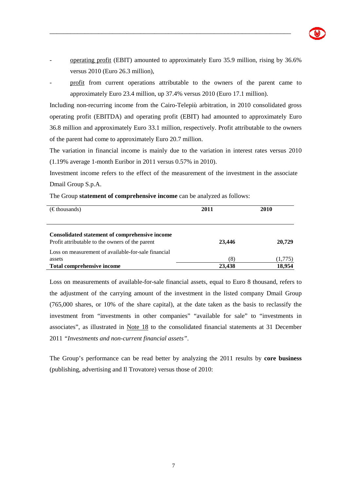

- operating profit (EBIT) amounted to approximately Euro 35.9 million, rising by 36.6% versus 2010 (Euro 26.3 million),

\_\_\_\_\_\_\_\_\_\_\_\_\_\_\_\_\_\_\_\_\_\_\_\_\_\_\_\_\_\_\_\_\_\_\_\_\_\_\_\_\_\_\_\_\_\_\_\_\_\_\_\_\_\_\_\_\_\_\_\_\_\_\_\_\_\_\_\_\_

profit from current operations attributable to the owners of the parent came to approximately Euro 23.4 million, up 37.4% versus 2010 (Euro 17.1 million).

Including non-recurring income from the Cairo-Telepiù arbitration, in 2010 consolidated gross operating profit (EBITDA) and operating profit (EBIT) had amounted to approximately Euro 36.8 million and approximately Euro 33.1 million, respectively. Profit attributable to the owners of the parent had come to approximately Euro 20.7 million.

The variation in financial income is mainly due to the variation in interest rates versus 2010 (1.19% average 1-month Euribor in 2011 versus 0.57% in 2010).

Investment income refers to the effect of the measurement of the investment in the associate Dmail Group S.p.A.

| $(\epsilon$ thousands)                                                                            | 2011   | 2010    |  |
|---------------------------------------------------------------------------------------------------|--------|---------|--|
| Consolidated statement of comprehensive income<br>Profit attributable to the owners of the parent | 23,446 | 20,729  |  |
| Loss on measurement of available-for-sale financial<br>assets                                     | 3)     | (1,775) |  |
| <b>Total comprehensive income</b>                                                                 | 23,438 | 18.954  |  |

The Group **statement of comprehensive income** can be analyzed as follows:

Loss on measurements of available-for-sale financial assets, equal to Euro 8 thousand, refers to the adjustment of the carrying amount of the investment in the listed company Dmail Group (765,000 shares, or 10% of the share capital), at the date taken as the basis to reclassify the investment from "investments in other companies" "available for sale" to "investments in associates", as illustrated in Note 18 to the consolidated financial statements at 31 December 2011 *"Investments and non-current financial assets"*.

The Group's performance can be read better by analyzing the 2011 results by **core business** (publishing, advertising and Il Trovatore) versus those of 2010: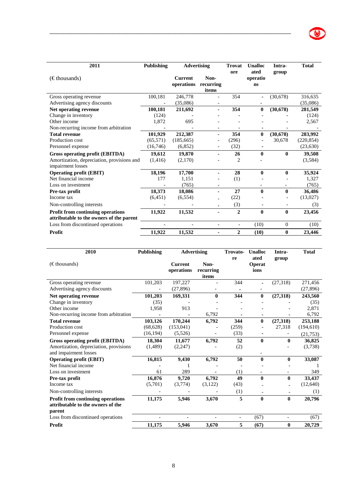| 2011                                                            | <b>Publishing</b> | <b>Advertising</b>           |                            | <b>Trovat</b>            | <b>Unalloc</b>         | Intra-           | <b>Total</b> |
|-----------------------------------------------------------------|-------------------|------------------------------|----------------------------|--------------------------|------------------------|------------------|--------------|
| $(\epsilon$ thousands)                                          |                   | <b>Current</b><br>operations | Non-<br>recurring<br>items | ore                      | ated<br>operatio<br>ns | group            |              |
| Gross operating revenue                                         | 100,181           | 246,778                      |                            | 354                      |                        | (30, 678)        | 316,635      |
| Advertising agency discounts                                    |                   | (35,086)                     | $\overline{\phantom{a}}$   |                          |                        |                  | (35,086)     |
| Net operating revenue                                           | 100,181           | 211,692                      |                            | 354                      | $\mathbf{0}$           | (30, 678)        | 281,549      |
| Change in inventory                                             | (124)             |                              |                            |                          |                        |                  | (124)        |
| Other income                                                    | 1,872             | 695                          |                            |                          |                        |                  | 2,567        |
| Non-recurring income from arbitration                           |                   |                              |                            |                          |                        |                  |              |
| <b>Total revenue</b>                                            | 101,929           | 212,387                      | ٠                          | 354                      | $\bf{0}$               | (30, 678)        | 283,992      |
| Production cost                                                 | (65, 571)         | (185, 665)                   |                            | (296)                    |                        | 30,678           | (220, 854)   |
| Personnel expense                                               | (16,746)          | (6,852)                      |                            | (32)                     |                        |                  | (23, 630)    |
| Gross operating profit (EBITDA)                                 | 19,612            | 19,870                       |                            | 26                       | $\mathbf{0}$           | $\bf{0}$         | 39,508       |
| Amortization, depreciation, provisions and<br>impairment losses | (1,416)           | (2,170)                      |                            | 2                        |                        |                  | (3,584)      |
| <b>Operating profit (EBIT)</b>                                  | 18,196            | 17,700                       |                            | 28                       | $\bf{0}$               | $\bf{0}$         | 35,924       |
| Net financial income                                            | 177               | 1,151                        |                            | (1)                      |                        |                  | 1,327        |
| Loss on investment                                              |                   | (765)                        |                            |                          |                        |                  | (765)        |
| Pre-tax profit                                                  | 18,373            | 18,086                       | ä,                         | 27                       | $\mathbf{0}$           | $\bf{0}$         | 36,486       |
| Income tax                                                      | (6,451)           | (6, 554)                     |                            | (22)                     |                        |                  | (13,027)     |
| Non-controlling interests                                       |                   |                              |                            | (3)                      |                        |                  | (3)          |
| Profit from continuing operations                               | 11,922            | 11,532                       | ٠                          | $\overline{2}$           | $\mathbf{0}$           | $\mathbf{0}$     | 23,456       |
| attributable to the owners of the parent                        |                   |                              |                            |                          |                        |                  |              |
| Loss from discontinued operations                               |                   |                              | $\overline{\phantom{a}}$   | $\overline{\phantom{a}}$ | (10)                   | $\boldsymbol{0}$ | (10)         |
| Profit                                                          | 11,922            | 11,532                       | ٠                          | $\overline{2}$           | (10)                   | $\bf{0}$         | 23,446       |

| 2010                                                                                    | <b>Publishing</b> | <b>Advertising</b>           |                            | Trovato-<br>re           | <b>Unalloc</b><br>ated | Intra-<br>group          | <b>Total</b> |
|-----------------------------------------------------------------------------------------|-------------------|------------------------------|----------------------------|--------------------------|------------------------|--------------------------|--------------|
| $(\epsilon$ thousands)                                                                  |                   | <b>Current</b><br>operations | Non-<br>recurring<br>items |                          | <b>Operat</b><br>ions  |                          |              |
| Gross operating revenue                                                                 | 101,203           | 197,227                      |                            | 344                      | ٠                      | (27,318)                 | 271,456      |
| Advertising agency discounts                                                            |                   | (27, 896)                    |                            |                          |                        |                          | (27, 896)    |
| Net operating revenue                                                                   | 101,203           | 169,331                      | $\mathbf{0}$               | 344                      | $\bf{0}$               | (27, 318)                | 243,560      |
| Change in inventory                                                                     | (35)              |                              |                            |                          |                        |                          | (35)         |
| Other income                                                                            | 1,958             | 913                          |                            |                          |                        |                          | 2,871        |
| Non-recurring income from arbitration                                                   |                   |                              | 6,792                      |                          |                        |                          | 6,792        |
| <b>Total revenue</b>                                                                    | 103,126           | 170,244                      | 6.792                      | 344                      | $\bf{0}$               | (27, 318)                | 253,188      |
| Production cost                                                                         | (68, 628)         | (153, 041)                   |                            | (259)                    |                        | 27,318                   | (194, 610)   |
| Personnel expense                                                                       | (16, 194)         | (5,526)                      |                            | (33)                     |                        |                          | (21, 753)    |
| <b>Gross operating profit (EBITDA)</b>                                                  | 18,304            | 11,677                       | 6,792                      | 52                       | $\mathbf{0}$           | $\mathbf{0}$             | 36,825       |
| Amortization, depreciation, provisions<br>and impairment losses                         | (1,489)           | (2,247)                      |                            | (2)                      |                        |                          | (3,738)      |
| <b>Operating profit (EBIT)</b>                                                          | 16,815            | 9,430                        | 6,792                      | 50                       | $\bf{0}$               | $\mathbf{0}$             | 33,087       |
| Net financial income                                                                    |                   |                              |                            |                          |                        |                          |              |
| Loss on investment                                                                      | 61                | 289                          |                            | (1)                      |                        |                          | 349          |
| Pre-tax profit                                                                          | 16,876            | 9,720                        | 6,792                      | 49                       | $\bf{0}$               | $\mathbf{0}$             | 33.437       |
| Income tax                                                                              | (5,701)           | (3,774)                      | (3,122)                    | (43)                     |                        |                          | (12,640)     |
| Non-controlling interests                                                               |                   |                              |                            | (1)                      |                        |                          | (1)          |
| <b>Profit from continuing operations</b><br>attributable to the owners of the<br>parent | 11,175            | 5,946                        | 3,670                      | 5                        | $\mathbf{0}$           | $\mathbf{0}$             | 20,796       |
| Loss from discontinued operations                                                       |                   |                              | $\overline{a}$             | $\overline{\phantom{0}}$ | (67)                   | $\overline{\phantom{a}}$ | (67)         |
| Profit                                                                                  | 11,175            | 5,946                        | 3.670                      | 5                        | (67)                   | $\bf{0}$                 | 20,729       |

l,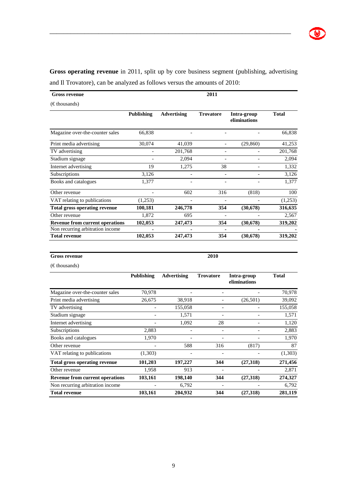**Gross operating revenue** in 2011, split up by core business segment (publishing, advertising and Il Trovatore), can be analyzed as follows versus the amounts of 2010:

\_\_\_\_\_\_\_\_\_\_\_\_\_\_\_\_\_\_\_\_\_\_\_\_\_\_\_\_\_\_\_\_\_\_\_\_\_\_\_\_\_\_\_\_\_\_\_\_\_\_\_\_\_\_\_\_\_\_\_\_\_\_\_\_\_\_\_\_\_

| <b>Gross revenue</b>   |                                                                                                      |                | 2011                                                                             |                             |
|------------------------|------------------------------------------------------------------------------------------------------|----------------|----------------------------------------------------------------------------------|-----------------------------|
| $(\epsilon$ thousands) |                                                                                                      |                |                                                                                  |                             |
|                        | $\mathbf{D}$ , $\mathbf{L}$ $\mathbf{L}$ , $\mathbf{L}$ , $\mathbf{L}$ , $\mathbf{L}$ , $\mathbf{L}$ | $\blacksquare$ | $\mathbf{F}$ and $\mathbf{F}$ and $\mathbf{F}$ and $\mathbf{F}$ and $\mathbf{F}$ | The Alexander and Alexander |

|                                        | Publishing | <b>Advertising</b>       | <b>Trovatore</b> | Intra-group<br>eliminations | <b>Total</b> |
|----------------------------------------|------------|--------------------------|------------------|-----------------------------|--------------|
| Magazine over-the-counter sales        | 66,838     |                          |                  |                             | 66,838       |
| Print media advertising                | 30,074     | 41,039                   |                  | (29, 860)                   | 41,253       |
| TV advertising                         |            | 201,768                  |                  |                             | 201,768      |
| Stadium signage                        |            | 2,094                    |                  |                             | 2,094        |
| Internet advertising                   | 19         | 1,275                    | 38               |                             | 1,332        |
| Subscriptions                          | 3,126      | $\overline{\phantom{a}}$ |                  |                             | 3,126        |
| Books and catalogues                   | 1,377      |                          |                  |                             | 1,377        |
| Other revenue                          |            | 602                      | 316              | (818)                       | 100          |
| VAT relating to publications           | (1,253)    |                          |                  |                             | (1,253)      |
| <b>Total gross operating revenue</b>   | 100,181    | 246,778                  | 354              | (30,678)                    | 316,635      |
| Other revenue                          | 1,872      | 695                      |                  |                             | 2,567        |
| <b>Revenue from current operations</b> | 102,053    | 247,473                  | 354              | (30,678)                    | 319,202      |
| Non recurring arbitration income       | ۰          |                          |                  |                             |              |
| <b>Total revenue</b>                   | 102,053    | 247,473                  | 354              | (30,678)                    | 319,202      |

#### **Gross revenue**

**2010** 

(€ thousands)

|                                        | <b>Publishing</b> | <b>Advertising</b> | <b>Trovatore</b> | Intra-group<br>eliminations | <b>Total</b> |
|----------------------------------------|-------------------|--------------------|------------------|-----------------------------|--------------|
| Magazine over-the-counter sales        | 70,978            |                    |                  |                             | 70,978       |
| Print media advertising                | 26,675            | 38,918             |                  | (26,501)                    | 39,092       |
| TV advertising                         |                   | 155,058            |                  |                             | 155,058      |
| Stadium signage                        |                   | 1,571              |                  |                             | 1,571        |
| Internet advertising                   |                   | 1,092              | 28               |                             | 1,120        |
| Subscriptions                          | 2,883             |                    | $\overline{a}$   |                             | 2,883        |
| Books and catalogues                   | 1,970             |                    |                  |                             | 1,970        |
| Other revenue                          |                   | 588                | 316              | (817)                       | 87           |
| VAT relating to publications           | (1,303)           |                    |                  |                             | (1,303)      |
| <b>Total gross operating revenue</b>   | 101,203           | 197,227            | 344              | (27,318)                    | 271,456      |
| Other revenue                          | 1,958             | 913                |                  |                             | 2,871        |
| <b>Revenue from current operations</b> | 103,161           | 198,140            | 344              | (27,318)                    | 274,327      |
| Non recurring arbitration income       |                   | 6,792              |                  |                             | 6,792        |
| <b>Total revenue</b>                   | 103,161           | 204,932            | 344              | (27,318)                    | 281,119      |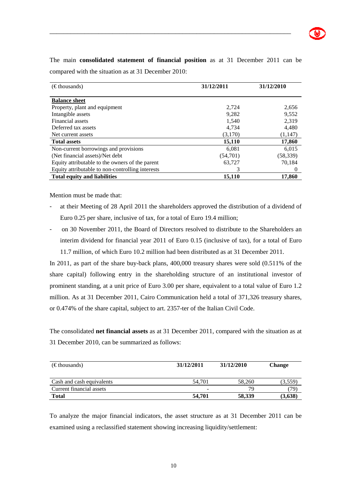

The main **consolidated statement of financial position** as at 31 December 2011 can be compared with the situation as at 31 December 2010:

\_\_\_\_\_\_\_\_\_\_\_\_\_\_\_\_\_\_\_\_\_\_\_\_\_\_\_\_\_\_\_\_\_\_\_\_\_\_\_\_\_\_\_\_\_\_\_\_\_\_\_\_\_\_\_\_\_\_\_\_\_\_\_\_\_\_\_\_\_

| $(\epsilon$ thousands)                           | 31/12/2011 | 31/12/2010 |
|--------------------------------------------------|------------|------------|
| <b>Balance sheet</b>                             |            |            |
| Property, plant and equipment                    | 2,724      | 2,656      |
| Intangible assets                                | 9,282      | 9.552      |
| Financial assets                                 | 1,540      | 2,319      |
| Deferred tax assets                              | 4,734      | 4,480      |
| Net current assets                               | (3,170)    | (1,147)    |
| <b>Total assets</b>                              | 15,110     | 17,860     |
| Non-current borrowings and provisions            | 6,081      | 6,015      |
| (Net financial assets)/Net debt                  | (54,701)   | (58, 339)  |
| Equity attributable to the owners of the parent  | 63.727     | 70.184     |
| Equity attributable to non-controlling interests | 3          | $\theta$   |
| <b>Total equity and liabilities</b>              | 15,110     | 17,860     |

Mention must be made that:

- at their Meeting of 28 April 2011 the shareholders approved the distribution of a dividend of Euro 0.25 per share, inclusive of tax, for a total of Euro 19.4 million;
- on 30 November 2011, the Board of Directors resolved to distribute to the Shareholders an interim dividend for financial year 2011 of Euro 0.15 (inclusive of tax), for a total of Euro 11.7 million, of which Euro 10.2 million had been distributed as at 31 December 2011.

In 2011, as part of the share buy-back plans, 400,000 treasury shares were sold (0.511% of the share capital) following entry in the shareholding structure of an institutional investor of prominent standing, at a unit price of Euro 3.00 per share, equivalent to a total value of Euro 1.2 million. As at 31 December 2011, Cairo Communication held a total of 371,326 treasury shares, or 0.474% of the share capital, subject to art. 2357-ter of the Italian Civil Code.

The consolidated **net financial assets** as at 31 December 2011, compared with the situation as at 31 December 2010, can be summarized as follows:

| $(\epsilon$ thousands)    | 31/12/2011 | 31/12/2010 | <b>Change</b> |
|---------------------------|------------|------------|---------------|
| Cash and cash equivalents | 54.701     | 58,260     | (3,559)       |
| Current financial assets  | -          | 79         | 79)           |
| Total                     | 54.701     | 58.339     | (3,638)       |

To analyze the major financial indicators, the asset structure as at 31 December 2011 can be examined using a reclassified statement showing increasing liquidity/settlement: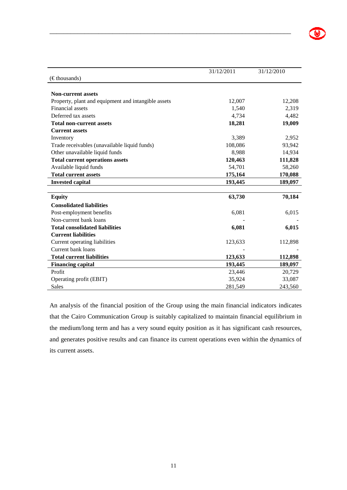|                                                     | 31/12/2011 | 31/12/2010 |
|-----------------------------------------------------|------------|------------|
| $(\in$ thousands)                                   |            |            |
|                                                     |            |            |
| <b>Non-current assets</b>                           |            |            |
| Property, plant and equipment and intangible assets | 12,007     | 12,208     |
| <b>Financial</b> assets                             | 1,540      | 2,319      |
| Deferred tax assets                                 | 4,734      | 4,482      |
| <b>Total non-current assets</b>                     | 18,281     | 19,009     |
| <b>Current assets</b>                               |            |            |
| Inventory                                           | 3,389      | 2,952      |
| Trade receivables (unavailable liquid funds)        | 108,086    | 93,942     |
| Other unavailable liquid funds                      | 8,988      | 14,934     |
| <b>Total current operations assets</b>              | 120,463    | 111,828    |
| Available liquid funds                              | 54,701     | 58,260     |
| <b>Total current assets</b>                         | 175,164    | 170,088    |
| <b>Invested capital</b>                             | 193,445    | 189,097    |
| <b>Equity</b>                                       | 63,730     | 70,184     |
|                                                     |            |            |
| <b>Consolidated liabilities</b>                     |            |            |
| Post-employment benefits                            | 6,081      | 6,015      |
| Non-current bank loans                              |            |            |
| <b>Total consolidated liabilities</b>               | 6,081      | 6,015      |
| <b>Current liabilities</b>                          |            |            |
| Current operating liabilities                       | 123,633    | 112,898    |
| Current bank loans                                  |            |            |
| <b>Total current liabilities</b>                    | 123,633    | 112,898    |
| <b>Financing capital</b>                            | 193,445    | 189,097    |
| Profit                                              | 23,446     | 20,729     |
| Operating profit (EBIT)                             | 35,924     | 33,087     |
| <b>Sales</b>                                        | 281.549    | 243,560    |

An analysis of the financial position of the Group using the main financial indicators indicates that the Cairo Communication Group is suitably capitalized to maintain financial equilibrium in the medium/long term and has a very sound equity position as it has significant cash resources, and generates positive results and can finance its current operations even within the dynamics of its current assets.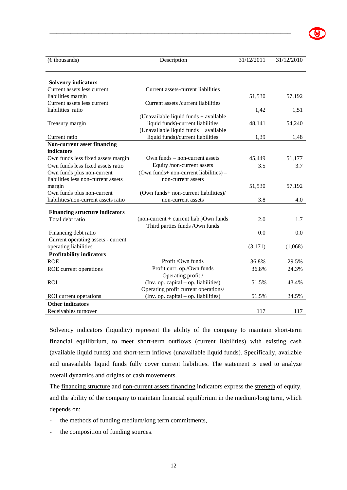| $(\epsilon$ thousands)                | Description                              | 31/12/2011 | 31/12/2010 |
|---------------------------------------|------------------------------------------|------------|------------|
|                                       |                                          |            |            |
| <b>Solvency indicators</b>            |                                          |            |            |
| Current assets less current           | Current assets-current liabilities       |            |            |
| liabilities margin                    |                                          | 51,530     | 57,192     |
| Current assets less current           | Current assets/current liabilities       |            |            |
| liabilities ratio                     |                                          | 1,42       | 1,51       |
|                                       | (Unavailable liquid funds + available)   |            |            |
| Treasury margin                       | liquid funds)-current liabilities        | 48,141     | 54,240     |
|                                       | (Unavailable liquid funds + available    |            |            |
| Current ratio                         | liquid funds)/current liabilities        | 1,39       | 1,48       |
| Non-current asset financing           |                                          |            |            |
| indicators                            |                                          |            |            |
| Own funds less fixed assets margin    | Own funds – non-current assets           | 45,449     | 51,177     |
| Own funds less fixed assets ratio     | Equity /non-current assets               | 3.5        | 3.7        |
| Own funds plus non-current            | (Own funds+ non-current liabilities) –   |            |            |
| liabilities less non-current assets   | non-current assets                       |            |            |
| margin                                |                                          | 51,530     | 57,192     |
| Own funds plus non-current            | (Own funds+ non-current liabilities)/    |            |            |
| liabilities/non-current assets ratio  | non-current assets                       | 3.8        | 4.0        |
| <b>Financing structure indicators</b> |                                          |            |            |
| Total debt ratio                      | $non-current + current$ liab.) Own funds | 2.0        | 1.7        |
|                                       | Third parties funds /Own funds           |            |            |
| Financing debt ratio                  |                                          | 0.0        | 0.0        |
| Current operating assets - current    |                                          |            |            |
| operating liabilities                 |                                          | (3,171)    | (1,068)    |
| <b>Profitability indicators</b>       |                                          |            |            |
| <b>ROE</b>                            | Profit /Own funds                        | 36.8%      | 29.5%      |
| ROE current operations                | Profit curr. op./Own funds               | 36.8%      | 24.3%      |
|                                       | Operating profit /                       |            |            |
| <b>ROI</b>                            | (Inv. op. capital – op. liabilities)     | 51.5%      | 43.4%      |
|                                       | Operating profit current operations/     |            |            |
| ROI current operations                | (Inv. op. capital – op. liabilities)     | 51.5%      | 34.5%      |
| <b>Other indicators</b>               |                                          |            |            |
| Receivables turnover                  |                                          | 117        | 117        |

Solvency indicators (liquidity) represent the ability of the company to maintain short-term financial equilibrium, to meet short-term outflows (current liabilities) with existing cash (available liquid funds) and short-term inflows (unavailable liquid funds). Specifically, available and unavailable liquid funds fully cover current liabilities. The statement is used to analyze overall dynamics and origins of cash movements.

The financing structure and non-current assets financing indicators express the strength of equity, and the ability of the company to maintain financial equilibrium in the medium/long term, which depends on:

- the methods of funding medium/long term commitments,
- the composition of funding sources.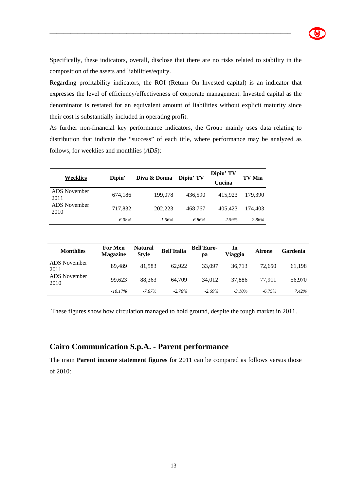

Specifically, these indicators, overall, disclose that there are no risks related to stability in the composition of the assets and liabilities/equity.

\_\_\_\_\_\_\_\_\_\_\_\_\_\_\_\_\_\_\_\_\_\_\_\_\_\_\_\_\_\_\_\_\_\_\_\_\_\_\_\_\_\_\_\_\_\_\_\_\_\_\_\_\_\_\_\_\_\_\_\_\_\_\_\_\_\_\_\_\_

Regarding profitability indicators, the ROI (Return On Invested capital) is an indicator that expresses the level of efficiency/effectiveness of corporate management. Invested capital as the denominator is restated for an equivalent amount of liabilities without explicit maturity since their cost is substantially included in operating profit.

As further non-financial key performance indicators, the Group mainly uses data relating to distribution that indicate the "success" of each title, where performance may be analyzed as follows, for weeklies and monthlies (*ADS*):

| Weeklies             | Dipiu'    | Diva & Donna | Dipiu' TV | Dipiu' TV<br>Cucina | TV Mia  |
|----------------------|-----------|--------------|-----------|---------------------|---------|
| ADS November<br>2011 | 674,186   | 199,078      | 436.590   | 415.923             | 179.390 |
| ADS November<br>2010 | 717,832   | 202,223      | 468.767   | 405.423             | 174.403 |
|                      | $-6.08\%$ | $-1.56\%$    | $-6.86\%$ | 2.59%               | 2.86%   |

| <b>Monthlies</b>            | <b>For Men</b><br><b>Magazine</b> | <b>Natural</b><br><b>Style</b> | <b>Bell'Italia</b> | <b>Bell'Euro-</b><br>pa | <b>In</b><br><b>Viaggio</b> | Airone    | <b>Gardenia</b> |
|-----------------------------|-----------------------------------|--------------------------------|--------------------|-------------------------|-----------------------------|-----------|-----------------|
| <b>ADS</b> November<br>2011 | 89.489                            | 81.583                         | 62.922             | 33,097                  | 36,713                      | 72.650    | 61,198          |
| ADS November<br>2010        | 99.623                            | 88.363                         | 64.709             | 34,012                  | 37,886                      | 77.911    | 56,970          |
|                             | $-10.17\%$                        | $-7.67\%$                      | $-2.76%$           | $-2.69%$                | $-3.10\%$                   | $-6.75\%$ | 7.42%           |

These figures show how circulation managed to hold ground, despite the tough market in 2011.

### **Cairo Communication S.p.A. - Parent performance**

The main **Parent income statement figures** for 2011 can be compared as follows versus those of 2010: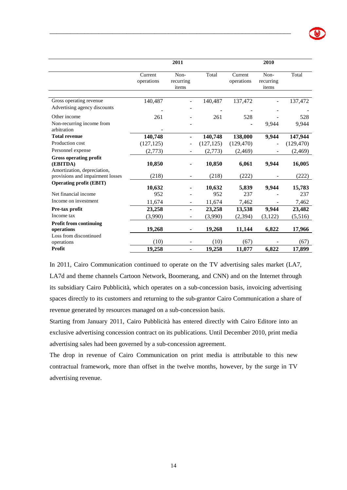|                                                                          |                       | 2011                       |            |                       | 2010                       |              |
|--------------------------------------------------------------------------|-----------------------|----------------------------|------------|-----------------------|----------------------------|--------------|
|                                                                          | Current<br>operations | Non-<br>recurring<br>items | Total      | Current<br>operations | Non-<br>recurring<br>items | Total        |
| Gross operating revenue<br>Advertising agency discounts                  | 140,487               |                            | 140,487    | 137,472               |                            | 137,472      |
| Other income<br>Non-recurring income from<br>arbitration                 | 261                   |                            | 261        | 528                   | 9,944                      | 528<br>9,944 |
| <b>Total revenue</b>                                                     | 140,748               |                            | 140,748    | 138,000               | 9,944                      | 147,944      |
| Production cost                                                          | (127, 125)            |                            | (127, 125) | (129, 470)            |                            | (129, 470)   |
| Personnel expense                                                        | (2,773)               |                            | (2,773)    | (2, 469)              |                            | (2, 469)     |
| <b>Gross operating profit</b><br>(EBITDA)<br>Amortization, depreciation, | 10,850                |                            | 10,850     | 6,061                 | 9,944                      | 16,005       |
| provisions and impairment losses                                         | (218)                 |                            | (218)      | (222)                 |                            | (222)        |
| <b>Operating profit (EBIT)</b>                                           | 10,632                |                            | 10,632     | 5,839                 | 9,944                      | 15,783       |
| Net financial income                                                     | 952                   |                            | 952        | 237                   |                            | 237          |
| Income on investment                                                     | 11,674                |                            | 11,674     | 7,462                 |                            | 7,462        |
| Pre-tax profit                                                           | 23,258                |                            | 23,258     | 13,538                | 9,944                      | 23,482       |
| Income tax                                                               | (3,990)               |                            | (3,990)    | (2, 394)              | (3,122)                    | (5,516)      |
| <b>Profit from continuing</b><br>operations                              | 19,268                | ٠                          | 19,268     | 11,144                | 6,822                      | 17,966       |
| Loss from discontinued<br>operations                                     | (10)                  |                            | (10)       | (67)                  |                            | (67)         |
| Profit                                                                   | 19,258                | ٠                          | 19,258     | 11,077                | 6,822                      | 17,899       |

In 2011, Cairo Communication continued to operate on the TV advertising sales market (LA7, LA7d and theme channels Cartoon Network, Boomerang, and CNN) and on the Internet through its subsidiary Cairo Pubblicità, which operates on a sub-concession basis, invoicing advertising spaces directly to its customers and returning to the sub-grantor Cairo Communication a share of revenue generated by resources managed on a sub-concession basis.

Starting from January 2011, Cairo Pubblicità has entered directly with Cairo Editore into an exclusive advertising concession contract on its publications. Until December 2010, print media advertising sales had been governed by a sub-concession agreement.

The drop in revenue of Cairo Communication on print media is attributable to this new contractual framework, more than offset in the twelve months, however, by the surge in TV advertising revenue.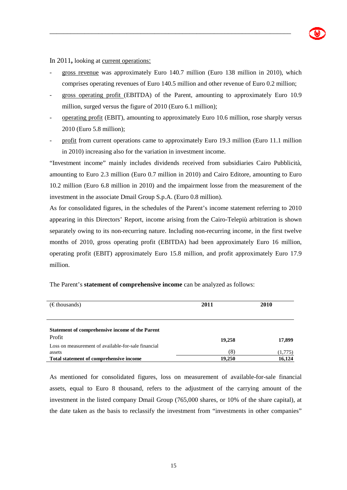

In 2011**,** looking at current operations:

gross revenue was approximately Euro 140.7 million (Euro 138 million in 2010), which comprises operating revenues of Euro 140.5 million and other revenue of Euro 0.2 million;

\_\_\_\_\_\_\_\_\_\_\_\_\_\_\_\_\_\_\_\_\_\_\_\_\_\_\_\_\_\_\_\_\_\_\_\_\_\_\_\_\_\_\_\_\_\_\_\_\_\_\_\_\_\_\_\_\_\_\_\_\_\_\_\_\_\_\_\_\_

- gross operating profit (EBITDA) of the Parent, amounting to approximately Euro 10.9 million, surged versus the figure of 2010 (Euro 6.1 million);
- operating profit (EBIT), amounting to approximately Euro 10.6 million, rose sharply versus 2010 (Euro 5.8 million);
- profit from current operations came to approximately Euro 19.3 million (Euro 11.1 million in 2010) increasing also for the variation in investment income.

"Investment income" mainly includes dividends received from subsidiaries Cairo Pubblicità, amounting to Euro 2.3 million (Euro 0.7 million in 2010) and Cairo Editore, amounting to Euro 10.2 million (Euro 6.8 million in 2010) and the impairment losse from the measurement of the investment in the associate Dmail Group S.p.A. (Euro 0.8 million).

As for consolidated figures, in the schedules of the Parent's income statement referring to 2010 appearing in this Directors' Report, income arising from the Cairo-Telepiù arbitration is shown separately owing to its non-recurring nature. Including non-recurring income, in the first twelve months of 2010, gross operating profit (EBITDA) had been approximately Euro 16 million, operating profit (EBIT) approximately Euro 15.8 million, and profit approximately Euro 17.9 million.

| The Parent's <b>statement of comprehensive income</b> can be analyzed as follows: |  |
|-----------------------------------------------------------------------------------|--|
|-----------------------------------------------------------------------------------|--|

| $(\epsilon$ thousands)                                        | 2011   | 2010    |
|---------------------------------------------------------------|--------|---------|
|                                                               |        |         |
| <b>Statement of comprehensive income of the Parent</b>        |        |         |
| Profit<br>Loss on measurement of available-for-sale financial | 19,258 | 17,899  |
| assets                                                        | (8)    | (1,775) |
| Total statement of comprehensive income                       | 19,250 | 16,124  |

As mentioned for consolidated figures, loss on measurement of available-for-sale financial assets, equal to Euro 8 thousand, refers to the adjustment of the carrying amount of the investment in the listed company Dmail Group (765,000 shares, or 10% of the share capital), at the date taken as the basis to reclassify the investment from "investments in other companies"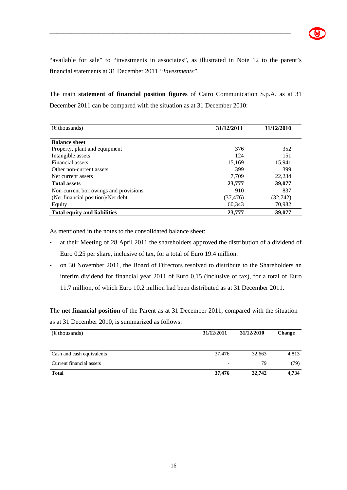"available for sale" to "investments in associates", as illustrated in Note 12 to the parent's financial statements at 31 December 2011 *"Investments"*.

\_\_\_\_\_\_\_\_\_\_\_\_\_\_\_\_\_\_\_\_\_\_\_\_\_\_\_\_\_\_\_\_\_\_\_\_\_\_\_\_\_\_\_\_\_\_\_\_\_\_\_\_\_\_\_\_\_\_\_\_\_\_\_\_\_\_\_\_\_

The main **statement of financial position figures** of Cairo Communication S.p.A. as at 31 December 2011 can be compared with the situation as at 31 December 2010:

| $(\epsilon$ thousands)                | 31/12/2011 | 31/12/2010 |
|---------------------------------------|------------|------------|
| <b>Balance sheet</b>                  |            |            |
| Property, plant and equipment         | 376        | 352        |
| Intangible assets                     | 124        | 151        |
| Financial assets                      | 15,169     | 15,941     |
| Other non-current assets              | 399        | 399        |
| Net current assets                    | 7,709      | 22,234     |
| <b>Total assets</b>                   | 23,777     | 39,077     |
| Non-current borrowings and provisions | 910        | 837        |
| (Net financial position)/Net debt     | (37, 476)  | (32, 742)  |
| Equity                                | 60,343     | 70,982     |
| <b>Total equity and liabilities</b>   | 23,777     | 39,077     |

As mentioned in the notes to the consolidated balance sheet:

- at their Meeting of 28 April 2011 the shareholders approved the distribution of a dividend of Euro 0.25 per share, inclusive of tax, for a total of Euro 19.4 million.
- on 30 November 2011, the Board of Directors resolved to distribute to the Shareholders an interim dividend for financial year 2011 of Euro 0.15 (inclusive of tax), for a total of Euro 11.7 million, of which Euro 10.2 million had been distributed as at 31 December 2011.

The **net financial position** of the Parent as at 31 December 2011, compared with the situation as at 31 December 2010, is summarized as follows:

| $(\epsilon$ thousands)    | 31/12/2011 | 31/12/2010 | <b>Change</b> |
|---------------------------|------------|------------|---------------|
|                           |            |            |               |
| Cash and cash equivalents | 37,476     | 32.663     | 4,813         |
| Current financial assets  |            | 79         | (79)          |
| <b>Total</b>              | 37,476     | 32,742     | 4.734         |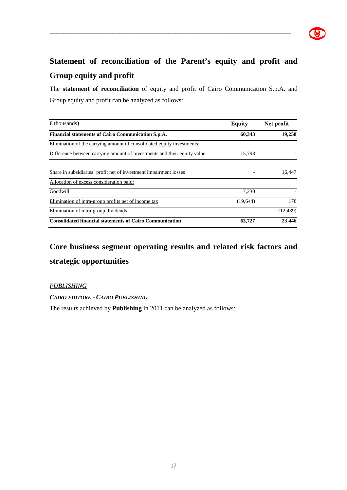# **Statement of reconciliation of the Parent's equity and profit and Group equity and profit**

\_\_\_\_\_\_\_\_\_\_\_\_\_\_\_\_\_\_\_\_\_\_\_\_\_\_\_\_\_\_\_\_\_\_\_\_\_\_\_\_\_\_\_\_\_\_\_\_\_\_\_\_\_\_\_\_\_\_\_\_\_\_\_\_\_\_\_\_\_

The **statement of reconciliation** of equity and profit of Cairo Communication S.p.A. and Group equity and profit can be analyzed as follows:

| $\epsilon$ thousands)                                                    | <b>Equity</b> | Net profit |
|--------------------------------------------------------------------------|---------------|------------|
| Financial statements of Cairo Communication S.p.A.                       | 60,343        | 19,258     |
| Elimination of the carrying amount of consolidated equity investments:   |               |            |
| Difference between carrying amount of investments and their equity value | 15,798        |            |
| Share in subsidiaries' profit net of investment impairment losses        |               | 16.447     |
| Allocation of excess consideration paid:                                 |               |            |
| Goodwill                                                                 | 7,230         |            |
| Elimination of intra-group profits net of income tax                     | (19,644)      | 178        |
| Elimination of intra-group dividends                                     |               | (12, 439)  |
| <b>Consolidated financial statements of Cairo Communication</b>          | 63,727        | 23,446     |

# **Core business segment operating results and related risk factors and strategic opportunities**

#### *PUBLISHING*

*CAIRO EDITORE - CAIRO PUBLISHING* 

The results achieved by **Publishing** in 2011 can be analyzed as follows: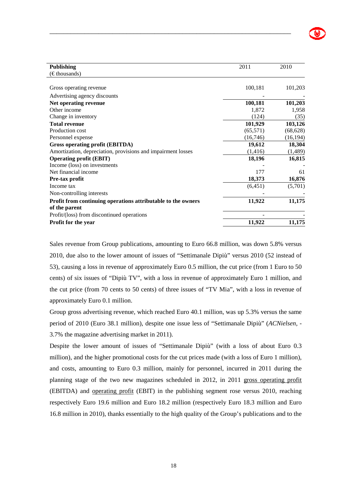| <b>Publishing</b>                                            | 2011      | 2010      |
|--------------------------------------------------------------|-----------|-----------|
| $(\epsilon$ thousands)                                       |           |           |
|                                                              |           |           |
| Gross operating revenue                                      | 100,181   | 101,203   |
| Advertising agency discounts                                 |           |           |
| Net operating revenue                                        | 100,181   | 101,203   |
| Other income                                                 | 1,872     | 1,958     |
| Change in inventory                                          | (124)     | (35)      |
| <b>Total revenue</b>                                         | 101,929   | 103,126   |
| Production cost                                              | (65, 571) | (68, 628) |
| Personnel expense                                            | (16,746)  | (16, 194) |
| <b>Gross operating profit (EBITDA)</b>                       | 19,612    | 18,304    |
| Amortization, depreciation, provisions and impairment losses | (1, 416)  | (1,489)   |
| <b>Operating profit (EBIT)</b>                               | 18,196    | 16,815    |
| Income (loss) on investments                                 |           |           |
| Net financial income                                         | 177       | 61        |
| Pre-tax profit                                               | 18,373    | 16,876    |
| Income tax                                                   | (6,451)   | (5,701)   |
| Non-controlling interests                                    |           |           |
| Profit from continuing operations attributable to the owners | 11,922    | 11,175    |
| of the parent                                                |           |           |
| Profit/(loss) from discontinued operations                   |           |           |
| Profit for the year                                          | 11,922    | 11,175    |

Sales revenue from Group publications, amounting to Euro 66.8 million, was down 5.8% versus 2010, due also to the lower amount of issues of "Settimanale Dipiù" versus 2010 (52 instead of 53), causing a loss in revenue of approximately Euro 0.5 million, the cut price (from 1 Euro to 50 cents) of six issues of "Dipiù TV", with a loss in revenue of approximately Euro 1 million, and the cut price (from 70 cents to 50 cents) of three issues of "TV Mia", with a loss in revenue of approximately Euro 0.1 million.

Group gross advertising revenue, which reached Euro 40.1 million, was up 5.3% versus the same period of 2010 (Euro 38.1 million), despite one issue less of "Settimanale Dipiù" (*ACNielsen,* - 3.7% the magazine advertising market in 2011).

Despite the lower amount of issues of "Settimanale Dipiù" (with a loss of about Euro 0.3 million), and the higher promotional costs for the cut prices made (with a loss of Euro 1 million), and costs, amounting to Euro 0.3 million, mainly for personnel, incurred in 2011 during the planning stage of the two new magazines scheduled in 2012, in 2011 gross operating profit (EBITDA) and operating profit (EBIT) in the publishing segment rose versus 2010, reaching respectively Euro 19.6 million and Euro 18.2 million (respectively Euro 18.3 million and Euro 16.8 million in 2010), thanks essentially to the high quality of the Group's publications and to the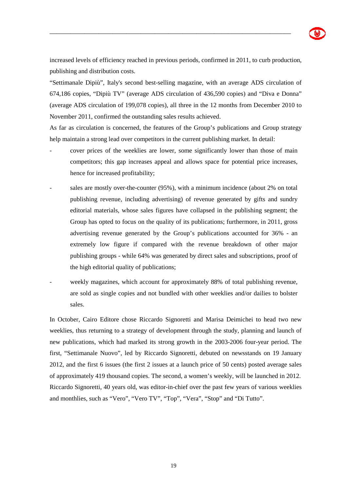

increased levels of efficiency reached in previous periods, confirmed in 2011, to curb production, publishing and distribution costs.

\_\_\_\_\_\_\_\_\_\_\_\_\_\_\_\_\_\_\_\_\_\_\_\_\_\_\_\_\_\_\_\_\_\_\_\_\_\_\_\_\_\_\_\_\_\_\_\_\_\_\_\_\_\_\_\_\_\_\_\_\_\_\_\_\_\_\_\_\_

"Settimanale Dipiù", Italy's second best-selling magazine, with an average ADS circulation of 674,186 copies, "Dipiù TV" (average ADS circulation of 436,590 copies) and "Diva e Donna" (average ADS circulation of 199,078 copies), all three in the 12 months from December 2010 to November 2011, confirmed the outstanding sales results achieved.

As far as circulation is concerned, the features of the Group's publications and Group strategy help maintain a strong lead over competitors in the current publishing market. In detail:

- cover prices of the weeklies are lower, some significantly lower than those of main competitors; this gap increases appeal and allows space for potential price increases, hence for increased profitability;
- sales are mostly over-the-counter (95%), with a minimum incidence (about 2% on total publishing revenue, including advertising) of revenue generated by gifts and sundry editorial materials, whose sales figures have collapsed in the publishing segment; the Group has opted to focus on the quality of its publications; furthermore, in 2011, gross advertising revenue generated by the Group's publications accounted for 36% - an extremely low figure if compared with the revenue breakdown of other major publishing groups - while 64% was generated by direct sales and subscriptions, proof of the high editorial quality of publications;
- weekly magazines, which account for approximately 88% of total publishing revenue, are sold as single copies and not bundled with other weeklies and/or dailies to bolster sales.

In October, Cairo Editore chose Riccardo Signoretti and Marisa Deimichei to head two new weeklies, thus returning to a strategy of development through the study, planning and launch of new publications, which had marked its strong growth in the 2003-2006 four-year period. The first, "Settimanale Nuovo", led by Riccardo Signoretti, debuted on newsstands on 19 January 2012, and the first 6 issues (the first 2 issues at a launch price of 50 cents) posted average sales of approximately 419 thousand copies. The second, a women's weekly, will be launched in 2012. Riccardo Signoretti, 40 years old, was editor-in-chief over the past few years of various weeklies and monthlies, such as "Vero", "Vero TV", "Top", "Vera", "Stop" and "Di Tutto".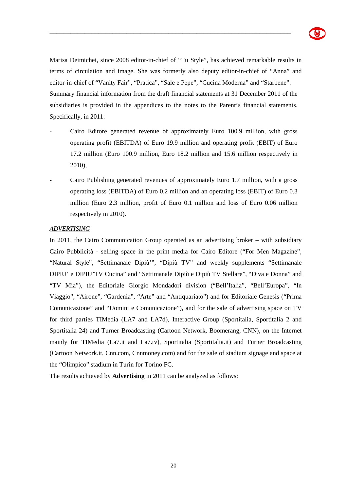

Marisa Deimichei, since 2008 editor-in-chief of "Tu Style", has achieved remarkable results in terms of circulation and image. She was formerly also deputy editor-in-chief of "Anna" and editor-in-chief of "Vanity Fair", "Pratica", "Sale e Pepe", "Cucina Moderna" and "Starbene". Summary financial information from the draft financial statements at 31 December 2011 of the subsidiaries is provided in the appendices to the notes to the Parent's financial statements. Specifically, in 2011:

\_\_\_\_\_\_\_\_\_\_\_\_\_\_\_\_\_\_\_\_\_\_\_\_\_\_\_\_\_\_\_\_\_\_\_\_\_\_\_\_\_\_\_\_\_\_\_\_\_\_\_\_\_\_\_\_\_\_\_\_\_\_\_\_\_\_\_\_\_

- Cairo Editore generated revenue of approximately Euro 100.9 million, with gross operating profit (EBITDA) of Euro 19.9 million and operating profit (EBIT) of Euro 17.2 million (Euro 100.9 million, Euro 18.2 million and 15.6 million respectively in 2010),
- Cairo Publishing generated revenues of approximately Euro 1.7 million, with a gross operating loss (EBITDA) of Euro 0.2 million and an operating loss (EBIT) of Euro 0.3 million (Euro 2.3 million, profit of Euro 0.1 million and loss of Euro 0.06 million respectively in 2010).

#### *ADVERTISING*

In 2011, the Cairo Communication Group operated as an advertising broker – with subsidiary Cairo Pubblicità - selling space in the print media for Cairo Editore ("For Men Magazine", "Natural Style", "Settimanale Dipiù'", "Dipiù TV" and weekly supplements "Settimanale DIPIU' e DIPIU'TV Cucina" and "Settimanale Dipiù e Dipiù TV Stellare", "Diva e Donna" and "TV Mia"), the Editoriale Giorgio Mondadori division ("Bell'Italia", "Bell'Europa", "In Viaggio", "Airone", "Gardenia", "Arte" and "Antiquariato") and for Editoriale Genesis ("Prima Comunicazione" and "Uomini e Comunicazione"), and for the sale of advertising space on TV for third parties TIMedia (LA7 and LA7d), Interactive Group (Sportitalia, Sportitalia 2 and Sportitalia 24) and Turner Broadcasting (Cartoon Network, Boomerang, CNN), on the Internet mainly for TIMedia (La7.it and La7.tv), Sportitalia (Sportitalia.it) and Turner Broadcasting (Cartoon Network.it, Cnn.com, Cnnmoney.com) and for the sale of stadium signage and space at the "Olimpico" stadium in Turin for Torino FC.

The results achieved by **Advertising** in 2011 can be analyzed as follows: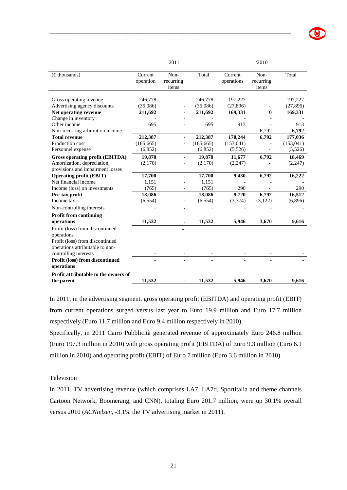|                                                                 |                      | 2011                       |            |                       | /2010                      |            |
|-----------------------------------------------------------------|----------------------|----------------------------|------------|-----------------------|----------------------------|------------|
| $(\epsilon$ thousands)                                          | Current<br>operation | Non-<br>recurring<br>items | Total      | Current<br>operations | Non-<br>recurring<br>items | Total      |
| Gross operating revenue                                         | 246,778              |                            | 246,778    | 197,227               |                            | 197,227    |
| Advertising agency discounts                                    | (35,086)             |                            | (35,086)   | (27, 896)             |                            | (27, 896)  |
| Net operating revenue                                           | 211,692              |                            | 211,692    | 169,331               | $\mathbf{0}$               | 169,331    |
| Change in inventory                                             |                      |                            |            |                       |                            |            |
| Other income                                                    | 695                  |                            | 695        | 913                   |                            | 913        |
| Non-recurring arbitration income                                |                      |                            |            |                       | 6,792                      | 6,792      |
| <b>Total revenue</b>                                            | 212,387              |                            | 212,387    | 170,244               | 6,792                      | 177,036    |
| Production cost                                                 | (185, 665)           |                            | (185, 665) | (153, 041)            |                            | (153, 041) |
| Personnel expense                                               | (6,852)              |                            | (6,852)    | (5,526)               |                            | (5,526)    |
| Gross operating profit (EBITDA)                                 | 19,870               |                            | 19,870     | 11,677                | 6,792                      | 18,469     |
| Amortization, depreciation,<br>provisions and impairment losses | (2,170)              |                            | (2,170)    | (2,247)               |                            | (2,247)    |
| <b>Operating profit (EBIT)</b>                                  | 17,700               |                            | 17,700     | 9,430                 | 6,792                      | 16,222     |
| Net financial income                                            | 1,151                |                            | 1,151      |                       |                            |            |
| Income (loss) on investments                                    | (765)                |                            | (765)      | 290                   |                            | 290        |
| Pre-tax profit                                                  | 18,086               |                            | 18,086     | 9,720                 | 6,792                      | 16,512     |
| Income tax                                                      | (6, 554)             |                            | (6, 554)   | (3,774)               | (3,122)                    | (6,896)    |
| Non-controlling interests                                       |                      |                            |            |                       |                            |            |
| <b>Profit from continuing</b>                                   |                      |                            |            |                       |                            |            |
| operations                                                      | 11,532               |                            | 11,532     | 5,946                 | 3,670                      | 9,616      |
| Profit (loss) from discontinued<br>operations                   |                      |                            |            |                       |                            |            |

| Profit (loss) from discontinued             |                          |        |                          |       |       |
|---------------------------------------------|--------------------------|--------|--------------------------|-------|-------|
| operations attributable to non-             |                          |        |                          |       |       |
| controlling interests                       | $\blacksquare$           |        |                          |       |       |
| Profit (loss) from discontinued             | $\overline{\phantom{0}}$ |        | $\overline{\phantom{0}}$ |       |       |
| operations                                  |                          |        |                          |       |       |
| <b>Profit attributable to the owners of</b> |                          |        |                          |       |       |
| the parent                                  | 11.532                   | 11.532 | 5.946                    | 3.670 | 9,616 |
|                                             |                          |        |                          |       |       |

In 2011, in the advertising segment, gross operating profit (EBITDA) and operating profit (EBIT) from current operations surged versus last year to Euro 19.9 million and Euro 17.7 million respectively (Euro 11.7 million and Euro 9.4 million respectively in 2010).

Specifically, in 2011 Cairo Pubblicità generated revenue of approximately Euro 246.8 million (Euro 197.3 million in 2010) with gross operating profit (EBITDA) of Euro 9.3 million (Euro 6.1 million in 2010) and operating profit (EBIT) of Euro 7 million (Euro 3.6 million in 2010).

#### **Television**

In 2011, TV advertising revenue (which comprises LA7, LA7d, Sportitalia and theme channels Cartoon Network, Boomerang, and CNN), totaling Euro 201.7 million, were up 30.1% overall versus 2010 (*ACNielsen,* -3.1% the TV advertising market in 2011).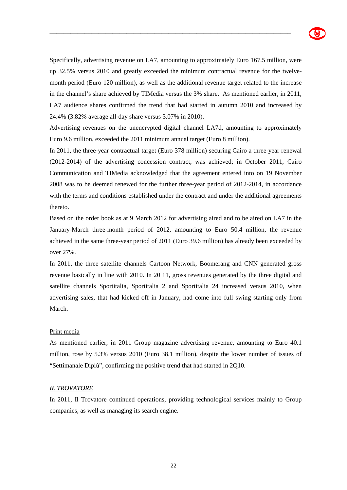

Specifically, advertising revenue on LA7, amounting to approximately Euro 167.5 million, were up 32.5% versus 2010 and greatly exceeded the minimum contractual revenue for the twelvemonth period (Euro 120 million), as well as the additional revenue target related to the increase in the channel's share achieved by TIMedia versus the 3% share. As mentioned earlier, in 2011, LA7 audience shares confirmed the trend that had started in autumn 2010 and increased by 24.4% (3.82% average all-day share versus 3.07% in 2010).

\_\_\_\_\_\_\_\_\_\_\_\_\_\_\_\_\_\_\_\_\_\_\_\_\_\_\_\_\_\_\_\_\_\_\_\_\_\_\_\_\_\_\_\_\_\_\_\_\_\_\_\_\_\_\_\_\_\_\_\_\_\_\_\_\_\_\_\_\_

Advertising revenues on the unencrypted digital channel LA7d, amounting to approximately Euro 9.6 million, exceeded the 2011 minimum annual target (Euro 8 million).

In 2011, the three-year contractual target (Euro 378 million) securing Cairo a three-year renewal (2012-2014) of the advertising concession contract, was achieved; in October 2011, Cairo Communication and TIMedia acknowledged that the agreement entered into on 19 November 2008 was to be deemed renewed for the further three-year period of 2012-2014, in accordance with the terms and conditions established under the contract and under the additional agreements thereto.

Based on the order book as at 9 March 2012 for advertising aired and to be aired on LA7 in the January-March three-month period of 2012, amounting to Euro 50.4 million, the revenue achieved in the same three-year period of 2011 (Euro 39.6 million) has already been exceeded by over 27%.

In 2011, the three satellite channels Cartoon Network, Boomerang and CNN generated gross revenue basically in line with 2010. In 20 11, gross revenues generated by the three digital and satellite channels Sportitalia, Sportitalia 2 and Sportitalia 24 increased versus 2010, when advertising sales, that had kicked off in January, had come into full swing starting only from March.

#### Print media

As mentioned earlier, in 2011 Group magazine advertising revenue, amounting to Euro 40.1 million, rose by 5.3% versus 2010 (Euro 38.1 million), despite the lower number of issues of "Settimanale Dipiù", confirming the positive trend that had started in 2Q10.

#### *IL TROVATORE*

In 2011, Il Trovatore continued operations, providing technological services mainly to Group companies, as well as managing its search engine.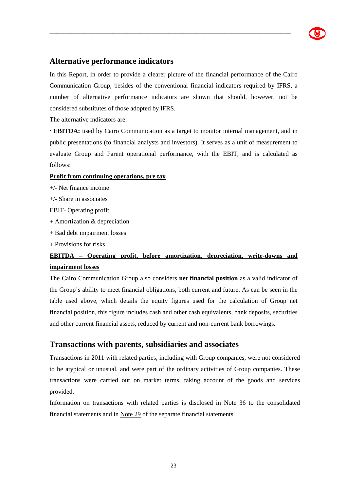

## **Alternative performance indicators**

In this Report, in order to provide a clearer picture of the financial performance of the Cairo Communication Group, besides of the conventional financial indicators required by IFRS, a number of alternative performance indicators are shown that should, however, not be considered substitutes of those adopted by IFRS.

\_\_\_\_\_\_\_\_\_\_\_\_\_\_\_\_\_\_\_\_\_\_\_\_\_\_\_\_\_\_\_\_\_\_\_\_\_\_\_\_\_\_\_\_\_\_\_\_\_\_\_\_\_\_\_\_\_\_\_\_\_\_\_\_\_\_\_\_\_

The alternative indicators are:

**· EBITDA:** used by Cairo Communication as a target to monitor internal management, and in public presentations (to financial analysts and investors). It serves as a unit of measurement to evaluate Group and Parent operational performance, with the EBIT, and is calculated as follows:

#### **Profit from continuing operations, pre tax**

+/- Net finance income

+/- Share in associates

EBIT- Operating profit

- + Amortization & depreciation
- + Bad debt impairment losses
- + Provisions for risks

## **EBITDA – Operating profit, before amortization, depreciation, write-downs and impairment losses**

The Cairo Communication Group also considers **net financial position** as a valid indicator of the Group's ability to meet financial obligations, both current and future. As can be seen in the table used above, which details the equity figures used for the calculation of Group net financial position, this figure includes cash and other cash equivalents, bank deposits, securities and other current financial assets, reduced by current and non-current bank borrowings.

### **Transactions with parents, subsidiaries and associates**

Transactions in 2011 with related parties, including with Group companies, were not considered to be atypical or unusual, and were part of the ordinary activities of Group companies. These transactions were carried out on market terms, taking account of the goods and services provided.

Information on transactions with related parties is disclosed in Note 36 to the consolidated financial statements and in Note 29 of the separate financial statements.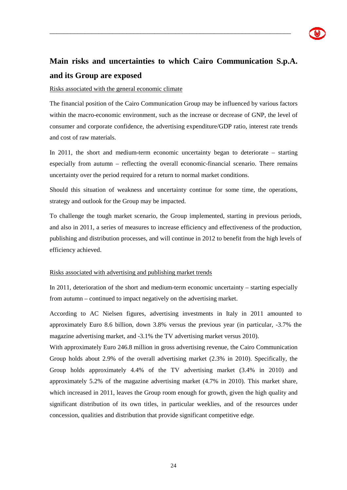# **Main risks and uncertainties to which Cairo Communication S.p.A. and its Group are exposed**

\_\_\_\_\_\_\_\_\_\_\_\_\_\_\_\_\_\_\_\_\_\_\_\_\_\_\_\_\_\_\_\_\_\_\_\_\_\_\_\_\_\_\_\_\_\_\_\_\_\_\_\_\_\_\_\_\_\_\_\_\_\_\_\_\_\_\_\_\_

#### Risks associated with the general economic climate

The financial position of the Cairo Communication Group may be influenced by various factors within the macro-economic environment, such as the increase or decrease of GNP, the level of consumer and corporate confidence, the advertising expenditure/GDP ratio, interest rate trends and cost of raw materials.

In 2011, the short and medium-term economic uncertainty began to deteriorate – starting especially from autumn – reflecting the overall economic-financial scenario. There remains uncertainty over the period required for a return to normal market conditions.

Should this situation of weakness and uncertainty continue for some time, the operations, strategy and outlook for the Group may be impacted.

To challenge the tough market scenario, the Group implemented, starting in previous periods, and also in 2011, a series of measures to increase efficiency and effectiveness of the production, publishing and distribution processes, and will continue in 2012 to benefit from the high levels of efficiency achieved.

#### Risks associated with advertising and publishing market trends

In 2011, deterioration of the short and medium-term economic uncertainty – starting especially from autumn – continued to impact negatively on the advertising market.

According to AC Nielsen figures, advertising investments in Italy in 2011 amounted to approximately Euro 8.6 billion, down 3.8% versus the previous year (in particular, -3.7% the magazine advertising market, and -3.1% the TV advertising market versus 2010).

With approximately Euro 246.8 million in gross advertising revenue, the Cairo Communication Group holds about 2.9% of the overall advertising market (2.3% in 2010). Specifically, the Group holds approximately 4.4% of the TV advertising market (3.4% in 2010) and approximately 5.2% of the magazine advertising market (4.7% in 2010). This market share, which increased in 2011, leaves the Group room enough for growth, given the high quality and significant distribution of its own titles, in particular weeklies, and of the resources under concession, qualities and distribution that provide significant competitive edge.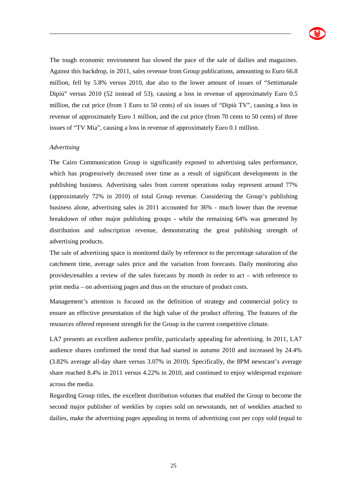The tough economic environment has slowed the pace of the sale of dailies and magazines. Against this backdrop, in 2011, sales revenue from Group publications, amounting to Euro 66.8 million, fell by 5.8% versus 2010, due also to the lower amount of issues of "Settimanale Dipiù" versus 2010 (52 instead of 53), causing a loss in revenue of approximately Euro 0.5 million, the cut price (from 1 Euro to 50 cents) of six issues of "Dipiù TV", causing a loss in revenue of approximately Euro 1 million, and the cut price (from 70 cents to 50 cents) of three issues of "TV Mia", causing a loss in revenue of approximately Euro 0.1 million.

\_\_\_\_\_\_\_\_\_\_\_\_\_\_\_\_\_\_\_\_\_\_\_\_\_\_\_\_\_\_\_\_\_\_\_\_\_\_\_\_\_\_\_\_\_\_\_\_\_\_\_\_\_\_\_\_\_\_\_\_\_\_\_\_\_\_\_\_\_

#### *Advertising*

The Cairo Communication Group is significantly exposed to advertising sales performance, which has progressively decreased over time as a result of significant developments in the publishing business. Advertising sales from current operations today represent around 77% (approximately 72% in 2010) of total Group revenue. Considering the Group's publishing business alone, advertising sales in 2011 accounted for 36% - much lower than the revenue breakdown of other major publishing groups - while the remaining 64% was generated by distribution and subscription revenue, demonstrating the great publishing strength of advertising products.

The sale of advertising space is monitored daily by reference to the percentage saturation of the catchment time, average sales price and the variation from forecasts. Daily monitoring also provides/enables a review of the sales forecasts by month in order to act – with reference to print media – on advertising pages and thus on the structure of product costs.

Management's attention is focused on the definition of strategy and commercial policy to ensure an effective presentation of the high value of the product offering. The features of the resources offered represent strength for the Group in the current competitive climate.

LA7 presents an excellent audience profile, particularly appealing for advertising. In 2011, LA7 audience shares confirmed the trend that had started in autumn 2010 and increased by 24.4% (3.82% average all-day share versus 3.07% in 2010). Specifically, the 8PM newscast's average share reached 8.4% in 2011 versus 4.22% in 2010, and continued to enjoy widespread exposure across the media.

Regarding Group titles, the excellent distribution volumes that enabled the Group to become the second major publisher of weeklies by copies sold on newsstands, net of weeklies attached to dailies, make the advertising pages appealing in terms of advertising cost per copy sold (equal to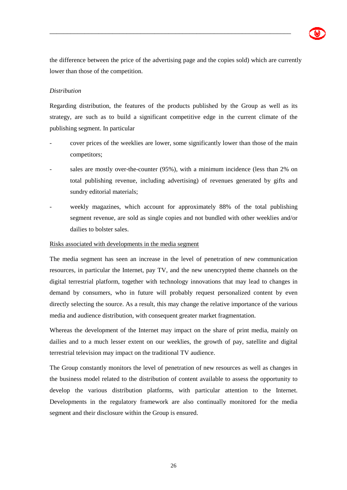

the difference between the price of the advertising page and the copies sold) which are currently lower than those of the competition.

\_\_\_\_\_\_\_\_\_\_\_\_\_\_\_\_\_\_\_\_\_\_\_\_\_\_\_\_\_\_\_\_\_\_\_\_\_\_\_\_\_\_\_\_\_\_\_\_\_\_\_\_\_\_\_\_\_\_\_\_\_\_\_\_\_\_\_\_\_

#### *Distribution*

Regarding distribution, the features of the products published by the Group as well as its strategy, are such as to build a significant competitive edge in the current climate of the publishing segment. In particular

- cover prices of the weeklies are lower, some significantly lower than those of the main competitors;
- sales are mostly over-the-counter (95%), with a minimum incidence (less than 2% on total publishing revenue, including advertising) of revenues generated by gifts and sundry editorial materials;
- weekly magazines, which account for approximately 88% of the total publishing segment revenue, are sold as single copies and not bundled with other weeklies and/or dailies to bolster sales.

#### Risks associated with developments in the media segment

The media segment has seen an increase in the level of penetration of new communication resources, in particular the Internet, pay TV, and the new unencrypted theme channels on the digital terrestrial platform, together with technology innovations that may lead to changes in demand by consumers, who in future will probably request personalized content by even directly selecting the source. As a result, this may change the relative importance of the various media and audience distribution, with consequent greater market fragmentation.

Whereas the development of the Internet may impact on the share of print media, mainly on dailies and to a much lesser extent on our weeklies, the growth of pay, satellite and digital terrestrial television may impact on the traditional TV audience.

The Group constantly monitors the level of penetration of new resources as well as changes in the business model related to the distribution of content available to assess the opportunity to develop the various distribution platforms, with particular attention to the Internet. Developments in the regulatory framework are also continually monitored for the media segment and their disclosure within the Group is ensured.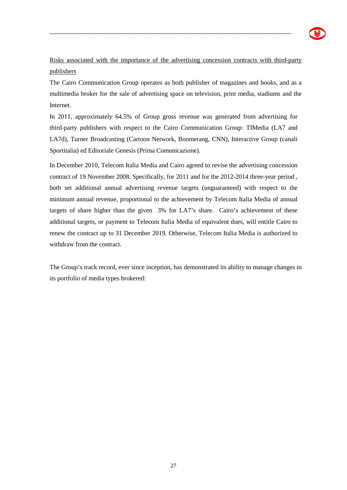

Risks associated with the importance of the advertising concession contracts with third-party publishers

\_\_\_\_\_\_\_\_\_\_\_\_\_\_\_\_\_\_\_\_\_\_\_\_\_\_\_\_\_\_\_\_\_\_\_\_\_\_\_\_\_\_\_\_\_\_\_\_\_\_\_\_\_\_\_\_\_\_\_\_\_\_\_\_\_\_\_\_\_

The Cairo Communication Group operates as both publisher of magazines and books, and as a multimedia broker for the sale of advertising space on television, print media, stadiums and the Internet.

In 2011, approximately 64.5% of Group gross revenue was generated from advertising for third-party publishers with respect to the Cairo Communication Group: TIMedia (LA7 and LA7d), Turner Broadcasting (Cartoon Network, Boomerang, CNN), Interactive Group (canali Sportitalia) ed Editoriale Genesis (Prima Comunicazione).

In December 2010, Telecom Italia Media and Cairo agreed to revise the advertising concession contract of 19 November 2008. Specifically, for 2011 and for the 2012-2014 three-year period , both set additional annual advertising revenue targets (unguaranteed) with respect to the minimum annual revenue, proportional to the achievement by Telecom Italia Media of annual targets of share higher than the given 3% for LA7's share. Cairo's achievement of these additional targets, or payment to Telecom Italia Media of equivalent dues, will entitle Cairo to renew the contract up to 31 December 2019. Otherwise, Telecom Italia Media is authorized to withdraw from the contract.

The Group's track record, ever since inception, has demonstrated its ability to manage changes in its portfolio of media types brokered: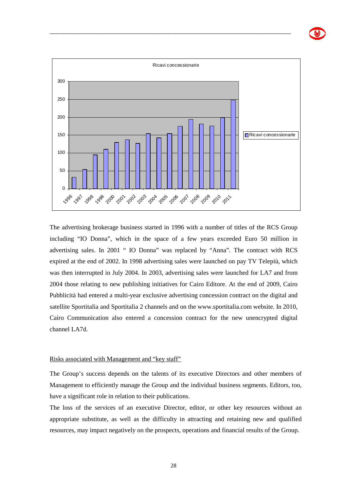

The advertising brokerage business started in 1996 with a number of titles of the RCS Group including "IO Donna", which in the space of a few years exceeded Euro 50 million in advertising sales. In 2001 " IO Donna" was replaced by "Anna". The contract with RCS expired at the end of 2002. In 1998 advertising sales were launched on pay TV Telepiù, which was then interrupted in July 2004. In 2003, advertising sales were launched for LA7 and from 2004 those relating to new publishing initiatives for Cairo Editore. At the end of 2009, Cairo Pubblicità had entered a multi-year exclusive advertising concession contract on the digital and satellite Sportitalia and Sportitalia 2 channels and on the www.sportitalia.com website. In 2010, Cairo Communication also entered a concession contract for the new unencrypted digital channel LA7d.

#### Risks associated with Management and "key staff"

The Group's success depends on the talents of its executive Directors and other members of Management to efficiently manage the Group and the individual business segments. Editors, too, have a significant role in relation to their publications.

The loss of the services of an executive Director, editor, or other key resources without an appropriate substitute, as well as the difficulty in attracting and retaining new and qualified resources, may impact negatively on the prospects, operations and financial results of the Group.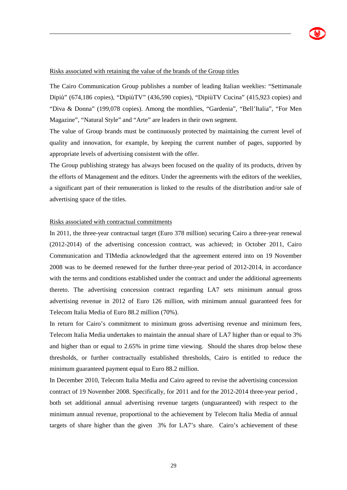#### Risks associated with retaining the value of the brands of the Group titles

The Cairo Communication Group publishes a number of leading Italian weeklies: "Settimanale Dipiù" (674,186 copies), "DipiùTV" (436,590 copies), "DipiùTV Cucina" (415,923 copies) and "Diva & Donna" (199,078 copies). Among the monthlies, "Gardenia", "Bell'Italia", "For Men Magazine", "Natural Style" and "Arte" are leaders in their own segment.

\_\_\_\_\_\_\_\_\_\_\_\_\_\_\_\_\_\_\_\_\_\_\_\_\_\_\_\_\_\_\_\_\_\_\_\_\_\_\_\_\_\_\_\_\_\_\_\_\_\_\_\_\_\_\_\_\_\_\_\_\_\_\_\_\_\_\_\_\_

The value of Group brands must be continuously protected by maintaining the current level of quality and innovation, for example, by keeping the current number of pages, supported by appropriate levels of advertising consistent with the offer.

The Group publishing strategy has always been focused on the quality of its products, driven by the efforts of Management and the editors. Under the agreements with the editors of the weeklies, a significant part of their remuneration is linked to the results of the distribution and/or sale of advertising space of the titles.

#### Risks associated with contractual commitments

In 2011, the three-year contractual target (Euro 378 million) securing Cairo a three-year renewal (2012-2014) of the advertising concession contract, was achieved; in October 2011, Cairo Communication and TIMedia acknowledged that the agreement entered into on 19 November 2008 was to be deemed renewed for the further three-year period of 2012-2014, in accordance with the terms and conditions established under the contract and under the additional agreements thereto. The advertising concession contract regarding LA7 sets minimum annual gross advertising revenue in 2012 of Euro 126 million, with minimum annual guaranteed fees for Telecom Italia Media of Euro 88.2 million (70%).

In return for Cairo's commitment to minimum gross advertising revenue and minimum fees, Telecom Italia Media undertakes to maintain the annual share of LA7 higher than or equal to 3% and higher than or equal to 2.65% in prime time viewing. Should the shares drop below these thresholds, or further contractually established thresholds, Cairo is entitled to reduce the minimum guaranteed payment equal to Euro 88.2 million.

In December 2010, Telecom Italia Media and Cairo agreed to revise the advertising concession contract of 19 November 2008. Specifically, for 2011 and for the 2012-2014 three-year period , both set additional annual advertising revenue targets (unguaranteed) with respect to the minimum annual revenue, proportional to the achievement by Telecom Italia Media of annual targets of share higher than the given 3% for LA7's share. Cairo's achievement of these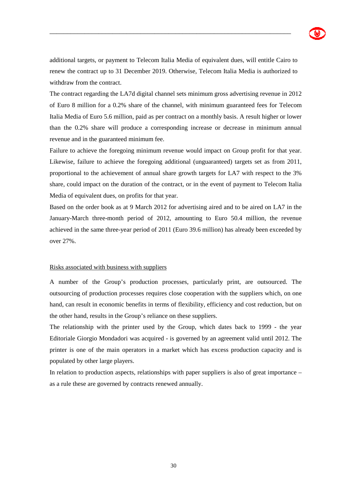

additional targets, or payment to Telecom Italia Media of equivalent dues, will entitle Cairo to renew the contract up to 31 December 2019. Otherwise, Telecom Italia Media is authorized to withdraw from the contract.

\_\_\_\_\_\_\_\_\_\_\_\_\_\_\_\_\_\_\_\_\_\_\_\_\_\_\_\_\_\_\_\_\_\_\_\_\_\_\_\_\_\_\_\_\_\_\_\_\_\_\_\_\_\_\_\_\_\_\_\_\_\_\_\_\_\_\_\_\_

The contract regarding the LA7d digital channel sets minimum gross advertising revenue in 2012 of Euro 8 million for a 0.2% share of the channel, with minimum guaranteed fees for Telecom Italia Media of Euro 5.6 million, paid as per contract on a monthly basis. A result higher or lower than the 0.2% share will produce a corresponding increase or decrease in minimum annual revenue and in the guaranteed minimum fee.

Failure to achieve the foregoing minimum revenue would impact on Group profit for that year. Likewise, failure to achieve the foregoing additional (unguaranteed) targets set as from 2011, proportional to the achievement of annual share growth targets for LA7 with respect to the 3% share, could impact on the duration of the contract, or in the event of payment to Telecom Italia Media of equivalent dues, on profits for that year.

Based on the order book as at 9 March 2012 for advertising aired and to be aired on LA7 in the January-March three-month period of 2012, amounting to Euro 50.4 million, the revenue achieved in the same three-year period of 2011 (Euro 39.6 million) has already been exceeded by over 27%.

#### Risks associated with business with suppliers

A number of the Group's production processes, particularly print, are outsourced. The outsourcing of production processes requires close cooperation with the suppliers which, on one hand, can result in economic benefits in terms of flexibility, efficiency and cost reduction, but on the other hand, results in the Group's reliance on these suppliers.

The relationship with the printer used by the Group, which dates back to 1999 - the year Editoriale Giorgio Mondadori was acquired - is governed by an agreement valid until 2012. The printer is one of the main operators in a market which has excess production capacity and is populated by other large players.

In relation to production aspects, relationships with paper suppliers is also of great importance – as a rule these are governed by contracts renewed annually.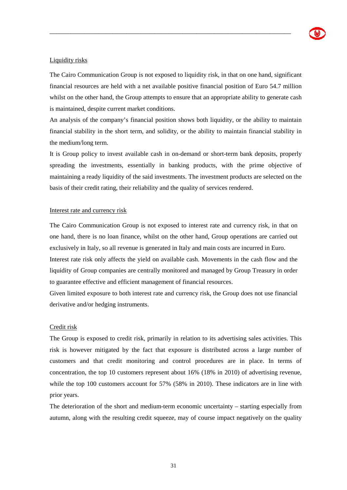#### Liquidity risks

The Cairo Communication Group is not exposed to liquidity risk, in that on one hand, significant financial resources are held with a net available positive financial position of Euro 54.7 million whilst on the other hand, the Group attempts to ensure that an appropriate ability to generate cash is maintained, despite current market conditions.

\_\_\_\_\_\_\_\_\_\_\_\_\_\_\_\_\_\_\_\_\_\_\_\_\_\_\_\_\_\_\_\_\_\_\_\_\_\_\_\_\_\_\_\_\_\_\_\_\_\_\_\_\_\_\_\_\_\_\_\_\_\_\_\_\_\_\_\_\_

An analysis of the company's financial position shows both liquidity, or the ability to maintain financial stability in the short term, and solidity, or the ability to maintain financial stability in the medium/long term.

It is Group policy to invest available cash in on-demand or short-term bank deposits, properly spreading the investments, essentially in banking products, with the prime objective of maintaining a ready liquidity of the said investments. The investment products are selected on the basis of their credit rating, their reliability and the quality of services rendered.

#### Interest rate and currency risk

The Cairo Communication Group is not exposed to interest rate and currency risk, in that on one hand, there is no loan finance, whilst on the other hand, Group operations are carried out exclusively in Italy, so all revenue is generated in Italy and main costs are incurred in Euro.

Interest rate risk only affects the yield on available cash. Movements in the cash flow and the liquidity of Group companies are centrally monitored and managed by Group Treasury in order to guarantee effective and efficient management of financial resources.

Given limited exposure to both interest rate and currency risk, the Group does not use financial derivative and/or hedging instruments.

#### Credit risk

The Group is exposed to credit risk, primarily in relation to its advertising sales activities. This risk is however mitigated by the fact that exposure is distributed across a large number of customers and that credit monitoring and control procedures are in place. In terms of concentration, the top 10 customers represent about 16% (18% in 2010) of advertising revenue, while the top 100 customers account for 57% (58% in 2010). These indicators are in line with prior years.

The deterioration of the short and medium-term economic uncertainty – starting especially from autumn, along with the resulting credit squeeze, may of course impact negatively on the quality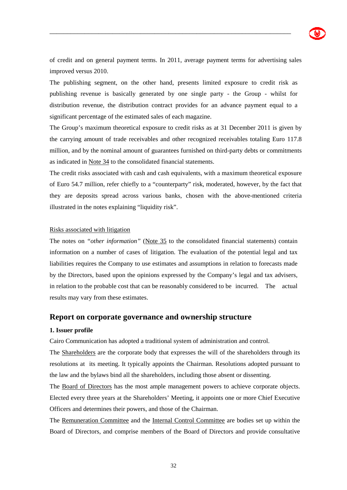

of credit and on general payment terms. In 2011, average payment terms for advertising sales improved versus 2010.

\_\_\_\_\_\_\_\_\_\_\_\_\_\_\_\_\_\_\_\_\_\_\_\_\_\_\_\_\_\_\_\_\_\_\_\_\_\_\_\_\_\_\_\_\_\_\_\_\_\_\_\_\_\_\_\_\_\_\_\_\_\_\_\_\_\_\_\_\_

The publishing segment, on the other hand, presents limited exposure to credit risk as publishing revenue is basically generated by one single party - the Group - whilst for distribution revenue, the distribution contract provides for an advance payment equal to a significant percentage of the estimated sales of each magazine.

The Group's maximum theoretical exposure to credit risks as at 31 December 2011 is given by the carrying amount of trade receivables and other recognized receivables totaling Euro 117.8 million, and by the nominal amount of guarantees furnished on third-party debts or commitments as indicated in Note 34 to the consolidated financial statements.

The credit risks associated with cash and cash equivalents, with a maximum theoretical exposure of Euro 54.7 million, refer chiefly to a "counterparty" risk, moderated, however, by the fact that they are deposits spread across various banks, chosen with the above-mentioned criteria illustrated in the notes explaining "liquidity risk".

#### Risks associated with litigation

The notes on *"other information"* (Note 35 to the consolidated financial statements) contain information on a number of cases of litigation. The evaluation of the potential legal and tax liabilities requires the Company to use estimates and assumptions in relation to forecasts made by the Directors, based upon the opinions expressed by the Company's legal and tax advisers, in relation to the probable cost that can be reasonably considered to be incurred. The actual results may vary from these estimates.

#### **Report on corporate governance and ownership structure**

#### **1. Issuer profile**

Cairo Communication has adopted a traditional system of administration and control.

The Shareholders are the corporate body that expresses the will of the shareholders through its resolutions at its meeting. It typically appoints the Chairman. Resolutions adopted pursuant to the law and the bylaws bind all the shareholders, including those absent or dissenting.

The Board of Directors has the most ample management powers to achieve corporate objects. Elected every three years at the Shareholders' Meeting, it appoints one or more Chief Executive Officers and determines their powers, and those of the Chairman.

The Remuneration Committee and the Internal Control Committee are bodies set up within the Board of Directors, and comprise members of the Board of Directors and provide consultative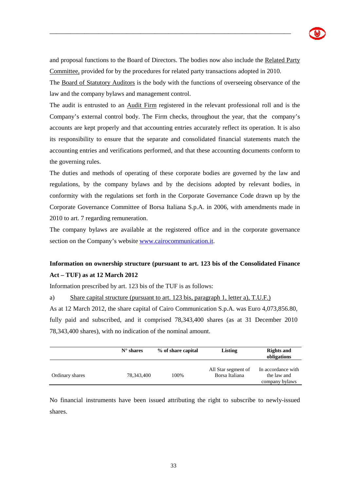

and proposal functions to the Board of Directors. The bodies now also include the Related Party Committee, provided for by the procedures for related party transactions adopted in 2010.

\_\_\_\_\_\_\_\_\_\_\_\_\_\_\_\_\_\_\_\_\_\_\_\_\_\_\_\_\_\_\_\_\_\_\_\_\_\_\_\_\_\_\_\_\_\_\_\_\_\_\_\_\_\_\_\_\_\_\_\_\_\_\_\_\_\_\_\_\_

The Board of Statutory Auditors is the body with the functions of overseeing observance of the law and the company bylaws and management control.

The audit is entrusted to an Audit Firm registered in the relevant professional roll and is the Company's external control body. The Firm checks, throughout the year, that the company's accounts are kept properly and that accounting entries accurately reflect its operation. It is also its responsibility to ensure that the separate and consolidated financial statements match the accounting entries and verifications performed, and that these accounting documents conform to the governing rules.

The duties and methods of operating of these corporate bodies are governed by the law and regulations, by the company bylaws and by the decisions adopted by relevant bodies, in conformity with the regulations set forth in the Corporate Governance Code drawn up by the Corporate Governance Committee of Borsa Italiana S.p.A. in 2006, with amendments made in 2010 to art. 7 regarding remuneration.

The company bylaws are available at the registered office and in the corporate governance section on the Company's website www.cairocommunication.it.

## **Information on ownership structure (pursuant to art. 123 bis of the Consolidated Finance Act – TUF) as at 12 March 2012**

Information prescribed by art. 123 bis of the TUF is as follows:

a) Share capital structure (pursuant to art. 123 bis, paragraph 1, letter a), T.U.F.) As at 12 March 2012, the share capital of Cairo Communication S.p.A. was Euro 4,073,856.80, fully paid and subscribed, and it comprised 78,343,400 shares (as at 31 December 2010 78,343,400 shares), with no indication of the nominal amount.

|                 | $N^{\circ}$ shares | % of share capital | Listing                               | <b>Rights and</b><br>obligations                    |  |
|-----------------|--------------------|--------------------|---------------------------------------|-----------------------------------------------------|--|
| Ordinary shares | 78,343,400         | 100%               | All Star segment of<br>Borsa Italiana | In accordance with<br>the law and<br>company bylaws |  |

No financial instruments have been issued attributing the right to subscribe to newly-issued shares.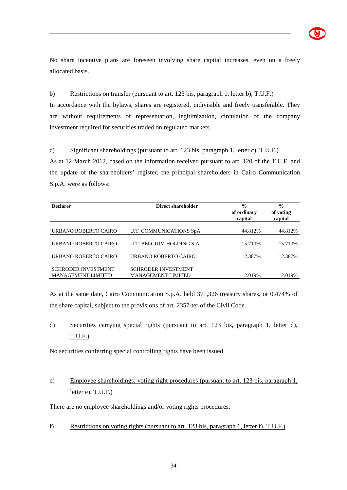

No share incentive plans are foreseen involving share capital increases, even on a freely allocated basis.

\_\_\_\_\_\_\_\_\_\_\_\_\_\_\_\_\_\_\_\_\_\_\_\_\_\_\_\_\_\_\_\_\_\_\_\_\_\_\_\_\_\_\_\_\_\_\_\_\_\_\_\_\_\_\_\_\_\_\_\_\_\_\_\_\_\_\_\_\_

#### b) Restrictions on transfer (pursuant to art. 123 bis, paragraph 1, letter b), T.U.F.)

In accordance with the bylaws, shares are registered, indivisible and freely transferable. They are without requirements of representation, legitimization, circulation of the company investment required for securities traded on regulated markets.

#### c) Significant shareholdings (pursuant to art. 123 bis, paragraph 1, letter c), T.U.F.)

As at 12 March 2012, based on the information received pursuant to art. 120 of the T.U.F. and the update of the shareholders' register, the principal shareholders in Cairo Communication S.p.A. were as follows:

| <b>Declarer</b>                                         | Direct shareholder                                      | $\frac{0}{0}$<br>of ordinary<br>capital | $\frac{6}{9}$<br>of voting<br>capital |
|---------------------------------------------------------|---------------------------------------------------------|-----------------------------------------|---------------------------------------|
| URBANO ROBERTO CAIRO                                    | U.T. COMMUNICATIONS SpA                                 | 44.812%                                 | 44.812%                               |
| URBANO ROBERTO CAIRO                                    | U.T. BELGIUM HOLDING S.A.                               | 15.710\%                                | 15.710\%                              |
| URBANO ROBERTO CAIRO                                    | URBANO ROBERTO CAIRO                                    | 12.387%                                 | 12.387%                               |
| <b>SCHRODER INVESTMENT</b><br><b>MANAGEMENT LIMITED</b> | <b>SCHRODER INVESTMENT</b><br><b>MANAGEMENT LIMITED</b> | 2.019%                                  | 2.019%                                |

As at the same date, Cairo Communication S.p.A. held 371,326 treasury shares, or 0.474% of the share capital, subject to the provisions of art. 2357-ter of the Civil Code.

## d) Securities carrying special rights (pursuant to art. 123 bis, paragraph 1, letter d), T.U.F.)

No securities conferring special controlling rights have been issued.

## e) Employee shareholdings: voting right procedures (pursuant to art. 123 bis, paragraph 1, letter e),  $T.U.F.$ )

There are no employee shareholdings and/or voting rights procedures.

f) Restrictions on voting rights (pursuant to art. 123 bis, paragraph 1, letter f), T.U.F.)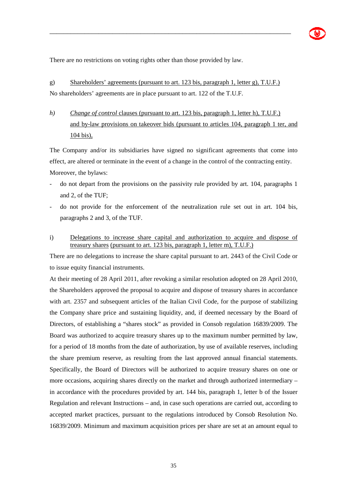There are no restrictions on voting rights other than those provided by law.

## g) Shareholders' agreements (pursuant to art. 123 bis, paragraph 1, letter g), T.U.F.) No shareholders' agreements are in place pursuant to art. 122 of the T.U.F.

\_\_\_\_\_\_\_\_\_\_\_\_\_\_\_\_\_\_\_\_\_\_\_\_\_\_\_\_\_\_\_\_\_\_\_\_\_\_\_\_\_\_\_\_\_\_\_\_\_\_\_\_\_\_\_\_\_\_\_\_\_\_\_\_\_\_\_\_\_

*h*) *Change of control* clauses (pursuant to art. 123 bis, paragraph 1, letter h), T.U.F.) and by-law provisions on takeover bids (pursuant to articles 104, paragraph 1 ter, and 104 bis),

The Company and/or its subsidiaries have signed no significant agreements that come into effect, are altered or terminate in the event of a change in the control of the contracting entity. Moreover, the bylaws:

- do not depart from the provisions on the passivity rule provided by art. 104, paragraphs 1 and 2, of the TUF;
- do not provide for the enforcement of the neutralization rule set out in art. 104 bis, paragraphs 2 and 3, of the TUF.
- i) Delegations to increase share capital and authorization to acquire and dispose of treasury shares (pursuant to art. 123 bis, paragraph 1, letter m), T.U.F.)

There are no delegations to increase the share capital pursuant to art. 2443 of the Civil Code or to issue equity financial instruments.

At their meeting of 28 April 2011, after revoking a similar resolution adopted on 28 April 2010, the Shareholders approved the proposal to acquire and dispose of treasury shares in accordance with art. 2357 and subsequent articles of the Italian Civil Code, for the purpose of stabilizing the Company share price and sustaining liquidity, and, if deemed necessary by the Board of Directors, of establishing a "shares stock" as provided in Consob regulation 16839/2009. The Board was authorized to acquire treasury shares up to the maximum number permitted by law, for a period of 18 months from the date of authorization, by use of available reserves, including the share premium reserve, as resulting from the last approved annual financial statements. Specifically, the Board of Directors will be authorized to acquire treasury shares on one or more occasions, acquiring shares directly on the market and through authorized intermediary – in accordance with the procedures provided by art. 144 bis, paragraph 1, letter b of the Issuer Regulation and relevant Instructions – and, in case such operations are carried out, according to accepted market practices, pursuant to the regulations introduced by Consob Resolution No. 16839/2009. Minimum and maximum acquisition prices per share are set at an amount equal to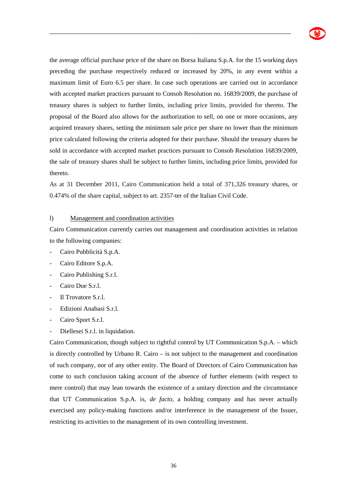

the average official purchase price of the share on Borsa Italiana S.p.A. for the 15 working days preceding the purchase respectively reduced or increased by 20%, in any event within a maximum limit of Euro 6.5 per share. In case such operations are carried out in accordance with accepted market practices pursuant to Consob Resolution no. 16839/2009, the purchase of treasury shares is subject to further limits, including price limits, provided for thereto. The proposal of the Board also allows for the authorization to sell, on one or more occasions, any acquired treasury shares, setting the minimum sale price per share no lower than the minimum price calculated following the criteria adopted for their purchase. Should the treasury shares be sold in accordance with accepted market practices pursuant to Consob Resolution 16839/2009, the sale of treasury shares shall be subject to further limits, including price limits, provided for thereto.

\_\_\_\_\_\_\_\_\_\_\_\_\_\_\_\_\_\_\_\_\_\_\_\_\_\_\_\_\_\_\_\_\_\_\_\_\_\_\_\_\_\_\_\_\_\_\_\_\_\_\_\_\_\_\_\_\_\_\_\_\_\_\_\_\_\_\_\_\_

As at 31 December 2011, Cairo Communication held a total of 371,326 treasury shares, or 0.474% of the share capital, subject to art. 2357-ter of the Italian Civil Code.

#### l) Management and coordination activities

Cairo Communication currently carries out management and coordination activities in relation to the following companies:

- Cairo Pubblicità S.p.A.
- Cairo Editore S.p.A.
- Cairo Publishing S.r.l.
- Cairo Due S.r.l.
- Il Trovatore S r l.
- Edizioni Anabasi S.r.l.
- Cairo Sport S.r.l.
- Diellesei S.r.l. in liquidation.

Cairo Communication, though subject to rightful control by UT Communication S.p.A. – which is directly controlled by Urbano R. Cairo – is not subject to the management and coordination of such company, nor of any other entity. The Board of Directors of Cairo Communication has come to such conclusion taking account of the absence of further elements (with respect to mere control) that may lean towards the existence of a unitary direction and the circumstance that UT Communication S.p.A. is, *de facto*, a holding company and has never actually exercised any policy-making functions and/or interference in the management of the Issuer, restricting its activities to the management of its own controlling investment.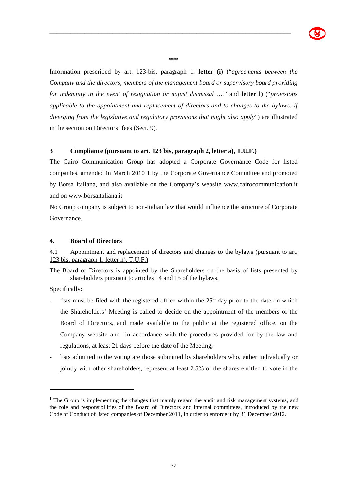

\*\*\*

\_\_\_\_\_\_\_\_\_\_\_\_\_\_\_\_\_\_\_\_\_\_\_\_\_\_\_\_\_\_\_\_\_\_\_\_\_\_\_\_\_\_\_\_\_\_\_\_\_\_\_\_\_\_\_\_\_\_\_\_\_\_\_\_\_\_\_\_\_

Information prescribed by art. 123-bis, paragraph 1, **letter (i)** ("*agreements between the Company and the directors, members of the management board or supervisory board providing for indemnity in the event of resignation or unjust dismissal ….*" and **letter l)** ("*provisions applicable to the appointment and replacement of directors and to changes to the bylaws, if diverging from the legislative and regulatory provisions that might also apply*") are illustrated in the section on Directors' fees (Sect. 9).

### **3 Compliance (pursuant to art. 123 bis, paragraph 2, letter a), T.U.F.)**

The Cairo Communication Group has adopted a Corporate Governance Code for listed companies, amended in March 2010 1 by the Corporate Governance Committee and promoted by Borsa Italiana, and also available on the Company's website www.cairocommunication.it and on www.borsaitaliana.it

No Group company is subject to non-Italian law that would influence the structure of Corporate Governance.

## **4. Board of Directors**

4.1 Appointment and replacement of directors and changes to the bylaws (pursuant to art. 123 bis, paragraph 1, letter h), T.U.F.)

The Board of Directors is appointed by the Shareholders on the basis of lists presented by shareholders pursuant to articles 14 and 15 of the bylaws.

Specifically:

- lists must be filed with the registered office within the  $25<sup>th</sup>$  day prior to the date on which the Shareholders' Meeting is called to decide on the appointment of the members of the Board of Directors, and made available to the public at the registered office, on the Company website and in accordance with the procedures provided for by the law and regulations, at least 21 days before the date of the Meeting;
- lists admitted to the voting are those submitted by shareholders who, either individually or jointly with other shareholders, represent at least 2.5% of the shares entitled to vote in the

<sup>&</sup>lt;sup>1</sup> The Group is implementing the changes that mainly regard the audit and risk management systems, and the role and responsibilities of the Board of Directors and internal committees, introduced by the new Code of Conduct of listed companies of December 2011, in order to enforce it by 31 December 2012.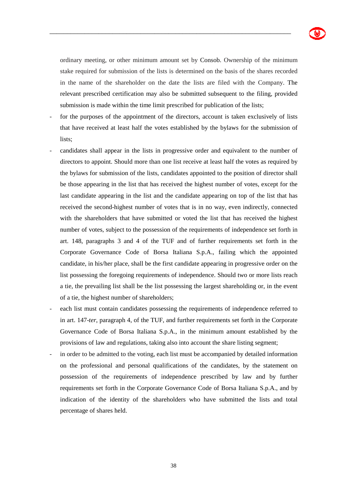ordinary meeting, or other minimum amount set by Consob. Ownership of the minimum stake required for submission of the lists is determined on the basis of the shares recorded in the name of the shareholder on the date the lists are filed with the Company. The relevant prescribed certification may also be submitted subsequent to the filing, provided submission is made within the time limit prescribed for publication of the lists;

\_\_\_\_\_\_\_\_\_\_\_\_\_\_\_\_\_\_\_\_\_\_\_\_\_\_\_\_\_\_\_\_\_\_\_\_\_\_\_\_\_\_\_\_\_\_\_\_\_\_\_\_\_\_\_\_\_\_\_\_\_\_\_\_\_\_\_\_\_

- for the purposes of the appointment of the directors, account is taken exclusively of lists that have received at least half the votes established by the bylaws for the submission of lists;
- candidates shall appear in the lists in progressive order and equivalent to the number of directors to appoint. Should more than one list receive at least half the votes as required by the bylaws for submission of the lists, candidates appointed to the position of director shall be those appearing in the list that has received the highest number of votes, except for the last candidate appearing in the list and the candidate appearing on top of the list that has received the second-highest number of votes that is in no way, even indirectly, connected with the shareholders that have submitted or voted the list that has received the highest number of votes, subject to the possession of the requirements of independence set forth in art. 148, paragraphs 3 and 4 of the TUF and of further requirements set forth in the Corporate Governance Code of Borsa Italiana S.p.A., failing which the appointed candidate, in his/her place, shall be the first candidate appearing in progressive order on the list possessing the foregoing requirements of independence. Should two or more lists reach a tie, the prevailing list shall be the list possessing the largest shareholding or, in the event of a tie, the highest number of shareholders;
- each list must contain candidates possessing the requirements of independence referred to in art. 147-*ter*, paragraph 4, of the TUF, and further requirements set forth in the Corporate Governance Code of Borsa Italiana S.p.A., in the minimum amount established by the provisions of law and regulations, taking also into account the share listing segment;
- in order to be admitted to the voting, each list must be accompanied by detailed information on the professional and personal qualifications of the candidates, by the statement on possession of the requirements of independence prescribed by law and by further requirements set forth in the Corporate Governance Code of Borsa Italiana S.p.A., and by indication of the identity of the shareholders who have submitted the lists and total percentage of shares held.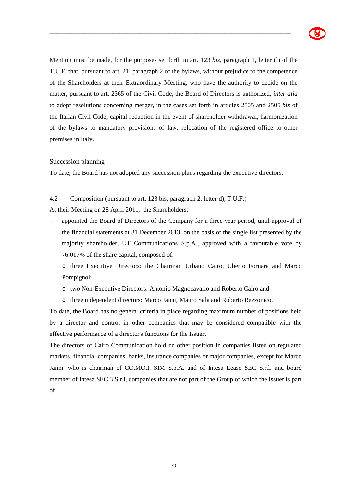

Mention must be made, for the purposes set forth in art. 123 *bis,* paragraph 1, letter (l) of the T.U.F. that, pursuant to art. 21, paragraph 2 of the bylaws, without prejudice to the competence of the Shareholders at their Extraordinary Meeting, who have the authority to decide on the matter, pursuant to art. 2365 of the Civil Code, the Board of Directors is authorized, *inter alia* to adopt resolutions concerning merger, in the cases set forth in articles 2505 and 2505 *bis* of the Italian Civil Code, capital reduction in the event of shareholder withdrawal, harmonization of the bylaws to mandatory provisions of law, relocation of the registered office to other premises in Italy.

\_\_\_\_\_\_\_\_\_\_\_\_\_\_\_\_\_\_\_\_\_\_\_\_\_\_\_\_\_\_\_\_\_\_\_\_\_\_\_\_\_\_\_\_\_\_\_\_\_\_\_\_\_\_\_\_\_\_\_\_\_\_\_\_\_\_\_\_\_

# Succession planning

To date, the Board has not adopted any succession plans regarding the executive directors.

## 4.2Composition (pursuant to art. 123 bis, paragraph 2, letter d), T.U.F.)

At their Meeting on 28 April 2011, the Shareholders:

- appointed the Board of Directors of the Company for a three-year period, until approval of the financial statements at 31 December 2013, on the basis of the single list presented by the majority shareholder, UT Communications S.p.A., approved with a favourable vote by 76.017% of the share capital, composed of:
	- o three Executive Directors: the Chairman Urbano Cairo, Uberto Fornara and Marco Pompignoli,
	- o two Non-Executive Directors: Antonio Magnocavallo and Roberto Cairo and
	- o three independent directors: Marco Janni, Mauro Sala and Roberto Rezzonico.

To date, the Board has no general criteria in place regarding maximum number of positions held by a director and control in other companies that may be considered compatible with the effective performance of a director's functions for the Issuer.

The directors of Cairo Communication hold no other position in companies listed on regulated markets, financial companies, banks, insurance companies or major companies, except for Marco Janni, who is chairman of CO.MO.I. SIM S.p.A. and of Intesa Lease SEC S.r.l. and board member of Intesa SEC 3 S.r.l, companies that are not part of the Group of which the Issuer is part of.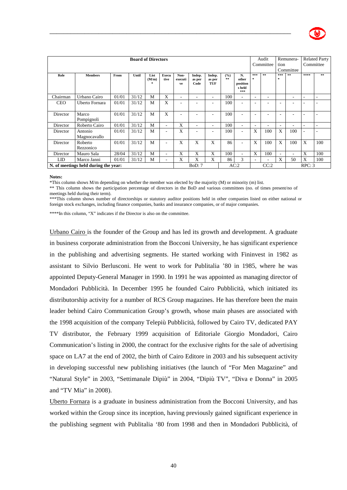

| <b>Board of Directors</b>            |                         |       |       |                    |                      |                       |                          |                          |             | Audit<br>Committee                       |          | Remunera-<br>tion<br>Committee |                     | <b>Related Party</b><br>Committee |      |     |
|--------------------------------------|-------------------------|-------|-------|--------------------|----------------------|-----------------------|--------------------------|--------------------------|-------------|------------------------------------------|----------|--------------------------------|---------------------|-----------------------------------|------|-----|
| Role                                 | <b>Members</b>          | From  | Until | List<br>(M/m)<br>字 | <b>Execu</b><br>tive | Non-<br>executi<br>ve | Indep.<br>as per<br>Code | Indep.<br>as per<br>TUF  | (9/6)<br>** | N.<br>other<br>position<br>s held<br>*** | ***<br>* | **                             | ***<br>$\mathbf{x}$ | $\pm\pm$                          | **** | **  |
| Chairman                             | Urbano Cairo            | 01/01 | 31/12 | M                  | X                    | ٠                     | ٠                        | $\overline{\phantom{a}}$ | 100         | ٠                                        | ۰        | ۰                              |                     | ۰                                 | -    |     |
| <b>CEO</b>                           | Uberto Fornara          | 01/01 | 31/12 | M                  | X                    | ۰                     | $\overline{\phantom{a}}$ | $\overline{\phantom{a}}$ | 100         | ٠                                        | ۰        |                                | ۰                   | ۰                                 |      |     |
| Director                             | Marco<br>Pompignoli     | 01/01 | 31/12 | M                  | X                    |                       |                          |                          | 100         | ۰                                        |          |                                |                     |                                   |      |     |
| Director                             | Roberto Cairo           | 01/01 | 31/12 | M                  | ٠                    | X                     | $\overline{\phantom{a}}$ | $\sim$                   | 100         | $\overline{\phantom{a}}$                 | ۰        |                                | ۰                   | ۰                                 |      |     |
| Director                             | Antonio<br>Magnocavallo | 01/01 | 31/12 | M                  | ۰                    | X                     |                          | $\overline{\phantom{a}}$ | 100         | $\overline{\phantom{a}}$                 | X        | 100                            | X                   | 100                               |      |     |
| Director                             | Roberto<br>Rezzonico    | 01/01 | 31/12 | M                  | ۰                    | X                     | X                        | X                        | 86          | ۰                                        | X        | 100                            | X                   | 100                               | X    | 100 |
| Director                             | Mauro Sala              | 28/04 | 31/12 | M                  | ۰                    | X                     | X                        | X                        | 100         | ٠                                        | X        | 100                            | ٠                   | $\overline{\phantom{a}}$          | X    | 100 |
| LID                                  | Marco Janni             | 01/01 | 31/12 | M                  | ٠                    | X                     | X                        | X                        | 86          | 3                                        | ۰        | ٠                              | X                   | 50                                | X    | 100 |
| N. of meetings held during the year: |                         |       |       |                    | BoD: 7               |                       |                          | AC:2                     |             | CC:2                                     |          |                                | RPC: 3              |                                   |      |     |

\_\_\_\_\_\_\_\_\_\_\_\_\_\_\_\_\_\_\_\_\_\_\_\_\_\_\_\_\_\_\_\_\_\_\_\_\_\_\_\_\_\_\_\_\_\_\_\_\_\_\_\_\_\_\_\_\_\_\_\_\_\_\_\_\_\_\_\_\_

**Notes:** 

\*This column shows M/m depending on whether the member was elected by the majority (M) or minority (m) list.

\*\* This column shows the participation percentage of directors in the BoD and various committees (no. of times present/no of meetings held during their term).

\*\*\*This column shows number of directorships or statutory auditor positions held in other companies listed on either national or foreign stock exchanges, including finance companies, banks and insurance companies, or of major companies.

\*\*\*\*In this column, "X" indicates if the Director is also on the committee.

Urbano Cairo is the founder of the Group and has led its growth and development. A graduate in business corporate administration from the Bocconi University, he has significant experience in the publishing and advertising segments. He started working with Fininvest in 1982 as assistant to Silvio Berlusconi. He went to work for Publitalia '80 in 1985, where he was appointed Deputy-General Manager in 1990. In 1991 he was appointed as managing director of Mondadori Pubblicità. In December 1995 he founded Cairo Pubblicità, which initiated its distributorship activity for a number of RCS Group magazines. He has therefore been the main leader behind Cairo Communication Group's growth, whose main phases are associated with the 1998 acquisition of the company Telepiù Pubblicità, followed by Cairo TV, dedicated PAY TV distributor, the February 1999 acquisition of Editoriale Giorgio Mondadori, Cairo Communication's listing in 2000, the contract for the exclusive rights for the sale of advertising space on LA7 at the end of 2002, the birth of Cairo Editore in 2003 and his subsequent activity in developing successful new publishing initiatives (the launch of "For Men Magazine" and "Natural Style" in 2003, "Settimanale Dipiù" in 2004, "Dipiù TV", "Diva e Donna" in 2005 and "TV Mia" in 2008).

Uberto Fornara is a graduate in business administration from the Bocconi University, and has worked within the Group since its inception, having previously gained significant experience in the publishing segment with Publitalia '80 from 1998 and then in Mondadori Pubblicità, of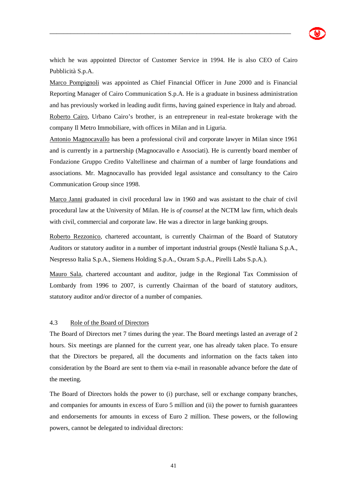

which he was appointed Director of Customer Service in 1994. He is also CEO of Cairo Pubblicità S.p.A.

\_\_\_\_\_\_\_\_\_\_\_\_\_\_\_\_\_\_\_\_\_\_\_\_\_\_\_\_\_\_\_\_\_\_\_\_\_\_\_\_\_\_\_\_\_\_\_\_\_\_\_\_\_\_\_\_\_\_\_\_\_\_\_\_\_\_\_\_\_

Marco Pompignoli was appointed as Chief Financial Officer in June 2000 and is Financial Reporting Manager of Cairo Communication S.p.A. He is a graduate in business administration and has previously worked in leading audit firms, having gained experience in Italy and abroad. Roberto Cairo, Urbano Cairo's brother, is an entrepreneur in real-estate brokerage with the company Il Metro Immobiliare, with offices in Milan and in Liguria.

Antonio Magnocavallo has been a professional civil and corporate lawyer in Milan since 1961 and is currently in a partnership (Magnocavallo e Associati). He is currently board member of Fondazione Gruppo Credito Valtellinese and chairman of a number of large foundations and associations. Mr. Magnocavallo has provided legal assistance and consultancy to the Cairo Communication Group since 1998.

Marco Janni graduated in civil procedural law in 1960 and was assistant to the chair of civil procedural law at the University of Milan. He is *of counsel* at the NCTM law firm, which deals with civil, commercial and corporate law. He was a director in large banking groups.

Roberto Rezzonico, chartered accountant, is currently Chairman of the Board of Statutory Auditors or statutory auditor in a number of important industrial groups (Nestlè Italiana S.p.A., Nespresso Italia S.p.A., Siemens Holding S.p.A., Osram S.p.A., Pirelli Labs S.p.A.).

Mauro Sala, chartered accountant and auditor, judge in the Regional Tax Commission of Lombardy from 1996 to 2007, is currently Chairman of the board of statutory auditors, statutory auditor and/or director of a number of companies.

### 4.3 Role of the Board of Directors

The Board of Directors met 7 times during the year. The Board meetings lasted an average of 2 hours. Six meetings are planned for the current year, one has already taken place. To ensure that the Directors be prepared, all the documents and information on the facts taken into consideration by the Board are sent to them via e-mail in reasonable advance before the date of the meeting.

The Board of Directors holds the power to (i) purchase, sell or exchange company branches, and companies for amounts in excess of Euro 5 million and (ii) the power to furnish guarantees and endorsements for amounts in excess of Euro 2 million. These powers, or the following powers, cannot be delegated to individual directors: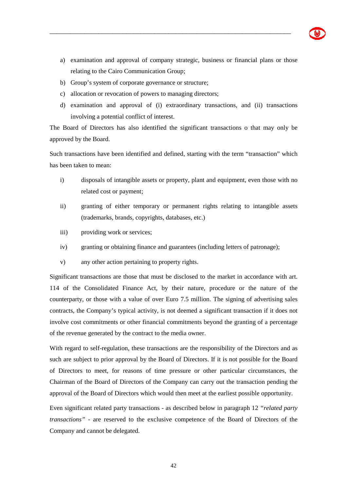a) examination and approval of company strategic, business or financial plans or those relating to the Cairo Communication Group;

\_\_\_\_\_\_\_\_\_\_\_\_\_\_\_\_\_\_\_\_\_\_\_\_\_\_\_\_\_\_\_\_\_\_\_\_\_\_\_\_\_\_\_\_\_\_\_\_\_\_\_\_\_\_\_\_\_\_\_\_\_\_\_\_\_\_\_\_\_

- b) Group's system of corporate governance or structure;
- c) allocation or revocation of powers to managing directors;
- d) examination and approval of (i) extraordinary transactions, and (ii) transactions involving a potential conflict of interest.

The Board of Directors has also identified the significant transactions o that may only be approved by the Board.

Such transactions have been identified and defined, starting with the term "transaction" which has been taken to mean:

- i) disposals of intangible assets or property, plant and equipment, even those with no related cost or payment;
- ii) granting of either temporary or permanent rights relating to intangible assets (trademarks, brands, copyrights, databases, etc.)
- iii) providing work or services;
- iv) granting or obtaining finance and guarantees (including letters of patronage);
- v) any other action pertaining to property rights.

Significant transactions are those that must be disclosed to the market in accordance with art. 114 of the Consolidated Finance Act, by their nature, procedure or the nature of the counterparty, or those with a value of over Euro 7.5 million. The signing of advertising sales contracts, the Company's typical activity, is not deemed a significant transaction if it does not involve cost commitments or other financial commitments beyond the granting of a percentage of the revenue generated by the contract to the media owner.

With regard to self-regulation, these transactions are the responsibility of the Directors and as such are subject to prior approval by the Board of Directors. If it is not possible for the Board of Directors to meet, for reasons of time pressure or other particular circumstances, the Chairman of the Board of Directors of the Company can carry out the transaction pending the approval of the Board of Directors which would then meet at the earliest possible opportunity.

Even significant related party transactions - as described below in paragraph 12 *"related party transactions"* - are reserved to the exclusive competence of the Board of Directors of the Company and cannot be delegated.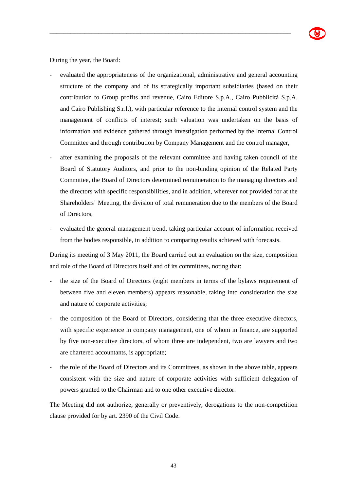During the year, the Board:

- evaluated the appropriateness of the organizational, administrative and general accounting structure of the company and of its strategically important subsidiaries (based on their contribution to Group profits and revenue, Cairo Editore S.p.A., Cairo Pubblicità S.p.A. and Cairo Publishing S.r.l.), with particular reference to the internal control system and the management of conflicts of interest; such valuation was undertaken on the basis of information and evidence gathered through investigation performed by the Internal Control Committee and through contribution by Company Management and the control manager,

\_\_\_\_\_\_\_\_\_\_\_\_\_\_\_\_\_\_\_\_\_\_\_\_\_\_\_\_\_\_\_\_\_\_\_\_\_\_\_\_\_\_\_\_\_\_\_\_\_\_\_\_\_\_\_\_\_\_\_\_\_\_\_\_\_\_\_\_\_

- after examining the proposals of the relevant committee and having taken council of the Board of Statutory Auditors, and prior to the non-binding opinion of the Related Party Committee, the Board of Directors determined remuineration to the managing directors and the directors with specific responsibilities, and in addition, wherever not provided for at the Shareholders' Meeting, the division of total remuneration due to the members of the Board of Directors,
- evaluated the general management trend, taking particular account of information received from the bodies responsible, in addition to comparing results achieved with forecasts.

During its meeting of 3 May 2011, the Board carried out an evaluation on the size, composition and role of the Board of Directors itself and of its committees, noting that:

- the size of the Board of Directors (eight members in terms of the bylaws requirement of between five and eleven members) appears reasonable, taking into consideration the size and nature of corporate activities;
- the composition of the Board of Directors, considering that the three executive directors, with specific experience in company management, one of whom in finance, are supported by five non-executive directors, of whom three are independent, two are lawyers and two are chartered accountants, is appropriate;
- the role of the Board of Directors and its Committees, as shown in the above table, appears consistent with the size and nature of corporate activities with sufficient delegation of powers granted to the Chairman and to one other executive director.

The Meeting did not authorize, generally or preventively, derogations to the non-competition clause provided for by art. 2390 of the Civil Code.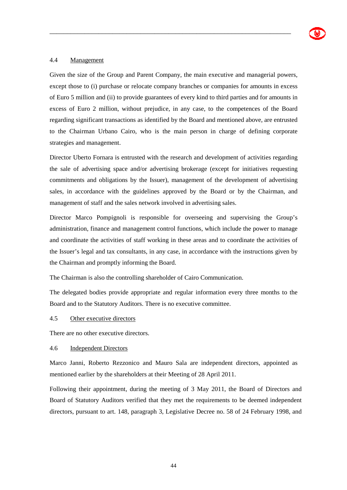## 4.4 Management

Given the size of the Group and Parent Company, the main executive and managerial powers, except those to (i) purchase or relocate company branches or companies for amounts in excess of Euro 5 million and (ii) to provide guarantees of every kind to third parties and for amounts in excess of Euro 2 million, without prejudice, in any case, to the competences of the Board regarding significant transactions as identified by the Board and mentioned above, are entrusted to the Chairman Urbano Cairo, who is the main person in charge of defining corporate strategies and management.

\_\_\_\_\_\_\_\_\_\_\_\_\_\_\_\_\_\_\_\_\_\_\_\_\_\_\_\_\_\_\_\_\_\_\_\_\_\_\_\_\_\_\_\_\_\_\_\_\_\_\_\_\_\_\_\_\_\_\_\_\_\_\_\_\_\_\_\_\_

Director Uberto Fornara is entrusted with the research and development of activities regarding the sale of advertising space and/or advertising brokerage (except for initiatives requesting commitments and obligations by the Issuer), management of the development of advertising sales, in accordance with the guidelines approved by the Board or by the Chairman, and management of staff and the sales network involved in advertising sales.

Director Marco Pompignoli is responsible for overseeing and supervising the Group's administration, finance and management control functions, which include the power to manage and coordinate the activities of staff working in these areas and to coordinate the activities of the Issuer's legal and tax consultants, in any case, in accordance with the instructions given by the Chairman and promptly informing the Board.

The Chairman is also the controlling shareholder of Cairo Communication.

The delegated bodies provide appropriate and regular information every three months to the Board and to the Statutory Auditors. There is no executive committee.

### 4.5 Other executive directors

There are no other executive directors.

#### 4.6 Independent Directors

Marco Janni, Roberto Rezzonico and Mauro Sala are independent directors, appointed as mentioned earlier by the shareholders at their Meeting of 28 April 2011.

Following their appointment, during the meeting of 3 May 2011, the Board of Directors and Board of Statutory Auditors verified that they met the requirements to be deemed independent directors, pursuant to art. 148, paragraph 3, Legislative Decree no. 58 of 24 February 1998, and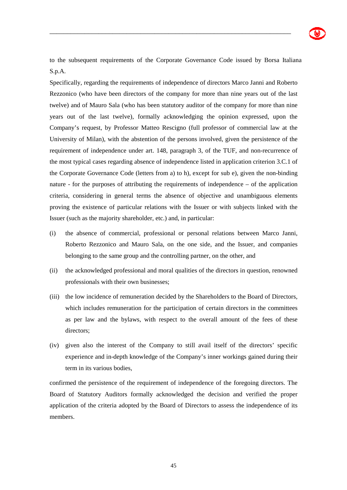

to the subsequent requirements of the Corporate Governance Code issued by Borsa Italiana S.p.A.

\_\_\_\_\_\_\_\_\_\_\_\_\_\_\_\_\_\_\_\_\_\_\_\_\_\_\_\_\_\_\_\_\_\_\_\_\_\_\_\_\_\_\_\_\_\_\_\_\_\_\_\_\_\_\_\_\_\_\_\_\_\_\_\_\_\_\_\_\_

Specifically, regarding the requirements of independence of directors Marco Janni and Roberto Rezzonico (who have been directors of the company for more than nine years out of the last twelve) and of Mauro Sala (who has been statutory auditor of the company for more than nine years out of the last twelve), formally acknowledging the opinion expressed, upon the Company's request, by Professor Matteo Rescigno (full professor of commercial law at the University of Milan), with the abstention of the persons involved, given the persistence of the requirement of independence under art. 148, paragraph 3, of the TUF, and non-recurrence of the most typical cases regarding absence of independence listed in application criterion 3.C.1 of the Corporate Governance Code (letters from a) to h), except for sub e), given the non-binding nature - for the purposes of attributing the requirements of independence – of the application criteria, considering in general terms the absence of objective and unambiguous elements proving the existence of particular relations with the Issuer or with subjects linked with the Issuer (such as the majority shareholder, etc.) and, in particular:

- (i) the absence of commercial, professional or personal relations between Marco Janni, Roberto Rezzonico and Mauro Sala, on the one side, and the Issuer, and companies belonging to the same group and the controlling partner, on the other, and
- (ii) the acknowledged professional and moral qualities of the directors in question, renowned professionals with their own businesses;
- (iii) the low incidence of remuneration decided by the Shareholders to the Board of Directors, which includes remuneration for the participation of certain directors in the committees as per law and the bylaws, with respect to the overall amount of the fees of these directors;
- (iv) given also the interest of the Company to still avail itself of the directors' specific experience and in-depth knowledge of the Company's inner workings gained during their term in its various bodies,

confirmed the persistence of the requirement of independence of the foregoing directors. The Board of Statutory Auditors formally acknowledged the decision and verified the proper application of the criteria adopted by the Board of Directors to assess the independence of its members.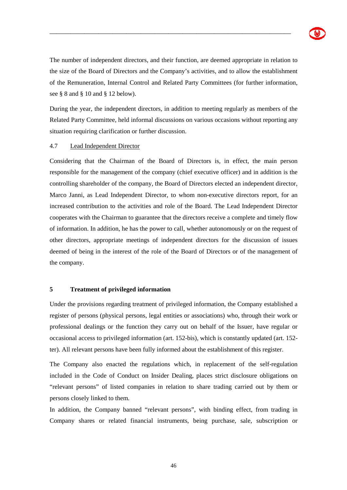

The number of independent directors, and their function, are deemed appropriate in relation to the size of the Board of Directors and the Company's activities, and to allow the establishment of the Remuneration, Internal Control and Related Party Committees (for further information, see § 8 and § 10 and § 12 below).

\_\_\_\_\_\_\_\_\_\_\_\_\_\_\_\_\_\_\_\_\_\_\_\_\_\_\_\_\_\_\_\_\_\_\_\_\_\_\_\_\_\_\_\_\_\_\_\_\_\_\_\_\_\_\_\_\_\_\_\_\_\_\_\_\_\_\_\_\_

During the year, the independent directors, in addition to meeting regularly as members of the Related Party Committee, held informal discussions on various occasions without reporting any situation requiring clarification or further discussion.

#### 4.7 Lead Independent Director

Considering that the Chairman of the Board of Directors is, in effect, the main person responsible for the management of the company (chief executive officer) and in addition is the controlling shareholder of the company, the Board of Directors elected an independent director, Marco Janni, as Lead Independent Director, to whom non-executive directors report, for an increased contribution to the activities and role of the Board. The Lead Independent Director cooperates with the Chairman to guarantee that the directors receive a complete and timely flow of information. In addition, he has the power to call, whether autonomously or on the request of other directors, appropriate meetings of independent directors for the discussion of issues deemed of being in the interest of the role of the Board of Directors or of the management of the company.

#### **5 Treatment of privileged information**

Under the provisions regarding treatment of privileged information, the Company established a register of persons (physical persons, legal entities or associations) who, through their work or professional dealings or the function they carry out on behalf of the Issuer, have regular or occasional access to privileged information (art. 152-bis), which is constantly updated (art. 152 ter). All relevant persons have been fully informed about the establishment of this register.

The Company also enacted the regulations which, in replacement of the self-regulation included in the Code of Conduct on Insider Dealing, places strict disclosure obligations on "relevant persons" of listed companies in relation to share trading carried out by them or persons closely linked to them.

In addition, the Company banned "relevant persons", with binding effect, from trading in Company shares or related financial instruments, being purchase, sale, subscription or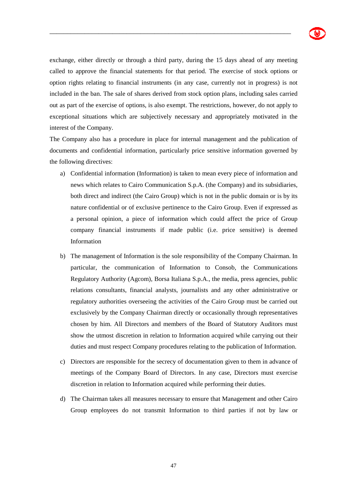

exchange, either directly or through a third party, during the 15 days ahead of any meeting called to approve the financial statements for that period. The exercise of stock options or option rights relating to financial instruments (in any case, currently not in progress) is not included in the ban. The sale of shares derived from stock option plans, including sales carried out as part of the exercise of options, is also exempt. The restrictions, however, do not apply to exceptional situations which are subjectively necessary and appropriately motivated in the interest of the Company.

\_\_\_\_\_\_\_\_\_\_\_\_\_\_\_\_\_\_\_\_\_\_\_\_\_\_\_\_\_\_\_\_\_\_\_\_\_\_\_\_\_\_\_\_\_\_\_\_\_\_\_\_\_\_\_\_\_\_\_\_\_\_\_\_\_\_\_\_\_

The Company also has a procedure in place for internal management and the publication of documents and confidential information, particularly price sensitive information governed by the following directives:

- a) Confidential information (Information) is taken to mean every piece of information and news which relates to Cairo Communication S.p.A. (the Company) and its subsidiaries, both direct and indirect (the Cairo Group) which is not in the public domain or is by its nature confidential or of exclusive pertinence to the Cairo Group. Even if expressed as a personal opinion, a piece of information which could affect the price of Group company financial instruments if made public (i.e. price sensitive) is deemed Information
- b) The management of Information is the sole responsibility of the Company Chairman. In particular, the communication of Information to Consob, the Communications Regulatory Authority (Agcom), Borsa Italiana S.p.A., the media, press agencies, public relations consultants, financial analysts, journalists and any other administrative or regulatory authorities overseeing the activities of the Cairo Group must be carried out exclusively by the Company Chairman directly or occasionally through representatives chosen by him. All Directors and members of the Board of Statutory Auditors must show the utmost discretion in relation to Information acquired while carrying out their duties and must respect Company procedures relating to the publication of Information.
- c) Directors are responsible for the secrecy of documentation given to them in advance of meetings of the Company Board of Directors. In any case, Directors must exercise discretion in relation to Information acquired while performing their duties.
- d) The Chairman takes all measures necessary to ensure that Management and other Cairo Group employees do not transmit Information to third parties if not by law or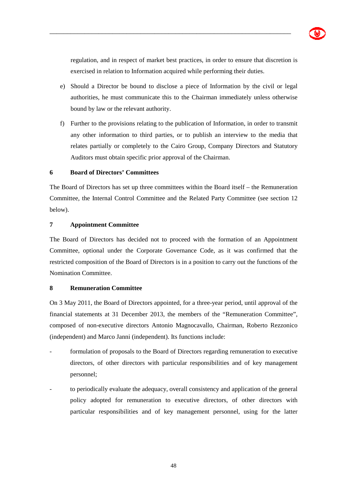

regulation, and in respect of market best practices, in order to ensure that discretion is exercised in relation to Information acquired while performing their duties.

\_\_\_\_\_\_\_\_\_\_\_\_\_\_\_\_\_\_\_\_\_\_\_\_\_\_\_\_\_\_\_\_\_\_\_\_\_\_\_\_\_\_\_\_\_\_\_\_\_\_\_\_\_\_\_\_\_\_\_\_\_\_\_\_\_\_\_\_\_

- e) Should a Director be bound to disclose a piece of Information by the civil or legal authorities, he must communicate this to the Chairman immediately unless otherwise bound by law or the relevant authority.
- f) Further to the provisions relating to the publication of Information, in order to transmit any other information to third parties, or to publish an interview to the media that relates partially or completely to the Cairo Group, Company Directors and Statutory Auditors must obtain specific prior approval of the Chairman.

### **6 Board of Directors' Committees**

The Board of Directors has set up three committees within the Board itself – the Remuneration Committee, the Internal Control Committee and the Related Party Committee (see section 12 below).

# **7 Appointment Committee**

The Board of Directors has decided not to proceed with the formation of an Appointment Committee, optional under the Corporate Governance Code, as it was confirmed that the restricted composition of the Board of Directors is in a position to carry out the functions of the Nomination Committee.

### **8 Remuneration Committee**

On 3 May 2011, the Board of Directors appointed, for a three-year period, until approval of the financial statements at 31 December 2013, the members of the "Remuneration Committee", composed of non-executive directors Antonio Magnocavallo, Chairman, Roberto Rezzonico (independent) and Marco Janni (independent). Its functions include:

- formulation of proposals to the Board of Directors regarding remuneration to executive directors, of other directors with particular responsibilities and of key management personnel;
- to periodically evaluate the adequacy, overall consistency and application of the general policy adopted for remuneration to executive directors, of other directors with particular responsibilities and of key management personnel, using for the latter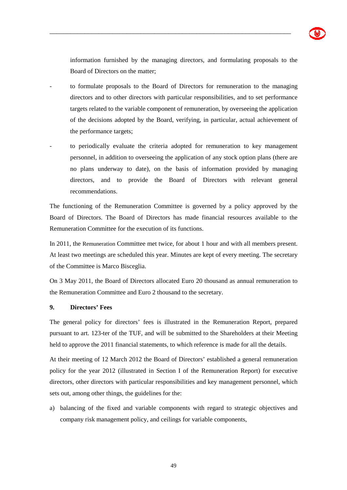

information furnished by the managing directors, and formulating proposals to the Board of Directors on the matter;

- to formulate proposals to the Board of Directors for remuneration to the managing directors and to other directors with particular responsibilities, and to set performance targets related to the variable component of remuneration, by overseeing the application of the decisions adopted by the Board, verifying, in particular, actual achievement of the performance targets;

\_\_\_\_\_\_\_\_\_\_\_\_\_\_\_\_\_\_\_\_\_\_\_\_\_\_\_\_\_\_\_\_\_\_\_\_\_\_\_\_\_\_\_\_\_\_\_\_\_\_\_\_\_\_\_\_\_\_\_\_\_\_\_\_\_\_\_\_\_

to periodically evaluate the criteria adopted for remuneration to key management personnel, in addition to overseeing the application of any stock option plans (there are no plans underway to date), on the basis of information provided by managing directors, and to provide the Board of Directors with relevant general recommendations.

The functioning of the Remuneration Committee is governed by a policy approved by the Board of Directors. The Board of Directors has made financial resources available to the Remuneration Committee for the execution of its functions.

In 2011, the Remuneration Committee met twice, for about 1 hour and with all members present. At least two meetings are scheduled this year. Minutes are kept of every meeting. The secretary of the Committee is Marco Bisceglia.

On 3 May 2011, the Board of Directors allocated Euro 20 thousand as annual remuneration to the Remuneration Committee and Euro 2 thousand to the secretary.

### **9. Directors' Fees**

The general policy for directors' fees is illustrated in the Remuneration Report, prepared pursuant to art. 123-ter of the TUF, and will be submitted to the Shareholders at their Meeting held to approve the 2011 financial statements, to which reference is made for all the details.

At their meeting of 12 March 2012 the Board of Directors' established a general remuneration policy for the year 2012 (illustrated in Section I of the Remuneration Report) for executive directors, other directors with particular responsibilities and key management personnel, which sets out, among other things, the guidelines for the:

a) balancing of the fixed and variable components with regard to strategic objectives and company risk management policy, and ceilings for variable components,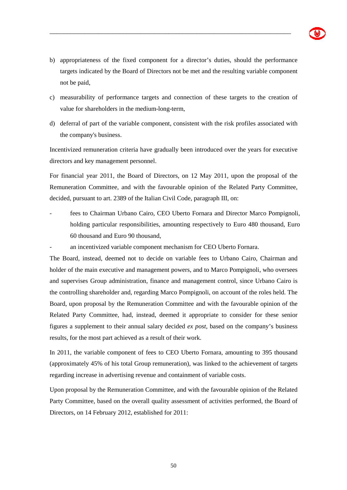

b) appropriateness of the fixed component for a director's duties, should the performance targets indicated by the Board of Directors not be met and the resulting variable component not be paid,

\_\_\_\_\_\_\_\_\_\_\_\_\_\_\_\_\_\_\_\_\_\_\_\_\_\_\_\_\_\_\_\_\_\_\_\_\_\_\_\_\_\_\_\_\_\_\_\_\_\_\_\_\_\_\_\_\_\_\_\_\_\_\_\_\_\_\_\_\_

- c) measurability of performance targets and connection of these targets to the creation of value for shareholders in the medium-long-term,
- d) deferral of part of the variable component, consistent with the risk profiles associated with the company's business.

Incentivized remuneration criteria have gradually been introduced over the years for executive directors and key management personnel.

For financial year 2011, the Board of Directors, on 12 May 2011, upon the proposal of the Remuneration Committee, and with the favourable opinion of the Related Party Committee, decided, pursuant to art. 2389 of the Italian Civil Code, paragraph III, on:

- fees to Chairman Urbano Cairo, CEO Uberto Fornara and Director Marco Pompignoli, holding particular responsibilities, amounting respectively to Euro 480 thousand, Euro 60 thousand and Euro 90 thousand,
- an incentivized variable component mechanism for CEO Uberto Fornara.

The Board, instead, deemed not to decide on variable fees to Urbano Cairo, Chairman and holder of the main executive and management powers, and to Marco Pompignoli, who oversees and supervises Group administration, finance and management control, since Urbano Cairo is the controlling shareholder and, regarding Marco Pompignoli, on account of the roles held. The Board, upon proposal by the Remuneration Committee and with the favourable opinion of the Related Party Committee, had, instead, deemed it appropriate to consider for these senior figures a supplement to their annual salary decided *ex post*, based on the company's business results, for the most part achieved as a result of their work.

In 2011, the variable component of fees to CEO Uberto Fornara, amounting to 395 thousand (approximately 45% of his total Group remuneration), was linked to the achievement of targets regarding increase in advertising revenue and containment of variable costs.

Upon proposal by the Remuneration Committee, and with the favourable opinion of the Related Party Committee, based on the overall quality assessment of activities performed, the Board of Directors, on 14 February 2012, established for 2011: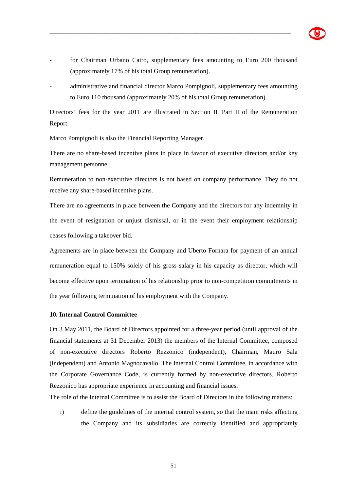- for Chairman Urbano Cairo, supplementary fees amounting to Euro 200 thousand (approximately 17% of his total Group remuneration).

\_\_\_\_\_\_\_\_\_\_\_\_\_\_\_\_\_\_\_\_\_\_\_\_\_\_\_\_\_\_\_\_\_\_\_\_\_\_\_\_\_\_\_\_\_\_\_\_\_\_\_\_\_\_\_\_\_\_\_\_\_\_\_\_\_\_\_\_\_

- administrative and financial director Marco Pompignoli, supplementary fees amounting to Euro 110 thousand (approximately 20% of his total Group remuneration).

Directors' fees for the year 2011 are illustrated in Section II, Part II of the Remuneration Report.

Marco Pompignoli is also the Financial Reporting Manager.

There are no share-based incentive plans in place in favour of executive directors and/or key management personnel.

Remuneration to non-executive directors is not based on company performance. They do not receive any share-based incentive plans.

There are no agreements in place between the Company and the directors for any indemnity in the event of resignation or unjust dismissal, or in the event their employment relationship ceases following a takeover bid.

Agreements are in place between the Company and Uberto Fornara for payment of an annual remuneration equal to 150% solely of his gross salary in his capacity as director, which will become effective upon termination of his relationship prior to non-competition commitments in the year following termination of his employment with the Company.

### **10. Internal Control Committee**

On 3 May 2011, the Board of Directors appointed for a three-year period (until approval of the financial statements at 31 December 2013) the members of the Internal Committee, composed of non-executive directors Roberto Rezzonico (independent), Chairman, Mauro Sala (independent) and Antonio Magnocavallo. The Internal Control Committee, in accordance with the Corporate Governance Code, is currently formed by non-executive directors. Roberto Rezzonico has appropriate experience in accounting and financial issues.

The role of the Internal Committee is to assist the Board of Directors in the following matters:

i) define the guidelines of the internal control system, so that the main risks affecting the Company and its subsidiaries are correctly identified and appropriately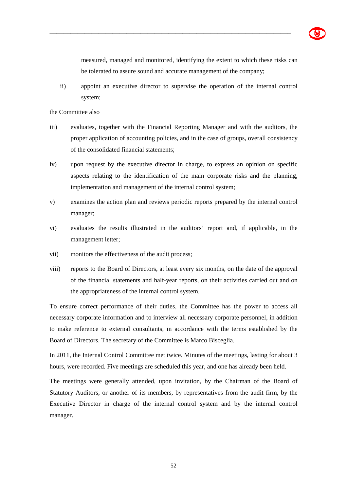

measured, managed and monitored, identifying the extent to which these risks can be tolerated to assure sound and accurate management of the company;

ii) appoint an executive director to supervise the operation of the internal control system;

\_\_\_\_\_\_\_\_\_\_\_\_\_\_\_\_\_\_\_\_\_\_\_\_\_\_\_\_\_\_\_\_\_\_\_\_\_\_\_\_\_\_\_\_\_\_\_\_\_\_\_\_\_\_\_\_\_\_\_\_\_\_\_\_\_\_\_\_\_

the Committee also

- iii) evaluates, together with the Financial Reporting Manager and with the auditors, the proper application of accounting policies, and in the case of groups, overall consistency of the consolidated financial statements;
- iv) upon request by the executive director in charge, to express an opinion on specific aspects relating to the identification of the main corporate risks and the planning, implementation and management of the internal control system;
- v) examines the action plan and reviews periodic reports prepared by the internal control manager;
- vi) evaluates the results illustrated in the auditors' report and, if applicable, in the management letter;
- vii) monitors the effectiveness of the audit process;
- viii) reports to the Board of Directors, at least every six months, on the date of the approval of the financial statements and half-year reports, on their activities carried out and on the appropriateness of the internal control system.

To ensure correct performance of their duties, the Committee has the power to access all necessary corporate information and to interview all necessary corporate personnel, in addition to make reference to external consultants, in accordance with the terms established by the Board of Directors. The secretary of the Committee is Marco Bisceglia.

In 2011, the Internal Control Committee met twice. Minutes of the meetings, lasting for about 3 hours, were recorded. Five meetings are scheduled this year, and one has already been held.

The meetings were generally attended, upon invitation, by the Chairman of the Board of Statutory Auditors, or another of its members, by representatives from the audit firm, by the Executive Director in charge of the internal control system and by the internal control manager.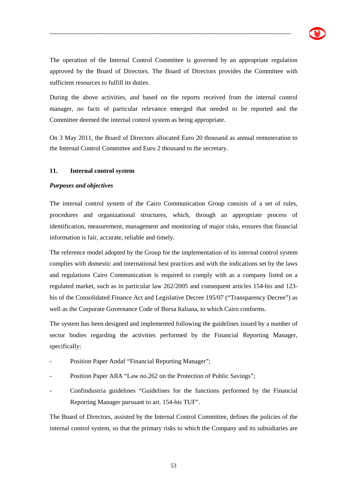

The operation of the Internal Control Committee is governed by an appropriate regulation approved by the Board of Directors. The Board of Directors provides the Committee with sufficient resources to fulfill its duties.

\_\_\_\_\_\_\_\_\_\_\_\_\_\_\_\_\_\_\_\_\_\_\_\_\_\_\_\_\_\_\_\_\_\_\_\_\_\_\_\_\_\_\_\_\_\_\_\_\_\_\_\_\_\_\_\_\_\_\_\_\_\_\_\_\_\_\_\_\_

During the above activities, and based on the reports received from the internal control manager, no facts of particular relevance emerged that needed to be reported and the Committee deemed the internal control system as being appropriate.

On 3 May 2011, the Board of Directors allocated Euro 20 thousand as annual remuneration to the Internal Control Committee and Euro 2 thousand to the secretary.

### **11. Internal control system**

#### *Purposes and objectives*

The internal control system of the Cairo Communication Group consists of a set of rules, procedures and organizational structures, which, through an appropriate process of identification, measurement, management and monitoring of major risks, ensures that financial information is fair, accurate, reliable and timely.

The reference model adopted by the Group for the implementation of its internal control system complies with domestic and international best practices and with the indications set by the laws and regulations Cairo Communication is required to comply with as a company listed on a regulated market, such as in particular law 262/2005 and consequent articles 154-bis and 123 bis of the Consolidated Finance Act and Legislative Decree 195/07 ("Transparency Decree") as well as the Corporate Governance Code of Borsa Italiana, to which Cairo conforms.

The system has been designed and implemented following the guidelines issued by a number of sector bodies regarding the activities performed by the Financial Reporting Manager, specifically:

- Position Paper Andaf "Financial Reporting Manager";
- Position Paper AIIA "Law no.262 on the Protection of Public Savings";
- Confindustria guidelines "Guidelines for the functions performed by the Financial Reporting Manager pursuant to art. 154-bis TUF".

The Board of Directors, assisted by the Internal Control Committee, defines the policies of the internal control system, so that the primary risks to which the Company and its subsidiaries are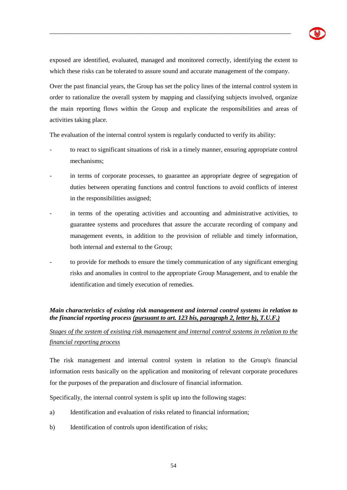

exposed are identified, evaluated, managed and monitored correctly, identifying the extent to which these risks can be tolerated to assure sound and accurate management of the company.

\_\_\_\_\_\_\_\_\_\_\_\_\_\_\_\_\_\_\_\_\_\_\_\_\_\_\_\_\_\_\_\_\_\_\_\_\_\_\_\_\_\_\_\_\_\_\_\_\_\_\_\_\_\_\_\_\_\_\_\_\_\_\_\_\_\_\_\_\_

Over the past financial years, the Group has set the policy lines of the internal control system in order to rationalize the overall system by mapping and classifying subjects involved, organize the main reporting flows within the Group and explicate the responsibilities and areas of activities taking place.

The evaluation of the internal control system is regularly conducted to verify its ability:

- to react to significant situations of risk in a timely manner, ensuring appropriate control mechanisms;
- in terms of corporate processes, to guarantee an appropriate degree of segregation of duties between operating functions and control functions to avoid conflicts of interest in the responsibilities assigned;
- in terms of the operating activities and accounting and administrative activities, to guarantee systems and procedures that assure the accurate recording of company and management events, in addition to the provision of reliable and timely information, both internal and external to the Group;
- to provide for methods to ensure the timely communication of any significant emerging risks and anomalies in control to the appropriate Group Management, and to enable the identification and timely execution of remedies.

# *Main characteristics of existing risk management and internal control systems in relation to the financial reporting process (pursuant to art. 123 bis, paragraph 2, letter b), T.U.F.)*

# *Stages of the system of existing risk management and internal control systems in relation to the financial reporting process*

The risk management and internal control system in relation to the Group's financial information rests basically on the application and monitoring of relevant corporate procedures for the purposes of the preparation and disclosure of financial information.

Specifically, the internal control system is split up into the following stages:

- a) Identification and evaluation of risks related to financial information;
- b) Identification of controls upon identification of risks;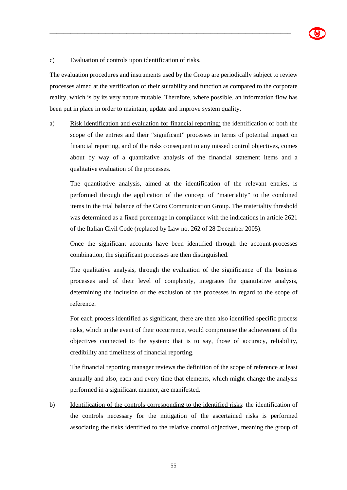#### c) Evaluation of controls upon identification of risks.

The evaluation procedures and instruments used by the Group are periodically subject to review processes aimed at the verification of their suitability and function as compared to the corporate reality, which is by its very nature mutable. Therefore, where possible, an information flow has been put in place in order to maintain, update and improve system quality.

\_\_\_\_\_\_\_\_\_\_\_\_\_\_\_\_\_\_\_\_\_\_\_\_\_\_\_\_\_\_\_\_\_\_\_\_\_\_\_\_\_\_\_\_\_\_\_\_\_\_\_\_\_\_\_\_\_\_\_\_\_\_\_\_\_\_\_\_\_

a) Risk identification and evaluation for financial reporting: the identification of both the scope of the entries and their "significant" processes in terms of potential impact on financial reporting, and of the risks consequent to any missed control objectives, comes about by way of a quantitative analysis of the financial statement items and a qualitative evaluation of the processes.

The quantitative analysis, aimed at the identification of the relevant entries, is performed through the application of the concept of "materiality" to the combined items in the trial balance of the Cairo Communication Group. The materiality threshold was determined as a fixed percentage in compliance with the indications in article 2621 of the Italian Civil Code (replaced by Law no. 262 of 28 December 2005).

Once the significant accounts have been identified through the account-processes combination, the significant processes are then distinguished.

The qualitative analysis, through the evaluation of the significance of the business processes and of their level of complexity, integrates the quantitative analysis, determining the inclusion or the exclusion of the processes in regard to the scope of reference.

For each process identified as significant, there are then also identified specific process risks, which in the event of their occurrence, would compromise the achievement of the objectives connected to the system: that is to say, those of accuracy, reliability, credibility and timeliness of financial reporting.

The financial reporting manager reviews the definition of the scope of reference at least annually and also, each and every time that elements, which might change the analysis performed in a significant manner, are manifested.

b) Identification of the controls corresponding to the identified risks: the identification of the controls necessary for the mitigation of the ascertained risks is performed associating the risks identified to the relative control objectives, meaning the group of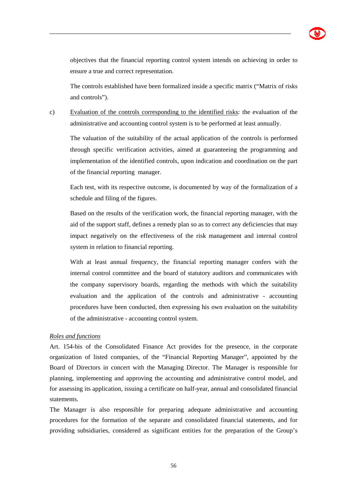objectives that the financial reporting control system intends on achieving in order to ensure a true and correct representation.

The controls established have been formalized inside a specific matrix ("Matrix of risks and controls").

c) Evaluation of the controls corresponding to the identified risks: the evaluation of the administrative and accounting control system is to be performed at least annually.

\_\_\_\_\_\_\_\_\_\_\_\_\_\_\_\_\_\_\_\_\_\_\_\_\_\_\_\_\_\_\_\_\_\_\_\_\_\_\_\_\_\_\_\_\_\_\_\_\_\_\_\_\_\_\_\_\_\_\_\_\_\_\_\_\_\_\_\_\_

The valuation of the suitability of the actual application of the controls is performed through specific verification activities, aimed at guaranteeing the programming and implementation of the identified controls, upon indication and coordination on the part of the financial reporting manager.

Each test, with its respective outcome, is documented by way of the formalization of a schedule and filing of the figures.

Based on the results of the verification work, the financial reporting manager, with the aid of the support staff, defines a remedy plan so as to correct any deficiencies that may impact negatively on the effectiveness of the risk management and internal control system in relation to financial reporting.

With at least annual frequency, the financial reporting manager confers with the internal control committee and the board of statutory auditors and communicates with the company supervisory boards, regarding the methods with which the suitability evaluation and the application of the controls and administrative - accounting procedures have been conducted, then expressing his own evaluation on the suitability of the administrative - accounting control system.

# *Roles and functions*

Art. 154-bis of the Consolidated Finance Act provides for the presence, in the corporate organization of listed companies, of the "Financial Reporting Manager", appointed by the Board of Directors in concert with the Managing Director. The Manager is responsible for planning, implementing and approving the accounting and administrative control model, and for assessing its application, issuing a certificate on half-year, annual and consolidated financial statements.

The Manager is also responsible for preparing adequate administrative and accounting procedures for the formation of the separate and consolidated financial statements, and for providing subsidiaries, considered as significant entities for the preparation of the Group's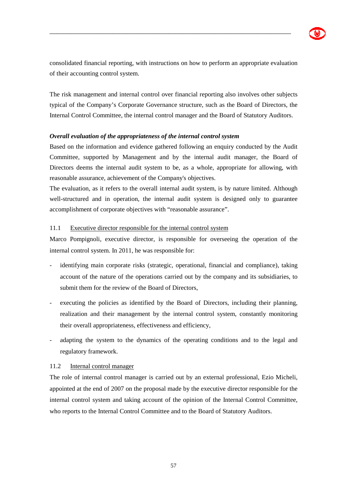consolidated financial reporting, with instructions on how to perform an appropriate evaluation of their accounting control system.

\_\_\_\_\_\_\_\_\_\_\_\_\_\_\_\_\_\_\_\_\_\_\_\_\_\_\_\_\_\_\_\_\_\_\_\_\_\_\_\_\_\_\_\_\_\_\_\_\_\_\_\_\_\_\_\_\_\_\_\_\_\_\_\_\_\_\_\_\_

The risk management and internal control over financial reporting also involves other subjects typical of the Company's Corporate Governance structure, such as the Board of Directors, the Internal Control Committee, the internal control manager and the Board of Statutory Auditors.

# *Overall evaluation of the appropriateness of the internal control system*

Based on the information and evidence gathered following an enquiry conducted by the Audit Committee, supported by Management and by the internal audit manager, the Board of Directors deems the internal audit system to be, as a whole, appropriate for allowing, with reasonable assurance, achievement of the Company's objectives.

The evaluation, as it refers to the overall internal audit system, is by nature limited. Although well-structured and in operation, the internal audit system is designed only to guarantee accomplishment of corporate objectives with "reasonable assurance".

# 11.1 Executive director responsible for the internal control system

Marco Pompignoli, executive director, is responsible for overseeing the operation of the internal control system. In 2011, he was responsible for:

- identifying main corporate risks (strategic, operational, financial and compliance), taking account of the nature of the operations carried out by the company and its subsidiaries, to submit them for the review of the Board of Directors,
- executing the policies as identified by the Board of Directors, including their planning, realization and their management by the internal control system, constantly monitoring their overall appropriateness, effectiveness and efficiency,
- adapting the system to the dynamics of the operating conditions and to the legal and regulatory framework.

### 11.2 Internal control manager

The role of internal control manager is carried out by an external professional, Ezio Micheli, appointed at the end of 2007 on the proposal made by the executive director responsible for the internal control system and taking account of the opinion of the Internal Control Committee, who reports to the Internal Control Committee and to the Board of Statutory Auditors.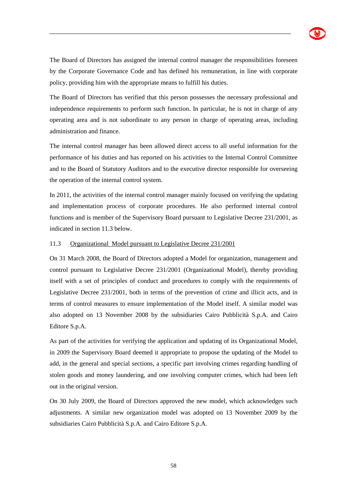

The Board of Directors has assigned the internal control manager the responsibilities foreseen by the Corporate Governance Code and has defined his remuneration, in line with corporate policy, providing him with the appropriate means to fulfill his duties.

\_\_\_\_\_\_\_\_\_\_\_\_\_\_\_\_\_\_\_\_\_\_\_\_\_\_\_\_\_\_\_\_\_\_\_\_\_\_\_\_\_\_\_\_\_\_\_\_\_\_\_\_\_\_\_\_\_\_\_\_\_\_\_\_\_\_\_\_\_

The Board of Directors has verified that this person possesses the necessary professional and independence requirements to perform such function. In particular, he is not in charge of any operating area and is not subordinate to any person in charge of operating areas, including administration and finance.

The internal control manager has been allowed direct access to all useful information for the performance of his duties and has reported on his activities to the Internal Control Committee and to the Board of Statutory Auditors and to the executive director responsible for overseeing the operation of the internal control system.

In 2011, the activities of the internal control manager mainly focused on verifying the updating and implementation process of corporate procedures. He also performed internal control functions and is member of the Supervisory Board pursuant to Legislative Decree 231/2001, as indicated in section 11.3 below.

#### 11.3 Organizational Model pursuant to Legislative Decree 231/2001

On 31 March 2008, the Board of Directors adopted a Model for organization, management and control pursuant to Legislative Decree 231/2001 (Organizational Model), thereby providing itself with a set of principles of conduct and procedures to comply with the requirements of Legislative Decree 231/2001, both in terms of the prevention of crime and illicit acts, and in terms of control measures to ensure implementation of the Model itself. A similar model was also adopted on 13 November 2008 by the subsidiaries Cairo Pubblicità S.p.A. and Cairo Editore S.p.A.

As part of the activities for verifying the application and updating of its Organizational Model, in 2009 the Supervisory Board deemed it appropriate to propose the updating of the Model to add, in the general and special sections, a specific part involving crimes regarding handling of stolen goods and money laundering, and one involving computer crimes, which had been left out in the original version.

On 30 July 2009, the Board of Directors approved the new model, which acknowledges such adjustments. A similar new organization model was adopted on 13 November 2009 by the subsidiaries Cairo Pubblicità S.p.A. and Cairo Editore S.p.A.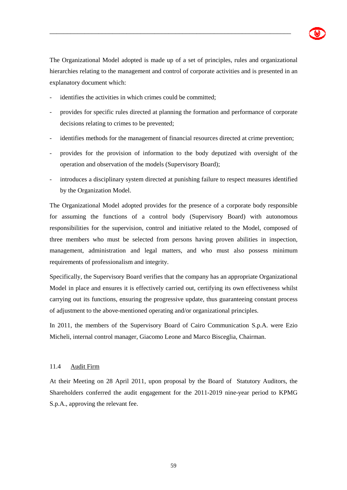The Organizational Model adopted is made up of a set of principles, rules and organizational hierarchies relating to the management and control of corporate activities and is presented in an explanatory document which:

\_\_\_\_\_\_\_\_\_\_\_\_\_\_\_\_\_\_\_\_\_\_\_\_\_\_\_\_\_\_\_\_\_\_\_\_\_\_\_\_\_\_\_\_\_\_\_\_\_\_\_\_\_\_\_\_\_\_\_\_\_\_\_\_\_\_\_\_\_

- identifies the activities in which crimes could be committed;
- provides for specific rules directed at planning the formation and performance of corporate decisions relating to crimes to be prevented;
- identifies methods for the management of financial resources directed at crime prevention;
- provides for the provision of information to the body deputized with oversight of the operation and observation of the models (Supervisory Board);
- introduces a disciplinary system directed at punishing failure to respect measures identified by the Organization Model.

The Organizational Model adopted provides for the presence of a corporate body responsible for assuming the functions of a control body (Supervisory Board) with autonomous responsibilities for the supervision, control and initiative related to the Model, composed of three members who must be selected from persons having proven abilities in inspection, management, administration and legal matters, and who must also possess minimum requirements of professionalism and integrity.

Specifically, the Supervisory Board verifies that the company has an appropriate Organizational Model in place and ensures it is effectively carried out, certifying its own effectiveness whilst carrying out its functions, ensuring the progressive update, thus guaranteeing constant process of adjustment to the above-mentioned operating and/or organizational principles.

In 2011, the members of the Supervisory Board of Cairo Communication S.p.A. were Ezio Micheli, internal control manager, Giacomo Leone and Marco Bisceglia, Chairman.

### 11.4 Audit Firm

At their Meeting on 28 April 2011, upon proposal by the Board of Statutory Auditors, the Shareholders conferred the audit engagement for the 2011-2019 nine-year period to KPMG S.p.A., approving the relevant fee.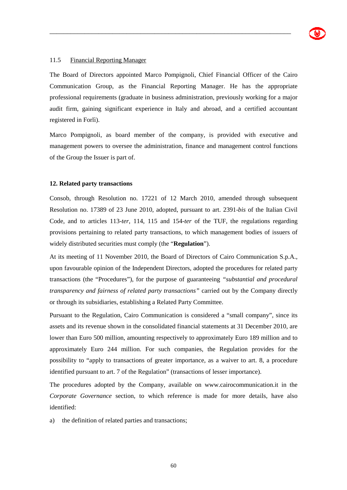

#### 11.5 Financial Reporting Manager

The Board of Directors appointed Marco Pompignoli, Chief Financial Officer of the Cairo Communication Group, as the Financial Reporting Manager. He has the appropriate professional requirements (graduate in business administration, previously working for a major audit firm, gaining significant experience in Italy and abroad, and a certified accountant registered in Forlì).

\_\_\_\_\_\_\_\_\_\_\_\_\_\_\_\_\_\_\_\_\_\_\_\_\_\_\_\_\_\_\_\_\_\_\_\_\_\_\_\_\_\_\_\_\_\_\_\_\_\_\_\_\_\_\_\_\_\_\_\_\_\_\_\_\_\_\_\_\_

Marco Pompignoli, as board member of the company, is provided with executive and management powers to oversee the administration, finance and management control functions of the Group the Issuer is part of.

#### **12. Related party transactions**

Consob, through Resolution no. 17221 of 12 March 2010, amended through subsequent Resolution no. 17389 of 23 June 2010, adopted, pursuant to art. 2391-*bis* of the Italian Civil Code, and to articles 113-*ter*, 114, 115 and 154-*ter* of the TUF, the regulations regarding provisions pertaining to related party transactions, to which management bodies of issuers of widely distributed securities must comply (the "**Regulation**").

At its meeting of 11 November 2010, the Board of Directors of Cairo Communication S.p.A., upon favourable opinion of the Independent Directors, adopted the procedures for related party transactions (the "Procedures"), for the purpose of guaranteeing *"substantial and procedural transparency and fairness of related party transactions"* carried out by the Company directly or through its subsidiaries, establishing a Related Party Committee.

Pursuant to the Regulation, Cairo Communication is considered a "small company", since its assets and its revenue shown in the consolidated financial statements at 31 December 2010, are lower than Euro 500 million, amounting respectively to approximately Euro 189 million and to approximately Euro 244 million. For such companies, the Regulation provides for the possibility to "apply to transactions of greater importance, as a waiver to art. 8, a procedure identified pursuant to art. 7 of the Regulation" (transactions of lesser importance).

The procedures adopted by the Company, available on www.cairocommunication.it in the *Corporate Governance* section*,* to which reference is made for more details, have also identified:

a) the definition of related parties and transactions;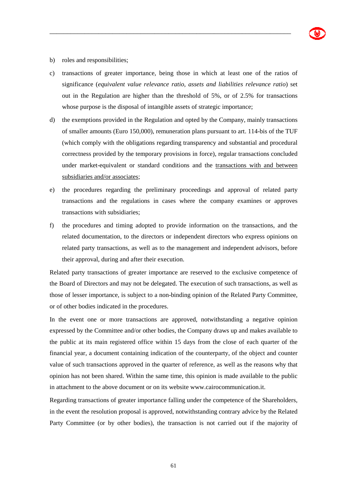- b) roles and responsibilities;
- c) transactions of greater importance, being those in which at least one of the ratios of significance (*equivalent value relevance ratio, assets and liabilities relevance ratio*) set out in the Regulation are higher than the threshold of 5%, or of 2.5% for transactions whose purpose is the disposal of intangible assets of strategic importance;

\_\_\_\_\_\_\_\_\_\_\_\_\_\_\_\_\_\_\_\_\_\_\_\_\_\_\_\_\_\_\_\_\_\_\_\_\_\_\_\_\_\_\_\_\_\_\_\_\_\_\_\_\_\_\_\_\_\_\_\_\_\_\_\_\_\_\_\_\_

- d) the exemptions provided in the Regulation and opted by the Company, mainly transactions of smaller amounts (Euro 150,000), remuneration plans pursuant to art. 114-bis of the TUF (which comply with the obligations regarding transparency and substantial and procedural correctness provided by the temporary provisions in force), regular transactions concluded under market-equivalent or standard conditions and the transactions with and between subsidiaries and/or associates;
- e) the procedures regarding the preliminary proceedings and approval of related party transactions and the regulations in cases where the company examines or approves transactions with subsidiaries;
- f) the procedures and timing adopted to provide information on the transactions, and the related documentation, to the directors or independent directors who express opinions on related party transactions, as well as to the management and independent advisors, before their approval, during and after their execution.

Related party transactions of greater importance are reserved to the exclusive competence of the Board of Directors and may not be delegated. The execution of such transactions, as well as those of lesser importance, is subject to a non-binding opinion of the Related Party Committee, or of other bodies indicated in the procedures.

In the event one or more transactions are approved, notwithstanding a negative opinion expressed by the Committee and/or other bodies, the Company draws up and makes available to the public at its main registered office within 15 days from the close of each quarter of the financial year, a document containing indication of the counterparty, of the object and counter value of such transactions approved in the quarter of reference, as well as the reasons why that opinion has not been shared. Within the same time, this opinion is made available to the public in attachment to the above document or on its website www.cairocommunication.it.

Regarding transactions of greater importance falling under the competence of the Shareholders, in the event the resolution proposal is approved, notwithstanding contrary advice by the Related Party Committee (or by other bodies), the transaction is not carried out if the majority of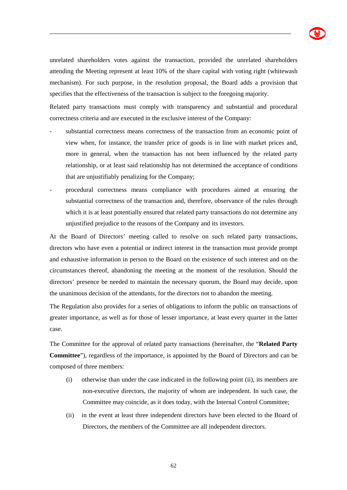unrelated shareholders votes against the transaction, provided the unrelated shareholders attending the Meeting represent at least 10% of the share capital with voting right (whitewash mechanism). For such purpose, in the resolution proposal, the Board adds a provision that specifies that the effectiveness of the transaction is subject to the foregoing majority.

\_\_\_\_\_\_\_\_\_\_\_\_\_\_\_\_\_\_\_\_\_\_\_\_\_\_\_\_\_\_\_\_\_\_\_\_\_\_\_\_\_\_\_\_\_\_\_\_\_\_\_\_\_\_\_\_\_\_\_\_\_\_\_\_\_\_\_\_\_

Related party transactions must comply with transparency and substantial and procedural correctness criteria and are executed in the exclusive interest of the Company:

- substantial correctness means correctness of the transaction from an economic point of view when, for instance, the transfer price of goods is in line with market prices and, more in general, when the transaction has not been influenced by the related party relationship, or at least said relationship has not determined the acceptance of conditions that are unjustifiably penalizing for the Company;
- procedural correctness means compliance with procedures aimed at ensuring the substantial correctness of the transaction and, therefore, observance of the rules through which it is at least potentially ensured that related party transactions do not determine any unjustified prejudice to the reasons of the Company and its investors.

At the Board of Directors' meeting called to resolve on such related party transactions, directors who have even a potential or indirect interest in the transaction must provide prompt and exhaustive information in person to the Board on the existence of such interest and on the circumstances thereof, abandoning the meeting at the moment of the resolution. Should the directors' presence be needed to maintain the necessary quorum, the Board may decide, upon the unanimous decision of the attendants, for the directors not to abandon the meeting.

The Regulation also provides for a series of obligations to inform the public on transactions of greater importance, as well as for those of lesser importance, at least every quarter in the latter case.

The Committee for the approval of related party transactions (hereinafter, the "**Related Party Committee**"), regardless of the importance, is appointed by the Board of Directors and can be composed of three members:

- (i) otherwise than under the case indicated in the following point (ii), its members are non-executive directors, the majority of whom are independent. In such case, the Committee may coincide, as it does today, with the Internal Control Committee;
- (ii) in the event at least three independent directors have been elected to the Board of Directors, the members of the Committee are all independent directors.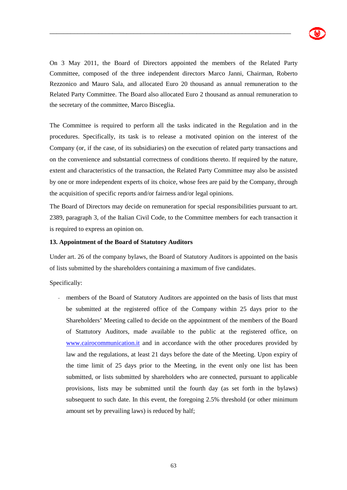

On 3 May 2011, the Board of Directors appointed the members of the Related Party Committee, composed of the three independent directors Marco Janni, Chairman, Roberto Rezzonico and Mauro Sala, and allocated Euro 20 thousand as annual remuneration to the Related Party Committee. The Board also allocated Euro 2 thousand as annual remuneration to the secretary of the committee, Marco Bisceglia.

\_\_\_\_\_\_\_\_\_\_\_\_\_\_\_\_\_\_\_\_\_\_\_\_\_\_\_\_\_\_\_\_\_\_\_\_\_\_\_\_\_\_\_\_\_\_\_\_\_\_\_\_\_\_\_\_\_\_\_\_\_\_\_\_\_\_\_\_\_

The Committee is required to perform all the tasks indicated in the Regulation and in the procedures. Specifically, its task is to release a motivated opinion on the interest of the Company (or, if the case, of its subsidiaries) on the execution of related party transactions and on the convenience and substantial correctness of conditions thereto. If required by the nature, extent and characteristics of the transaction, the Related Party Committee may also be assisted by one or more independent experts of its choice, whose fees are paid by the Company, through the acquisition of specific reports and/or fairness and/or legal opinions.

The Board of Directors may decide on remuneration for special responsibilities pursuant to art. 2389, paragraph 3, of the Italian Civil Code, to the Committee members for each transaction it is required to express an opinion on.

#### **13. Appointment of the Board of Statutory Auditors**

Under art. 26 of the company bylaws, the Board of Statutory Auditors is appointed on the basis of lists submitted by the shareholders containing a maximum of five candidates.

Specifically:

- members of the Board of Statutory Auditors are appointed on the basis of lists that must be submitted at the registered office of the Company within 25 days prior to the Shareholders' Meeting called to decide on the appointment of the members of the Board of Stattutory Auditors, made available to the public at the registered office, on www.cairocommunication.it and in accordance with the other procedures provided by law and the regulations, at least 21 days before the date of the Meeting. Upon expiry of the time limit of 25 days prior to the Meeting, in the event only one list has been submitted, or lists submitted by shareholders who are connected, pursuant to applicable provisions, lists may be submitted until the fourth day (as set forth in the bylaws) subsequent to such date. In this event, the foregoing 2.5% threshold (or other minimum amount set by prevailing laws) is reduced by half;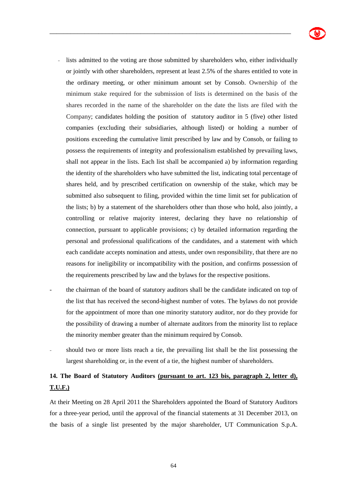

- lists admitted to the voting are those submitted by shareholders who, either individually or jointly with other shareholders, represent at least 2.5% of the shares entitled to vote in the ordinary meeting, or other minimum amount set by Consob. Ownership of the minimum stake required for the submission of lists is determined on the basis of the shares recorded in the name of the shareholder on the date the lists are filed with the Company; candidates holding the position of statutory auditor in 5 (five) other listed companies (excluding their subsidiaries, although listed) or holding a number of positions exceeding the cumulative limit prescribed by law and by Consob, or failing to possess the requirements of integrity and professionalism established by prevailing laws, shall not appear in the lists. Each list shall be accompanied a) by information regarding the identity of the shareholders who have submitted the list, indicating total percentage of shares held, and by prescribed certification on ownership of the stake, which may be submitted also subsequent to filing, provided within the time limit set for publication of the lists; b) by a statement of the shareholders other than those who hold, also jointly, a controlling or relative majority interest, declaring they have no relationship of connection, pursuant to applicable provisions; c) by detailed information regarding the personal and professional qualifications of the candidates, and a statement with which each candidate accepts nomination and attests, under own responsibility, that there are no reasons for ineligibility or incompatibility with the position, and confirms possession of the requirements prescribed by law and the bylaws for the respective positions.

\_\_\_\_\_\_\_\_\_\_\_\_\_\_\_\_\_\_\_\_\_\_\_\_\_\_\_\_\_\_\_\_\_\_\_\_\_\_\_\_\_\_\_\_\_\_\_\_\_\_\_\_\_\_\_\_\_\_\_\_\_\_\_\_\_\_\_\_\_

- the chairman of the board of statutory auditors shall be the candidate indicated on top of the list that has received the second-highest number of votes. The bylaws do not provide for the appointment of more than one minority statutory auditor, nor do they provide for the possibility of drawing a number of alternate auditors from the minority list to replace the minority member greater than the minimum required by Consob.
- should two or more lists reach a tie, the prevailing list shall be the list possessing the largest shareholding or, in the event of a tie, the highest number of shareholders.

# **14. The Board of Statutory Auditors (pursuant to art. 123 bis, paragraph 2, letter d), T.U.F.)**

At their Meeting on 28 April 2011 the Shareholders appointed the Board of Statutory Auditors for a three-year period, until the approval of the financial statements at 31 December 2013, on the basis of a single list presented by the major shareholder, UT Communication S.p.A.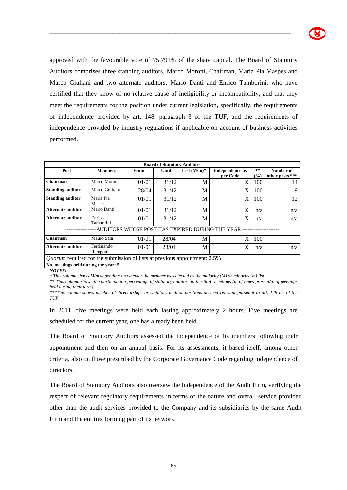

approved with the favourable vote of 75.791% of the share capital. The Board of Statutory Auditors comprises three standing auditors, Marco Moroni, Chairman, Maria Pia Maspes and Marco Giuliani and two alternate auditors, Mario Danti and Enrico Tamborini, who have certified that they know of no relative cause of ineligibility or incompatibility, and that they meet the requirements for the position under current legislation, specifically, the requirements of independence provided by art. 148, paragraph 3 of the TUF, and the requirements of independence provided by industry regulations if applicable on account of business activities performed.

\_\_\_\_\_\_\_\_\_\_\_\_\_\_\_\_\_\_\_\_\_\_\_\_\_\_\_\_\_\_\_\_\_\_\_\_\_\_\_\_\_\_\_\_\_\_\_\_\_\_\_\_\_\_\_\_\_\_\_\_\_\_\_\_\_\_\_\_\_

| <b>Board of Statutory Auditors</b>                                               |                            |             |       |                |                                    |                                       |                              |  |  |
|----------------------------------------------------------------------------------|----------------------------|-------------|-------|----------------|------------------------------------|---------------------------------------|------------------------------|--|--|
| Post                                                                             | <b>Members</b>             | <b>From</b> | Until | List $(M/m)^*$ | <b>Independence</b> as<br>per Code | $* *$<br>$\left( \frac{6}{2} \right)$ | Number of<br>other posts *** |  |  |
| Chairman                                                                         | Marco Moroni               | 01/01       | 31/12 | M              | X                                  | 100                                   | 14                           |  |  |
| <b>Standing auditor</b>                                                          | Marco Giuliani             | 28/04       | 31/12 | M              | X                                  | 100                                   | 9                            |  |  |
| <b>Standing auditor</b>                                                          | Maria Pia<br><b>Maspes</b> | 01/01       | 31/12 | M              | X                                  | 100                                   | 12                           |  |  |
| Alternate auditor                                                                | Mario Danti                | 01/01       | 31/12 | M              | X                                  | n/a                                   | n/a                          |  |  |
| Alternate auditor                                                                | Enrico<br>Tamborini        | 01/01       | 31/12 | M              | X                                  | n/a                                   | n/a                          |  |  |
| WHOSE POST HAS EXPIRED DURING THE YEAR<br>AUDITORS-                              |                            |             |       |                |                                    |                                       |                              |  |  |
| Chairman                                                                         | Mauro Sala                 | 01/01       | 28/04 | M              | X                                  | 100                                   |                              |  |  |
| <b>Alternate auditor</b>                                                         | Ferdinando<br>Ramponi      | 01/01       | 28/04 | M              | X                                  | n/a                                   | n/a                          |  |  |
| <i>Quorum</i> required for the submission of lists at previous appointment: 2.5% |                            |             |       |                |                                    |                                       |                              |  |  |
| No. meetings held during the vear: 5                                             |                            |             |       |                |                                    |                                       |                              |  |  |

*NOTES:* 

*\* This column shows M/m depending on whether the member was elected by the majority (M) or minority (m) list* 

*\*\* This column shows the participation percentage of statutory auditors to the BoA meetings (n. of times present/n. of meetings held during their term).* 

*\*\*\*This column shows number of directorships or statutory auditor positions deemed relevant pursuant to art. 148 bis of the TUF.* 

In 2011, five meetings were held each lasting approximately 2 hours. Five meetings are scheduled for the current year, one has already been held.

The Board of Statutory Auditors assessed the independence of its members following their appointment and then on an annual basis. For its assessments, it based itself, among other criteria, also on those prescribed by the Corporate Governance Code regarding independence of directors.

The Board of Statutory Auditors also oversaw the independence of the Audit Firm, verifying the respect of relevant regulatory requirements in terms of the nature and overall service provided other than the audit services provided to the Company and its subsidiaries by the same Audit Firm and the entities forming part of its network.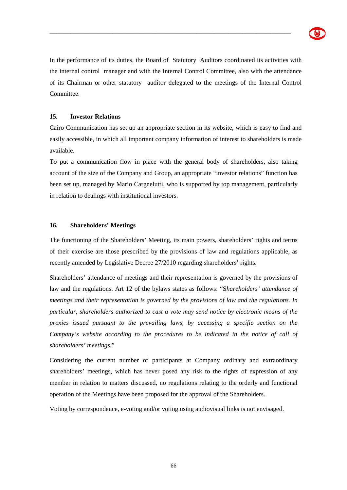

In the performance of its duties, the Board of Statutory Auditors coordinated its activities with the internal control manager and with the Internal Control Committee, also with the attendance of its Chairman or other statutory auditor delegated to the meetings of the Internal Control Committee.

\_\_\_\_\_\_\_\_\_\_\_\_\_\_\_\_\_\_\_\_\_\_\_\_\_\_\_\_\_\_\_\_\_\_\_\_\_\_\_\_\_\_\_\_\_\_\_\_\_\_\_\_\_\_\_\_\_\_\_\_\_\_\_\_\_\_\_\_\_

## **15. Investor Relations**

Cairo Communication has set up an appropriate section in its website, which is easy to find and easily accessible, in which all important company information of interest to shareholders is made available.

To put a communication flow in place with the general body of shareholders, also taking account of the size of the Company and Group, an appropriate "investor relations" function has been set up, managed by Mario Cargnelutti, who is supported by top management, particularly in relation to dealings with institutional investors.

### **16. Shareholders' Meetings**

The functioning of the Shareholders' Meeting, its main powers, shareholders' rights and terms of their exercise are those prescribed by the provisions of law and regulations applicable, as recently amended by Legislative Decree 27/2010 regarding shareholders' rights.

Shareholders' attendance of meetings and their representation is governed by the provisions of law and the regulations. Art 12 of the bylaws states as follows: "S*hareholders' attendance of meetings and their representation is governed by the provisions of law and the regulations. In particular, shareholders authorized to cast a vote may send notice by electronic means of the proxies issued pursuant to the prevailing laws, by accessing a specific section on the Company's website according to the procedures to be indicated in the notice of call of shareholders' meetings.*"

Considering the current number of participants at Company ordinary and extraordinary shareholders' meetings, which has never posed any risk to the rights of expression of any member in relation to matters discussed, no regulations relating to the orderly and functional operation of the Meetings have been proposed for the approval of the Shareholders.

Voting by correspondence, e-voting and/or voting using audiovisual links is not envisaged.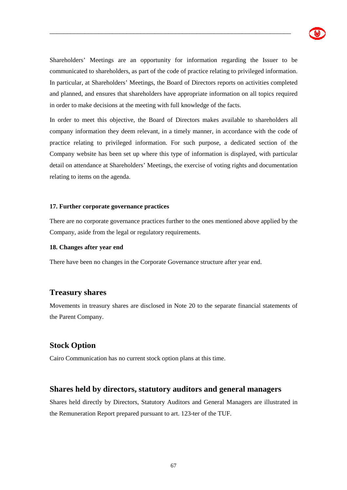

Shareholders' Meetings are an opportunity for information regarding the Issuer to be communicated to shareholders, as part of the code of practice relating to privileged information. In particular, at Shareholders' Meetings, the Board of Directors reports on activities completed and planned, and ensures that shareholders have appropriate information on all topics required in order to make decisions at the meeting with full knowledge of the facts.

\_\_\_\_\_\_\_\_\_\_\_\_\_\_\_\_\_\_\_\_\_\_\_\_\_\_\_\_\_\_\_\_\_\_\_\_\_\_\_\_\_\_\_\_\_\_\_\_\_\_\_\_\_\_\_\_\_\_\_\_\_\_\_\_\_\_\_\_\_

In order to meet this objective, the Board of Directors makes available to shareholders all company information they deem relevant, in a timely manner, in accordance with the code of practice relating to privileged information. For such purpose, a dedicated section of the Company website has been set up where this type of information is displayed, with particular detail on attendance at Shareholders' Meetings, the exercise of voting rights and documentation relating to items on the agenda.

#### **17. Further corporate governance practices**

There are no corporate governance practices further to the ones mentioned above applied by the Company, aside from the legal or regulatory requirements.

#### **18. Changes after year end**

There have been no changes in the Corporate Governance structure after year end.

# **Treasury shares**

Movements in treasury shares are disclosed in Note 20 to the separate financial statements of the Parent Company.

# **Stock Option**

Cairo Communication has no current stock option plans at this time.

# **Shares held by directors, statutory auditors and general managers**

Shares held directly by Directors, Statutory Auditors and General Managers are illustrated in the Remuneration Report prepared pursuant to art. 123-ter of the TUF.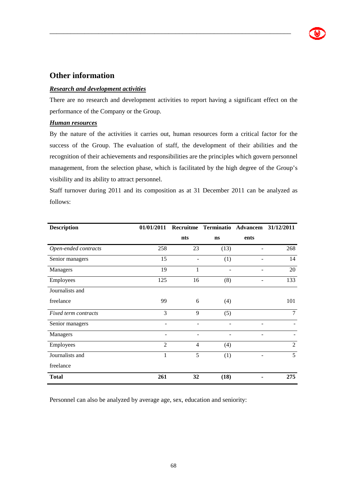# **Other information**

# *Research and development activities*

There are no research and development activities to report having a significant effect on the performance of the Company or the Group.

\_\_\_\_\_\_\_\_\_\_\_\_\_\_\_\_\_\_\_\_\_\_\_\_\_\_\_\_\_\_\_\_\_\_\_\_\_\_\_\_\_\_\_\_\_\_\_\_\_\_\_\_\_\_\_\_\_\_\_\_\_\_\_\_\_\_\_\_\_

# *Human resources*

By the nature of the activities it carries out, human resources form a critical factor for the success of the Group. The evaluation of staff, the development of their abilities and the recognition of their achievements and responsibilities are the principles which govern personnel management, from the selection phase, which is facilitated by the high degree of the Group's visibility and its ability to attract personnel.

Staff turnover during 2011 and its composition as at 31 December 2011 can be analyzed as follows:

| <b>Description</b>   | 01/01/2011     |                | Recruitme Terminatio Advancem 31/12/2011 |      |                |  |
|----------------------|----------------|----------------|------------------------------------------|------|----------------|--|
|                      |                | nts            | ns                                       | ents |                |  |
| Open-ended contracts | 258            | 23             | (13)                                     |      | 268            |  |
| Senior managers      | 15             |                | (1)                                      |      | 14             |  |
| Managers             | 19             | 1              |                                          |      | 20             |  |
| Employees            | 125            | 16             | (8)                                      |      | 133            |  |
| Journalists and      |                |                |                                          |      |                |  |
| freelance            | 99             | 6              | (4)                                      |      | 101            |  |
| Fixed term contracts | 3              | 9              | (5)                                      |      | $\overline{7}$ |  |
| Senior managers      |                |                |                                          |      |                |  |
| Managers             |                |                |                                          |      |                |  |
| Employees            | $\overline{2}$ | $\overline{4}$ | (4)                                      |      | 2              |  |
| Journalists and      | 1              | 5              | (1)                                      |      | 5              |  |
| freelance            |                |                |                                          |      |                |  |
| <b>Total</b>         | 261            | 32             | (18)                                     |      | 275            |  |

Personnel can also be analyzed by average age, sex, education and seniority: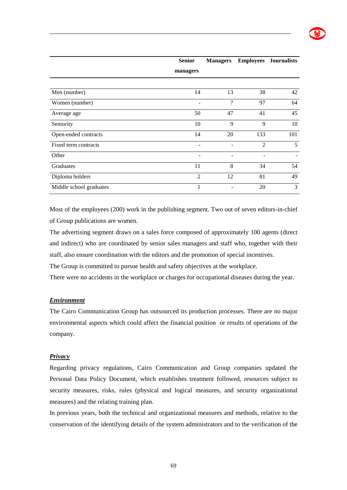|                         | <b>Senior</b>            | <b>Managers</b> |                | <b>Employees</b> Journalists |
|-------------------------|--------------------------|-----------------|----------------|------------------------------|
|                         | managers                 |                 |                |                              |
|                         |                          |                 |                |                              |
| Men (number)            | 14                       | 13              | 38             | 42                           |
| Women (number)          |                          | 7               | 97             | 64                           |
| Average age             | 50                       | 47              | 41             | 45                           |
| Seniority               | 10                       | 9               | 9              | 10                           |
| Open-ended contracts    | 14                       | 20              | 133            | 101                          |
| Fixed term contracts    | $\overline{\phantom{0}}$ |                 | $\mathfrak{D}$ | 5                            |
| Other                   | $\qquad \qquad$          | -               |                | -                            |
| Graduates               | 11                       | 8               | 34             | 54                           |
| Diploma holders         | $\overline{2}$           | 12              | 81             | 49                           |
| Middle school graduates | 1                        |                 | 20             | 3                            |

\_\_\_\_\_\_\_\_\_\_\_\_\_\_\_\_\_\_\_\_\_\_\_\_\_\_\_\_\_\_\_\_\_\_\_\_\_\_\_\_\_\_\_\_\_\_\_\_\_\_\_\_\_\_\_\_\_\_\_\_\_\_\_\_\_\_\_\_\_

Most of the employees (200) work in the publishing segment. Two out of seven editors-in-chief of Group publications are women.

The advertising segment draws on a sales force composed of approximately 100 agents (direct and indirect) who are coordinated by senior sales managers and staff who, together with their staff, also ensure coordination with the editors and the promotion of special incentives.

The Group is committed to pursue health and safety objectives at the workplace.

There were no accidents in the workplace or charges for occupational diseases during the year.

### *Environment*

The Cairo Communication Group has outsourced its production processes. There are no major environmental aspects which could affect the financial position or results of operations of the company.

#### *Privacy*

Regarding privacy regulations, Cairo Communication and Group companies updated the Personal Data Policy Document, which establishes treatment followed, resources subject to security measures, risks, rules (physical and logical measures, and security organizational measures) and the relating training plan.

In previous years, both the technical and organizational measures and methods, relative to the conservation of the identifying details of the system administrators and to the verification of the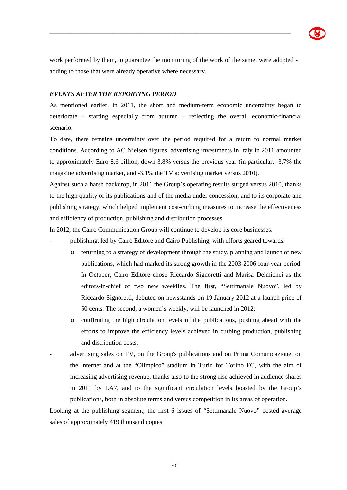

work performed by them, to guarantee the monitoring of the work of the same, were adopted adding to those that were already operative where necessary.

\_\_\_\_\_\_\_\_\_\_\_\_\_\_\_\_\_\_\_\_\_\_\_\_\_\_\_\_\_\_\_\_\_\_\_\_\_\_\_\_\_\_\_\_\_\_\_\_\_\_\_\_\_\_\_\_\_\_\_\_\_\_\_\_\_\_\_\_\_

# *EVENTS AFTER THE REPORTING PERIOD*

As mentioned earlier, in 2011, the short and medium-term economic uncertainty began to deteriorate – starting especially from autumn – reflecting the overall economic-financial scenario.

To date, there remains uncertainty over the period required for a return to normal market conditions. According to AC Nielsen figures, advertising investments in Italy in 2011 amounted to approximately Euro 8.6 billion, down 3.8% versus the previous year (in particular, -3.7% the magazine advertising market, and -3.1% the TV advertising market versus 2010).

Against such a harsh backdrop, in 2011 the Group's operating results surged versus 2010, thanks to the high quality of its publications and of the media under concession, and to its corporate and publishing strategy, which helped implement cost-curbing measures to increase the effectiveness and efficiency of production, publishing and distribution processes.

In 2012, the Cairo Communication Group will continue to develop its core businesses:

- publishing, led by Cairo Editore and Cairo Publishing, with efforts geared towards:
	- o returning to a strategy of development through the study, planning and launch of new publications, which had marked its strong growth in the 2003-2006 four-year period. In October, Cairo Editore chose Riccardo Signoretti and Marisa Deimichei as the editors-in-chief of two new weeklies. The first, "Settimanale Nuovo", led by Riccardo Signoretti, debuted on newsstands on 19 January 2012 at a launch price of 50 cents. The second, a women's weekly, will be launched in 2012;
	- o confirming the high circulation levels of the publications, pushing ahead with the efforts to improve the efficiency levels achieved in curbing production, publishing and distribution costs;
- advertising sales on TV, on the Group's publications and on Prima Comunicazione, on the Internet and at the "Olimpico" stadium in Turin for Torino FC, with the aim of increasing advertising revenue, thanks also to the strong rise achieved in audience shares in 2011 by LA7, and to the significant circulation levels boasted by the Group's publications, both in absolute terms and versus competition in its areas of operation.

Looking at the publishing segment, the first 6 issues of "Settimanale Nuovo" posted average sales of approximately 419 thousand copies.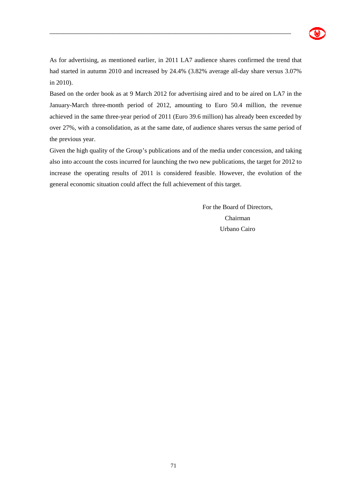

As for advertising, as mentioned earlier, in 2011 LA7 audience shares confirmed the trend that had started in autumn 2010 and increased by 24.4% (3.82% average all-day share versus 3.07%) in 2010).

\_\_\_\_\_\_\_\_\_\_\_\_\_\_\_\_\_\_\_\_\_\_\_\_\_\_\_\_\_\_\_\_\_\_\_\_\_\_\_\_\_\_\_\_\_\_\_\_\_\_\_\_\_\_\_\_\_\_\_\_\_\_\_\_\_\_\_\_\_

Based on the order book as at 9 March 2012 for advertising aired and to be aired on LA7 in the January-March three-month period of 2012, amounting to Euro 50.4 million, the revenue achieved in the same three-year period of 2011 (Euro 39.6 million) has already been exceeded by over 27%, with a consolidation, as at the same date, of audience shares versus the same period of the previous year.

Given the high quality of the Group's publications and of the media under concession, and taking also into account the costs incurred for launching the two new publications, the target for 2012 to increase the operating results of 2011 is considered feasible. However, the evolution of the general economic situation could affect the full achievement of this target.

> For the Board of Directors, Chairman Urbano Cairo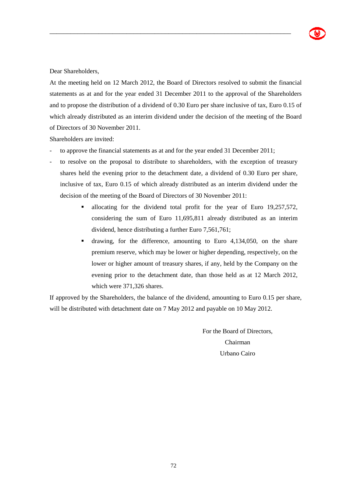Dear Shareholders,

At the meeting held on 12 March 2012, the Board of Directors resolved to submit the financial statements as at and for the year ended 31 December 2011 to the approval of the Shareholders and to propose the distribution of a dividend of 0.30 Euro per share inclusive of tax, Euro 0.15 of which already distributed as an interim dividend under the decision of the meeting of the Board of Directors of 30 November 2011.

\_\_\_\_\_\_\_\_\_\_\_\_\_\_\_\_\_\_\_\_\_\_\_\_\_\_\_\_\_\_\_\_\_\_\_\_\_\_\_\_\_\_\_\_\_\_\_\_\_\_\_\_\_\_\_\_\_\_\_\_\_\_\_\_\_\_\_\_\_

Shareholders are invited:

- to approve the financial statements as at and for the year ended 31 December 2011;
- to resolve on the proposal to distribute to shareholders, with the exception of treasury shares held the evening prior to the detachment date, a dividend of 0.30 Euro per share, inclusive of tax, Euro 0.15 of which already distributed as an interim dividend under the decision of the meeting of the Board of Directors of 30 November 2011:
	- allocating for the dividend total profit for the year of Euro 19,257,572, considering the sum of Euro 11,695,811 already distributed as an interim dividend, hence distributing a further Euro 7,561,761;
	- drawing, for the difference, amounting to Euro 4,134,050, on the share premium reserve, which may be lower or higher depending, respectively, on the lower or higher amount of treasury shares, if any, held by the Company on the evening prior to the detachment date, than those held as at 12 March 2012, which were 371,326 shares.

If approved by the Shareholders, the balance of the dividend, amounting to Euro 0.15 per share, will be distributed with detachment date on 7 May 2012 and payable on 10 May 2012.

> For the Board of Directors, Chairman Urbano Cairo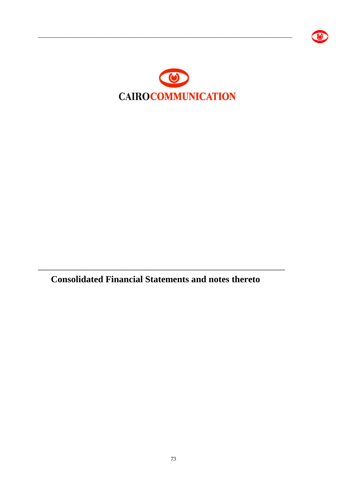

**Consolidated Financial Statements and notes thereto**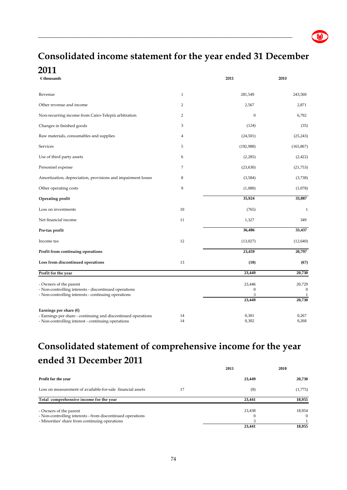# **Consolidated income statement for the year ended 31 December 2011**

\_\_\_\_\_\_\_\_\_\_\_\_\_\_\_\_\_\_\_\_\_\_\_\_\_\_\_\_\_\_\_\_\_\_\_\_\_\_\_\_\_\_\_\_\_\_\_\_\_\_\_\_\_\_\_\_\_\_\_\_\_\_\_\_\_\_\_\_\_\_\_\_\_\_\_\_\_\_\_

| $\epsilon$ thousands                                                                                                                                   |                  | 2011                                      | 2010                             |
|--------------------------------------------------------------------------------------------------------------------------------------------------------|------------------|-------------------------------------------|----------------------------------|
| Revenue                                                                                                                                                | $\mathbf{1}$     | 281,549                                   | 243,560                          |
| Other revenue and income                                                                                                                               | $\boldsymbol{2}$ | 2,567                                     | 2,871                            |
| Non-recurring income from Cairo-Telepiù arbitration                                                                                                    | $\overline{2}$   | $\mathbf{0}$                              | 6,792                            |
| Changes in finished goods                                                                                                                              | 3                | (124)                                     | (35)                             |
| Raw materials, consumables and supplies                                                                                                                | 4                | (24,501)                                  | (25, 243)                        |
| Services                                                                                                                                               | 5                | (192,988)                                 | (165, 867)                       |
| Use of third party assets                                                                                                                              | 6                | (2, 285)                                  | (2, 422)                         |
| Personnel expense                                                                                                                                      | $\overline{7}$   | (23, 630)                                 | (21, 753)                        |
| Amortization, depreciation, provisions and impairment losses                                                                                           | 8                | (3,584)                                   | (3,738)                          |
| Other operating costs                                                                                                                                  | 9                | (1,080)                                   | (1,078)                          |
| Operating profit                                                                                                                                       |                  | 35,924                                    | 33,087                           |
| Loss on investments                                                                                                                                    | 10               | (765)                                     | $\mathbf{1}$                     |
| Net financial income                                                                                                                                   | 11               | 1,327                                     | 349                              |
| Pre-tax profit                                                                                                                                         |                  | 36,486                                    | 33,437                           |
| Income tax                                                                                                                                             | 12               | (13,027)                                  | (12,640)                         |
| Profit from continuing operations                                                                                                                      |                  | 23,459                                    | 20,797                           |
| Loss from discontinued operations                                                                                                                      | 13               | (10)                                      | (67)                             |
| Profit for the year                                                                                                                                    |                  | 23,449                                    | 20,730                           |
| - Owners of the parent<br>- Non-controlling interests - discontinued operations<br>- Non-controlling interests - continuing operations                 |                  | 23,446<br>$\boldsymbol{0}$<br>3<br>23,449 | 20,729<br>$\mathbf{0}$<br>20,730 |
| Earnings per share $(\epsilon)$<br>- Earnings per share - continuing and discontinued operations<br>- Non-controlling interest - continuing operations | 14<br>14         | 0,301<br>0,302                            | 0,267<br>0,268                   |

### **Consolidated statement of comprehensive income for the year ended 31 December 2011 2011 2010**

|                                                                                                                                        | 2011   | 2010               |
|----------------------------------------------------------------------------------------------------------------------------------------|--------|--------------------|
| Profit for the year                                                                                                                    | 23,449 | 20,730             |
| Loss on measurement of available-for-sale financial assets<br>17                                                                       | (8)    | (1,775)            |
| Total comprehensive income for the year                                                                                                | 23,441 | 18,955             |
| - Owners of the parent<br>- Non-controlling interests - from discontinued operations<br>- Minorities' share from continuing operations | 23,438 | 18,954<br>$\Omega$ |
|                                                                                                                                        | 23,441 | 18,955             |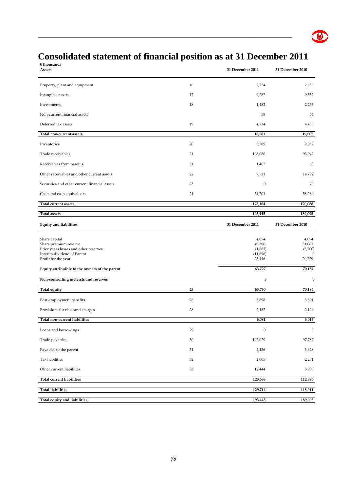# **Consolidated statement of financial position as at 31 December 2011**

 $\bullet$ 

| $\epsilon$ thousands<br>Assets                                                                                                                                                         |        | 31 December 2011                                           | 31 December 2010                                           |
|----------------------------------------------------------------------------------------------------------------------------------------------------------------------------------------|--------|------------------------------------------------------------|------------------------------------------------------------|
| Property, plant and equipment                                                                                                                                                          | 16     | 2,724                                                      | 2,656                                                      |
| Intangible assets                                                                                                                                                                      | 17     | 9,282                                                      | 9,552                                                      |
| Investments                                                                                                                                                                            | 18     | 1,482                                                      | 2,255                                                      |
| Non-current financial assets                                                                                                                                                           |        | 58                                                         | 64                                                         |
| Deferred tax assets                                                                                                                                                                    | 19     | 4,734                                                      | 4,480                                                      |
| Total non-current assets                                                                                                                                                               |        | 18,281                                                     | 19,007                                                     |
| Inventories                                                                                                                                                                            | 20     | 3,389                                                      | 2,952                                                      |
| Trade receivables                                                                                                                                                                      | 21     | 108,086                                                    | 93,942                                                     |
| Receivables from parents                                                                                                                                                               | 31     | 1,467                                                      | 63                                                         |
| Other receivables and other current assets                                                                                                                                             | 22     | 7,521                                                      | 14,792                                                     |
| Securities and other current financial assets                                                                                                                                          | 23     | $\boldsymbol{0}$                                           | 79                                                         |
| Cash and cash equivalents                                                                                                                                                              | 24     | 54,701                                                     | 58,260                                                     |
| Total current assets                                                                                                                                                                   |        | 175,164                                                    | 170,088                                                    |
| <b>Total assets</b>                                                                                                                                                                    |        | 193,445                                                    | 189,095                                                    |
| <b>Equity and liabilities</b>                                                                                                                                                          |        | 31 December 2011                                           | 31 December 2010                                           |
| Share capital<br>Share premium reserve<br>Prior years losses and other reserves<br>Interim dividend of Parent<br>Profit for the year<br>Equity attribuible to the owners of the parent |        | 4,074<br>49,586<br>(1,683)<br>(11,696)<br>23,446<br>63,727 | 4,074<br>51,081<br>(5,700)<br>$\theta$<br>20,729<br>70,184 |
| Non-controlling inetersts and reserves                                                                                                                                                 |        | 3                                                          | $\pmb{0}$                                                  |
| Total equity                                                                                                                                                                           | 25     | 63,730                                                     | 70,184                                                     |
| Post-employment benefits                                                                                                                                                               | 26     | 3,898                                                      | 3,891                                                      |
| Provisions for risks and charges                                                                                                                                                       | 28     | 2,182                                                      | 2,124                                                      |
| Total non-current liabilities                                                                                                                                                          |        | 6,081                                                      | 6,015                                                      |
| Loans and borrowings                                                                                                                                                                   | 29     | $\boldsymbol{0}$                                           | $\boldsymbol{0}$                                           |
| Trade payables                                                                                                                                                                         | $30\,$ | 107,029                                                    | 97,787                                                     |
| Payables to the parent                                                                                                                                                                 | 31     | 2,156                                                      | 3,928                                                      |
| Tax liabilities                                                                                                                                                                        | 32     | 2,005                                                      | 2,281                                                      |
| Other current liabilities                                                                                                                                                              |        |                                                            |                                                            |
|                                                                                                                                                                                        | 33     | 12,444                                                     | 8,900                                                      |
| Total current liabilities                                                                                                                                                              |        | 123,633                                                    | 112,896                                                    |
| <b>Total liabilities</b>                                                                                                                                                               |        | 129,714                                                    | 118,911                                                    |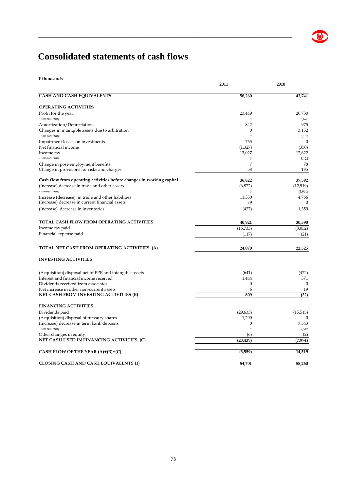

# **Consolidated statements of cash flows**

**€ thousands**

|                                                                       | 2011             | 2010            |
|-----------------------------------------------------------------------|------------------|-----------------|
| <b>CASH AND CASH EQUIVALENTS</b>                                      | 58,260           | 43,741          |
| <b>OPERATING ACTIVITIES</b>                                           |                  |                 |
| Profit for the year<br>- non-recurring                                | 23,449<br>0      | 20,730<br>3,670 |
| Amortization/Depreciation                                             | 842              | 975             |
| Changes in intangible assets due to arbitration<br>- non-recurring    | 0<br>$\theta$    | 3,152<br>3,152  |
| Impairment losses on investments                                      | 765              | $\mathbf{0}$    |
| Net financial income                                                  | (1,327)          | (350)           |
| Income tax                                                            | 13,027           | 12,622          |
| - non-recurring                                                       | $\theta$         | 3,122           |
| Change in post-employment benefits                                    | 7                | 78              |
| Change in provisions for risks and charges                            | 58               | 185             |
| Cash flow from operating activities before changes in working capital | 36,822           | 37,392          |
| (Increase) decrease in trade and other assets                         | (6,872)          | (12, 919)       |
| - non-recurring                                                       | $\boldsymbol{0}$ | (5, 941)        |
| Increase (decrease) in trade and other liabilities                    | 11,330           | 4,766           |
| (Increase) decrease in current financial assets                       | 79               | 0               |
| (Increase) decrease in inventories                                    | (437)            | 1,359           |
| <b>TOTAL CASH FLOW FROM OPERATING ACTIVITIES</b>                      | 40,921           | 30,598          |
| Income tax paid                                                       | (16, 733)        | (8,052)         |
| Financial expense paid                                                | (117)            | (21)            |
|                                                                       |                  |                 |
| TOTAL NET CASH FROM OPERATING ACTIVITIES (A)                          | 24,070           | 22,525          |
| <b>INVESTING ACTIVITIES</b>                                           |                  |                 |
| (Acquisition) disposal net of PPE and intangible assets               | (641)            | (422)           |
| Interest and financial income received                                | 1,444            | 371             |
| Dividends received from associates                                    | 0                | $\Omega$        |
| Net increase in other non-current assets                              | 6                | 19              |
| NET CASH FROM INVESTING ACTIVITIES (B)                                | 809              | (32)            |
| <b>FINANCING ACTIVITIES</b>                                           |                  |                 |
| Dividends paid                                                        | (29, 633)        | (15, 515)       |
| (Acquisition) disposal of treasury shares                             | 1,200            | 0               |
| (Increase) decrease in term bank deposits                             | 0                | 7,543           |
| - non-recurring                                                       | $\boldsymbol{0}$ | 7,543           |
| Other changes in equity                                               | (6)              | (2)             |
| NET CASH USED IN FINANCING ACTIVITIES (C)                             | (28, 439)        | (7, 974)        |
| CASH FLOW OF THE YEAR $(A)+(B)+(C)$                                   | (3, 559)         | 14,519          |
| <b>CLOSING CASH AND CASH EQUIVALENTS (1)</b>                          | 54,701           | 58,260          |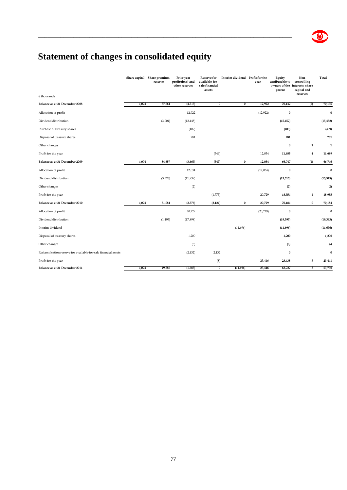# **Statement of changes in consolidated equity**

|                                                                  |       | Share capital Share premium<br>reserve | Prior year<br>profit/(loss) and<br>other reserves | Reserve for<br>available-for-<br>sale financial<br>assets | Interim dividend Profit for the | year      | Equity<br>attributable to<br>parent | Non-<br>controlling<br>owners of the interests share<br>capital and | Total     |
|------------------------------------------------------------------|-------|----------------------------------------|---------------------------------------------------|-----------------------------------------------------------|---------------------------------|-----------|-------------------------------------|---------------------------------------------------------------------|-----------|
| $€$ thousands                                                    |       |                                        |                                                   |                                                           |                                 |           |                                     | reserves                                                            |           |
| Balance as at 31 December 2008                                   | 4,074 | 57,661                                 | (4, 515)                                          | $\overline{0}$                                            | $\overline{0}$                  | 12,922    | 70,142                              | (6)                                                                 | 70,136    |
| Allocation of profit                                             |       |                                        | 12,922                                            |                                                           |                                 | (12, 922) | $\bf{0}$                            |                                                                     | $\bf{0}$  |
| Dividend distribution                                            |       | (3,004)                                | (12, 448)                                         |                                                           |                                 |           | (15, 452)                           |                                                                     | (15, 452) |
| Purchase of treasury shares                                      |       |                                        | (409)                                             |                                                           |                                 |           | (409)                               |                                                                     | (409)     |
| Disposal of treasury shares                                      |       |                                        | 781                                               |                                                           |                                 |           | 781                                 |                                                                     | 781       |
| Other changes                                                    |       |                                        |                                                   |                                                           |                                 |           | $\bf{0}$                            | $\mathbf 1$                                                         | 1         |
| Profit for the year                                              |       |                                        |                                                   | (349)                                                     |                                 | 12,034    | 11,685                              | $\overline{4}$                                                      | 11,689    |
| Balance as at 31 December 2009                                   | 4,074 | 54,657                                 | (3,669)                                           | (349)                                                     | $\overline{0}$                  | 12,034    | 66,747                              | (1)                                                                 | 66,746    |
| Allocation of profit                                             |       |                                        | 12,034                                            |                                                           |                                 | (12, 034) | $\bf{0}$                            |                                                                     | $\bf{0}$  |
| Dividend distribution                                            |       | (3, 576)                               | (11, 939)                                         |                                                           |                                 |           | (15, 515)                           |                                                                     | (15, 515) |
| Other changes                                                    |       |                                        | (2)                                               |                                                           |                                 |           | (2)                                 |                                                                     | (2)       |
| Profit for the year                                              |       |                                        |                                                   | (1,775)                                                   |                                 | 20,729    | 18,954                              | $\mathbf{1}$                                                        | 18,955    |
| Balance as at 31 December 2010                                   | 4,074 | 51,081                                 | (3,576)                                           | (2, 124)                                                  | $\overline{0}$                  | 20,729    | 70,184                              | $\overline{0}$                                                      | 70,184    |
| Allocation of profit                                             |       |                                        | 20,729                                            |                                                           |                                 | (20, 729) | $\bf{0}$                            |                                                                     | $\bf{0}$  |
| Dividend distribution                                            |       | (1, 495)                               | (17, 898)                                         |                                                           |                                 |           | (19, 393)                           |                                                                     | (19, 393) |
| Interim dividend                                                 |       |                                        |                                                   |                                                           | (11,696)                        |           | (11, 696)                           |                                                                     | (11, 696) |
| Disposal of treasury shares                                      |       |                                        | 1,200                                             |                                                           |                                 |           | 1,200                               |                                                                     | 1,200     |
| Other changes                                                    |       |                                        | (6)                                               |                                                           |                                 |           | (6)                                 |                                                                     | (6)       |
| Reclassification reserve for available-for-sale financial assets |       |                                        | (2, 132)                                          | 2,132                                                     |                                 |           | $\bf{0}$                            |                                                                     | $\bf{0}$  |
| Profit for the year                                              |       |                                        |                                                   | (8)                                                       |                                 | 23,446    | 23,438                              | 3                                                                   | 23,441    |
| Balance as at 31 December 2011                                   | 4,074 | 49,586                                 | (1,683)                                           | $\overline{0}$                                            | (11,696)                        | 23,446    | 63,727                              | 3                                                                   | 63,730    |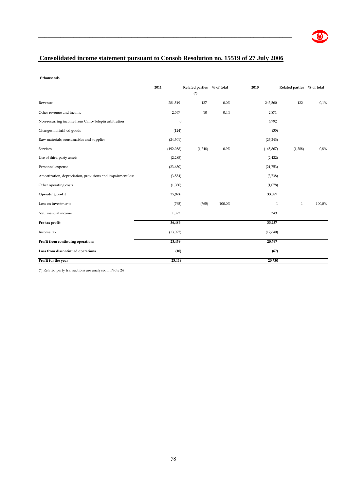

### **Consolidated income statement pursuant to Consob Resolution no. 15519 of 27 July 2006**

\_\_\_\_\_\_\_\_\_\_\_\_\_\_\_\_\_\_\_\_\_\_\_\_\_\_\_\_\_\_\_\_\_\_\_\_\_\_\_\_\_\_\_\_\_\_\_\_\_\_\_\_\_\_\_\_\_\_\_\_\_\_\_\_\_\_\_\_\_\_\_\_\_\_\_\_\_\_\_

**€ thousands**

|                                                            | 2011             | <b>Related parties</b> | $\%$ of total | 2010       | Related parties % of total |        |
|------------------------------------------------------------|------------------|------------------------|---------------|------------|----------------------------|--------|
|                                                            |                  | $(*)$                  |               |            |                            |        |
| Revenue                                                    | 281,549          | 137                    | 0,0%          | 243,560    | 122                        | 0,1%   |
| Other revenue and income                                   | 2,567            | 10                     | 0,4%          | 2,871      |                            |        |
| Non-recurring income from Cairo-Telepiù arbitration        | $\boldsymbol{0}$ |                        |               | 6,792      |                            |        |
| Changes in finished goods                                  | (124)            |                        |               | (35)       |                            |        |
| Raw materials, consumables and supplies                    | (24, 501)        |                        |               | (25, 243)  |                            |        |
| Services                                                   | (192, 988)       | (1,748)                | 0,9%          | (165, 867) | (1,388)                    | 0,8%   |
| Use of third party assets                                  | (2, 285)         |                        |               | (2, 422)   |                            |        |
| Personnel expense                                          | (23, 630)        |                        |               | (21,753)   |                            |        |
| Amortization, depreciation, provisions and impairment loss | (3, 584)         |                        |               | (3,738)    |                            |        |
| Other operating costs                                      | (1,080)          |                        |               | (1,078)    |                            |        |
| Operating profit                                           | 35,924           |                        |               | 33,087     |                            |        |
| Loss on investments                                        | (765)            | (765)                  | 100,0%        | 1          | $\mathbf{1}$               | 100,0% |
| Net financial income                                       | 1,327            |                        |               | 349        |                            |        |
| Pre-tax profit                                             | 36,486           |                        |               | 33,437     |                            |        |
| Income tax                                                 | (13,027)         |                        |               | (12,640)   |                            |        |
| Profit from continuing operations                          | 23,459           |                        |               | 20,797     |                            |        |
| Loss from discontinued operations                          | (10)             |                        |               | (67)       |                            |        |
| Profit for the year                                        | 23,449           |                        |               | 20,730     |                            |        |

(\*) Related party transactions are analyzed in Note 24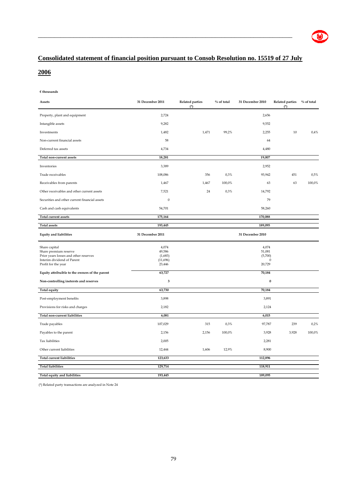

### **Consolidated statement of financial position pursuant to Consob Resolution no. 15519 of 27 July**

\_\_\_\_\_\_\_\_\_\_\_\_\_\_\_\_\_\_\_\_\_\_\_\_\_\_\_\_\_\_\_\_\_\_\_\_\_\_\_\_\_\_\_\_\_\_\_\_\_\_\_\_\_\_\_\_\_\_\_\_\_\_\_\_\_\_\_\_\_\_\_\_\_\_\_\_\_\_\_

### **2006**

#### **€ thousands**

| Assets                                                                                                                               | 31 December 2011                                 | <b>Related parties</b><br>$(*)$ | $%$ of total | 31 December 2010                                 | <b>Related parties</b><br>$(*)$ | $%$ of total |
|--------------------------------------------------------------------------------------------------------------------------------------|--------------------------------------------------|---------------------------------|--------------|--------------------------------------------------|---------------------------------|--------------|
| Property, plant and equipment                                                                                                        | 2,724                                            |                                 |              | 2,656                                            |                                 |              |
| Intangible assets                                                                                                                    | 9,282                                            |                                 |              | 9,552                                            |                                 |              |
| Investments                                                                                                                          | 1,482                                            | 1,471                           | 99,2%        | 2,255                                            | $10\,$                          | 0,4%         |
| Non-current financial assets                                                                                                         | 58                                               |                                 |              | 64                                               |                                 |              |
| Deferred tax assets                                                                                                                  | 4,734                                            |                                 |              | 4,480                                            |                                 |              |
| Total non-current assets                                                                                                             | 18,281                                           |                                 |              | 19,007                                           |                                 |              |
| Inventories                                                                                                                          | 3,389                                            |                                 |              | 2,952                                            |                                 |              |
| Trade receivables                                                                                                                    | 108,086                                          | 356                             | 0,3%         | 93,942                                           | 451                             | 0,5%         |
| Receivables from parents                                                                                                             | 1,467                                            | 1,467                           | 100,0%       | 63                                               | 63                              | 100,0%       |
| Other receivables and other current assets                                                                                           | 7,521                                            | 24                              | 0,3%         | 14,792                                           |                                 |              |
| Securities and other current financial assets                                                                                        | $\boldsymbol{0}$                                 |                                 |              | 79                                               |                                 |              |
| Cash and cash equivalents                                                                                                            | 54,701                                           |                                 |              | 58,260                                           |                                 |              |
| <b>Total current assets</b>                                                                                                          | 175,164                                          |                                 |              | 170,088                                          |                                 |              |
| <b>Total assets</b>                                                                                                                  | 193,445                                          |                                 |              | 189,095                                          |                                 |              |
| <b>Equity and liabilities</b>                                                                                                        | 31 December 2011                                 |                                 |              | 31 December 2010                                 |                                 |              |
| Share capital<br>Share premium reserve<br>Prior years losses and other reserves<br>Interim dividend of Parent<br>Profit for the year | 4,074<br>49,586<br>(1,683)<br>(11,696)<br>23,446 |                                 |              | 4,074<br>51,081<br>(5,700)<br>$\Omega$<br>20,729 |                                 |              |
| Equity attribuible to the owners of the parent                                                                                       | 63,727                                           |                                 |              | 70,184                                           |                                 |              |
| Non-controlling inetersts and reserves                                                                                               | $\mathbf 3$                                      |                                 |              | $\pmb{0}$                                        |                                 |              |
| <b>Total equity</b>                                                                                                                  | 63,730                                           |                                 |              | 70,184                                           |                                 |              |
| Post-employment benefits                                                                                                             | 3,898                                            |                                 |              | 3,891                                            |                                 |              |
| Provisions for risks and charges                                                                                                     | 2,182                                            |                                 |              | 2,124                                            |                                 |              |
| <b>Total non-current liabilities</b>                                                                                                 | 6,081                                            |                                 |              | 6,015                                            |                                 |              |
| Trade payables                                                                                                                       | 107,029                                          | 315                             | 0,3%         | 97,787                                           | 239                             | 0,2%         |
| Payables to the parent                                                                                                               | 2,156                                            | 2,156                           | 100,0%       | 3,928                                            | 3,928                           | 100,0%       |
| <b>Tax liabilities</b>                                                                                                               | 2,005                                            |                                 |              | 2,281                                            |                                 |              |
| Other current liabilities                                                                                                            | 12,444                                           | 1,606                           | 12,9%        | 8,900                                            |                                 |              |
| <b>Total current liabilities</b>                                                                                                     | 123,633                                          |                                 |              | 112,896                                          |                                 |              |
| <b>Total liabilities</b>                                                                                                             | 129,714                                          |                                 |              | 118,911                                          |                                 |              |
| Total equity and liabilities                                                                                                         | 193,445                                          |                                 |              | 189,095                                          |                                 |              |

(\*) Related party transactions are analyzed in Note 24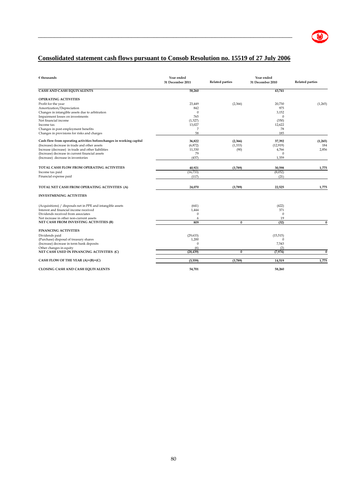

### **Consolidated statement cash flows pursuant to Consob Resolution no. 15519 of 27 July 2006**

| $\epsilon$ thousands                                                 | Year ended<br>31 December 2011 | <b>Related parties</b> | Year ended<br>31 December 2010 | <b>Related parties</b> |
|----------------------------------------------------------------------|--------------------------------|------------------------|--------------------------------|------------------------|
| <b>CASH AND CASH EQUIVALENTS</b>                                     | 58,260                         |                        | 43,741                         |                        |
| <b>OPERATING ACTIVITIES</b>                                          |                                |                        |                                |                        |
| Profit for the year                                                  | 23,449                         | (2,366)                | 20,730                         | (1,265)                |
| Amortization/Depreciation                                            | 842                            |                        | 975                            |                        |
| Changes in intangible assets due to arbitration                      | $\Omega$                       |                        | 3,152                          |                        |
| Impairment losses on investments                                     | 765                            |                        | $\mathbf{0}$                   |                        |
| Net financial income                                                 | (1, 327)                       |                        | (350)                          |                        |
| Income tax                                                           | 13,027                         |                        | 12,622                         |                        |
| Changes in post employment benefits                                  | 7                              |                        | 78                             |                        |
| Changes in provisions for risks and charges                          | 58                             |                        | 185                            |                        |
| Cash flow from operating activities beforechanges in working capital | 36,822                         | (2,366)                | 37,392                         | (1, 265)               |
| (Increase) decrease in trade and other assets                        | (6, 872)                       | (1, 333)               | (12, 919)                      | 184                    |
| Increase (decrease) in trade and other liabilities                   | 11,330                         | (90)                   | 4,766                          | 2,856                  |
| (Increase) decrease in current financial assets                      | 79                             |                        | $\Omega$                       |                        |
| (Increase) decrease in inventories                                   | (437)                          |                        | 1,359                          |                        |
|                                                                      |                                |                        |                                |                        |
| <b>TOTAL CASH FLOW FROM OPERATING ACTIVITIES</b>                     | 40,921                         | (3,789)                | 30,598                         | 1,775                  |
| Income tax paid                                                      | (16, 733)                      |                        | (8,052)                        |                        |
| Financial expense paid                                               | (117)                          |                        | (21)                           |                        |
| TOTAL NET CASH FROM OPERATING ACTIVITIES (A)                         | 24,070                         | (3,789)                | 22,525                         | 1,775                  |
| <b>INVESTMENING ACTIVITIES</b>                                       |                                |                        |                                |                        |
| (Acquisitions) / disposals net in PPE and intangible assets          | (641)                          |                        | (422)                          |                        |
| Interest and financial income received                               | 1.444                          |                        | 371                            |                        |
| Dividends received from associates                                   | $\Omega$                       |                        | $\theta$                       |                        |
| Net increase in other non-current assets                             | 6                              |                        | 19                             |                        |
| NET CASH FROM INVESTING ACTIVITIES (B)                               | 809                            | $\bf{0}$               | (32)                           | $\bf{0}$               |
| <b>FINANCING ACTIVITIES</b>                                          |                                |                        |                                |                        |
|                                                                      |                                |                        |                                |                        |
| Dividends paid                                                       | (29, 633)                      |                        | (15, 515)                      |                        |
| (Purchase) disposal of treasury shares                               | 1,200                          |                        | $\mathbf{0}$                   |                        |
| (Increase) decrease in term bank deposits                            | $\Omega$                       |                        | 7,543                          |                        |
| Other changes in equity                                              | (6)                            |                        | (2)                            |                        |
| NET CASH USED IN FINANCING ACTIVITIES (C)                            | (28, 439)                      | $\bf{0}$               | (7, 974)                       | $\bf{0}$               |
| CASH FLOW OF THE YEAR (A)+(B)+(C)                                    | (3, 559)                       | (3,789)                | 14,519                         | 1,775                  |
| <b>CLOSING CASH AND CASH EQUIVALENTS</b>                             | 54.701                         |                        | 58.260                         |                        |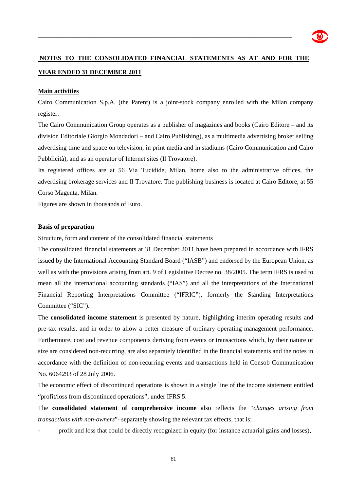

## **NOTES TO THE CONSOLIDATED FINANCIAL STATEMENTS AS AT AND FOR THE YEAR ENDED 31 DECEMBER 2011**

\_\_\_\_\_\_\_\_\_\_\_\_\_\_\_\_\_\_\_\_\_\_\_\_\_\_\_\_\_\_\_\_\_\_\_\_\_\_\_\_\_\_\_\_\_\_\_\_\_\_\_\_\_\_\_\_\_\_\_\_\_\_\_\_\_\_\_\_\_\_\_\_\_\_\_\_\_\_\_

#### **Main activities**

Cairo Communication S.p.A. (the Parent) is a joint-stock company enrolled with the Milan company register.

The Cairo Communication Group operates as a publisher of magazines and books (Cairo Editore – and its division Editoriale Giorgio Mondadori – and Cairo Publishing), as a multimedia advertising broker selling advertising time and space on television, in print media and in stadiums (Cairo Communication and Cairo Pubblicità), and as an operator of Internet sites (Il Trovatore).

Its registered offices are at 56 Via Tucidide, Milan, home also to the administrative offices, the advertising brokerage services and Il Trovatore. The publishing business is located at Cairo Editore, at 55 Corso Magenta, Milan.

Figures are shown in thousands of Euro.

#### **Basis of preparation**

Structure, form and content of the consolidated financial statements

The consolidated financial statements at 31 December 2011 have been prepared in accordance with IFRS issued by the International Accounting Standard Board ("IASB") and endorsed by the European Union, as well as with the provisions arising from art. 9 of Legislative Decree no. 38/2005. The term IFRS is used to mean all the international accounting standards ("IAS") and all the interpretations of the International Financial Reporting Interpretations Committee ("IFRIC"), formerly the Standing Interpretations Committee ("SIC").

The **consolidated income statement** is presented by nature, highlighting interim operating results and pre-tax results, and in order to allow a better measure of ordinary operating management performance. Furthermore, cost and revenue components deriving from events or transactions which, by their nature or size are considered non-recurring, are also separately identified in the financial statements and the notes in accordance with the definition of non-recurring events and transactions held in Consob Communication No. 6064293 of 28 July 2006.

The economic effect of discontinued operations is shown in a single line of the income statement entitled "profit/loss from discontinued operations", under IFRS 5.

The **consolidated statement of comprehensive income** also reflects the "*changes arising from transactions with non-owners*"- separately showing the relevant tax effects, that is:

- profit and loss that could be directly recognized in equity (for instance actuarial gains and losses),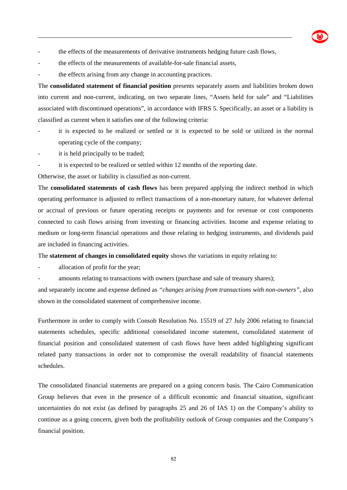the effects of the measurements of derivative instruments hedging future cash flows,

\_\_\_\_\_\_\_\_\_\_\_\_\_\_\_\_\_\_\_\_\_\_\_\_\_\_\_\_\_\_\_\_\_\_\_\_\_\_\_\_\_\_\_\_\_\_\_\_\_\_\_\_\_\_\_\_\_\_\_\_\_\_\_\_\_\_\_\_\_\_\_\_\_\_\_\_\_\_\_

- the effects of the measurements of available-for-sale financial assets,
- the effects arising from any change in accounting practices.

The **consolidated statement of financial position** presents separately assets and liabilities broken down into current and non-current, indicating, on two separate lines, "Assets held for sale" and "Liabilities associated with discontinued operations", in accordance with IFRS 5. Specifically, an asset or a liability is classified as current when it satisfies one of the following criteria:

- it is expected to be realized or settled or it is expected to be sold or utilized in the normal operating cycle of the company;
- it is held principally to be traded;
- it is expected to be realized or settled within 12 months of the reporting date.

Otherwise, the asset or liability is classified as non-current.

The **consolidated statements of cash flows** has been prepared applying the indirect method in which operating performance is adjusted to reflect transactions of a non-monetary nature, for whatever deferral or accrual of previous or future operating receipts or payments and for revenue or cost components connected to cash flows arising from investing or financing activities. Income and expense relating to medium or long-term financial operations and those relating to hedging instruments, and dividends paid are included in financing activities.

The **statement of changes in consolidated equity** shows the variations in equity relating to:

allocation of profit for the year;

amounts relating to transactions with owners (purchase and sale of treasury shares);

and separately income and expense defined as *"changes arising from transactions with non-owners",* also shown in the consolidated statement of comprehensive income.

Furthermore in order to comply with Consob Resolution No. 15519 of 27 July 2006 relating to financial statements schedules, specific additional consolidated income statement, consolidated statement of financial position and consolidated statement of cash flows have been added highlighting significant related party transactions in order not to compromise the overall readability of financial statements schedules.

The consolidated financial statements are prepared on a going concern basis. The Cairo Communication Group believes that even in the presence of a difficult economic and financial situation, significant uncertainties do not exist (as defined by paragraphs 25 and 26 of IAS 1) on the Company's ability to continue as a going concern, given both the profitability outlook of Group companies and the Company's financial position.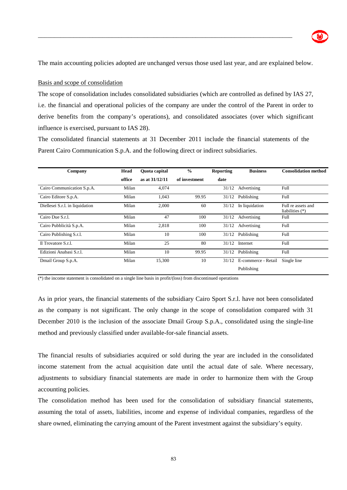The main accounting policies adopted are unchanged versus those used last year, and are explained below.

\_\_\_\_\_\_\_\_\_\_\_\_\_\_\_\_\_\_\_\_\_\_\_\_\_\_\_\_\_\_\_\_\_\_\_\_\_\_\_\_\_\_\_\_\_\_\_\_\_\_\_\_\_\_\_\_\_\_\_\_\_\_\_\_\_\_\_\_\_\_\_\_\_\_\_\_\_\_\_

#### Basis and scope of consolidation

The scope of consolidation includes consolidated subsidiaries (which are controlled as defined by IAS 27, i.e. the financial and operational policies of the company are under the control of the Parent in order to derive benefits from the company's operations), and consolidated associates (over which significant influence is exercised, pursuant to IAS 28).

The consolidated financial statements at 31 December 2011 include the financial statements of the Parent Cairo Communication S.p.A. and the following direct or indirect subsidiaries.

| Company                         | Head   | <b>Ouota</b> capital | $\frac{6}{6}$ | <b>Reporting</b> | <b>Business</b>     | <b>Consolidation method</b>             |
|---------------------------------|--------|----------------------|---------------|------------------|---------------------|-----------------------------------------|
|                                 | office | as at 31/12/11       | of investment | date             |                     |                                         |
| Cairo Communication S.p.A.      | Milan  | 4,074                |               | 31/12            | Advertising         | Full                                    |
| Cairo Editore S.p.A.            | Milan  | 1,043                | 99.95         | 31/12            | Publishing          | Full                                    |
| Diellesei S.r.l. in liquidation | Milan  | 2,000                | 60            | 31/12            | In liquidation      | Full re assets and<br>liabilities $(*)$ |
| Cairo Due S.r.l.                | Milan  | 47                   | 100           | 31/12            | Advertising         | Full                                    |
| Cairo Pubblicità S.p.A.         | Milan  | 2,818                | 100           | 31/12            | Advertising         | Full                                    |
| Cairo Publishing S.r.l.         | Milan  | 10                   | 100           | 31/12            | Publishing          | Full                                    |
| Il Trovatore S.r.l.             | Milan  | 25                   | 80            | 31/12            | Internet            | Full                                    |
| Edizioni Anabasi S.r.l.         | Milan  | 10                   | 99.95         | 31/12            | Publishing          | Full                                    |
| Dmail Group S.p.A.              | Milan  | 15,300               | 10            | 31/12            | E-commerce - Retail | Single line                             |
|                                 |        |                      |               |                  | Publishing          |                                         |

 $(*)$  the income statement is consolidated on a single line basis in profit/(loss) from discontinued operations

As in prior years, the financial statements of the subsidiary Cairo Sport S.r.l. have not been consolidated as the company is not significant. The only change in the scope of consolidation compared with 31 December 2010 is the inclusion of the associate Dmail Group S.p.A., consolidated using the single-line method and previously classified under available-for-sale financial assets.

The financial results of subsidiaries acquired or sold during the year are included in the consolidated income statement from the actual acquisition date until the actual date of sale. Where necessary, adjustments to subsidiary financial statements are made in order to harmonize them with the Group accounting policies.

The consolidation method has been used for the consolidation of subsidiary financial statements, assuming the total of assets, liabilities, income and expense of individual companies, regardless of the share owned, eliminating the carrying amount of the Parent investment against the subsidiary's equity.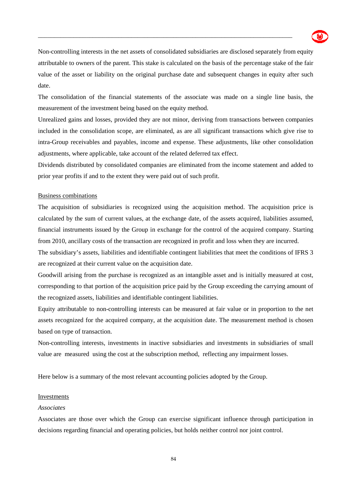

Non-controlling interests in the net assets of consolidated subsidiaries are disclosed separately from equity attributable to owners of the parent. This stake is calculated on the basis of the percentage stake of the fair value of the asset or liability on the original purchase date and subsequent changes in equity after such date.

\_\_\_\_\_\_\_\_\_\_\_\_\_\_\_\_\_\_\_\_\_\_\_\_\_\_\_\_\_\_\_\_\_\_\_\_\_\_\_\_\_\_\_\_\_\_\_\_\_\_\_\_\_\_\_\_\_\_\_\_\_\_\_\_\_\_\_\_\_\_\_\_\_\_\_\_\_\_\_

The consolidation of the financial statements of the associate was made on a single line basis, the measurement of the investment being based on the equity method.

Unrealized gains and losses, provided they are not minor, deriving from transactions between companies included in the consolidation scope, are eliminated, as are all significant transactions which give rise to intra-Group receivables and payables, income and expense. These adjustments, like other consolidation adjustments, where applicable, take account of the related deferred tax effect.

Dividends distributed by consolidated companies are eliminated from the income statement and added to prior year profits if and to the extent they were paid out of such profit.

#### Business combinations

The acquisition of subsidiaries is recognized using the acquisition method. The acquisition price is calculated by the sum of current values, at the exchange date, of the assets acquired, liabilities assumed, financial instruments issued by the Group in exchange for the control of the acquired company. Starting from 2010, ancillary costs of the transaction are recognized in profit and loss when they are incurred.

The subsidiary's assets, liabilities and identifiable contingent liabilities that meet the conditions of IFRS 3 are recognized at their current value on the acquisition date.

Goodwill arising from the purchase is recognized as an intangible asset and is initially measured at cost, corresponding to that portion of the acquisition price paid by the Group exceeding the carrying amount of the recognized assets, liabilities and identifiable contingent liabilities.

Equity attributable to non-controlling interests can be measured at fair value or in proportion to the net assets recognized for the acquired company, at the acquisition date. The measurement method is chosen based on type of transaction.

Non-controlling interests, investments in inactive subsidiaries and investments in subsidiaries of small value are measured using the cost at the subscription method, reflecting any impairment losses.

Here below is a summary of the most relevant accounting policies adopted by the Group.

#### Investments

#### *Associates*

Associates are those over which the Group can exercise significant influence through participation in decisions regarding financial and operating policies, but holds neither control nor joint control.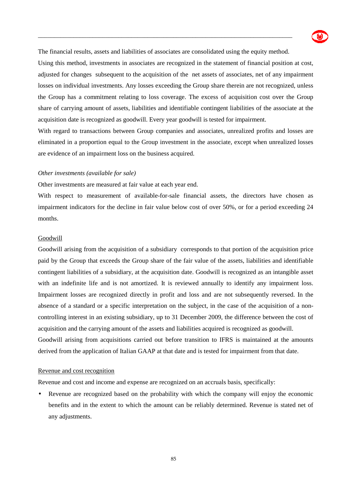

The financial results, assets and liabilities of associates are consolidated using the equity method.

\_\_\_\_\_\_\_\_\_\_\_\_\_\_\_\_\_\_\_\_\_\_\_\_\_\_\_\_\_\_\_\_\_\_\_\_\_\_\_\_\_\_\_\_\_\_\_\_\_\_\_\_\_\_\_\_\_\_\_\_\_\_\_\_\_\_\_\_\_\_\_\_\_\_\_\_\_\_\_

Using this method, investments in associates are recognized in the statement of financial position at cost, adjusted for changes subsequent to the acquisition of the net assets of associates, net of any impairment losses on individual investments. Any losses exceeding the Group share therein are not recognized, unless the Group has a commitment relating to loss coverage. The excess of acquisition cost over the Group share of carrying amount of assets, liabilities and identifiable contingent liabilities of the associate at the acquisition date is recognized as goodwill. Every year goodwill is tested for impairment.

With regard to transactions between Group companies and associates, unrealized profits and losses are eliminated in a proportion equal to the Group investment in the associate, except when unrealized losses are evidence of an impairment loss on the business acquired.

#### *Other investments (available for sale)*

Other investments are measured at fair value at each year end.

With respect to measurement of available-for-sale financial assets, the directors have chosen as impairment indicators for the decline in fair value below cost of over 50%, or for a period exceeding 24 months.

#### Goodwill

Goodwill arising from the acquisition of a subsidiary corresponds to that portion of the acquisition price paid by the Group that exceeds the Group share of the fair value of the assets, liabilities and identifiable contingent liabilities of a subsidiary, at the acquisition date. Goodwill is recognized as an intangible asset with an indefinite life and is not amortized. It is reviewed annually to identify any impairment loss. Impairment losses are recognized directly in profit and loss and are not subsequently reversed. In the absence of a standard or a specific interpretation on the subject, in the case of the acquisition of a noncontrolling interest in an existing subsidiary, up to 31 December 2009, the difference between the cost of acquisition and the carrying amount of the assets and liabilities acquired is recognized as goodwill. Goodwill arising from acquisitions carried out before transition to IFRS is maintained at the amounts derived from the application of Italian GAAP at that date and is tested for impairment from that date.

#### Revenue and cost recognition

Revenue and cost and income and expense are recognized on an accruals basis, specifically:

• Revenue are recognized based on the probability with which the company will enjoy the economic benefits and in the extent to which the amount can be reliably determined. Revenue is stated net of any adjustments.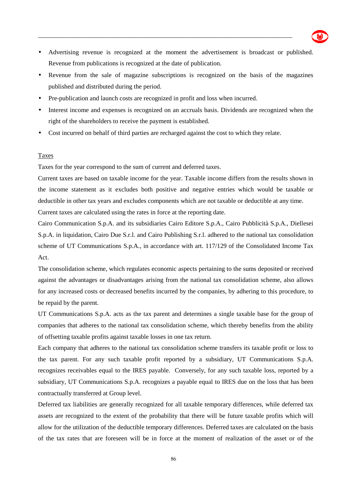• Advertising revenue is recognized at the moment the advertisement is broadcast or published. Revenue from publications is recognized at the date of publication.

\_\_\_\_\_\_\_\_\_\_\_\_\_\_\_\_\_\_\_\_\_\_\_\_\_\_\_\_\_\_\_\_\_\_\_\_\_\_\_\_\_\_\_\_\_\_\_\_\_\_\_\_\_\_\_\_\_\_\_\_\_\_\_\_\_\_\_\_\_\_\_\_\_\_\_\_\_\_\_

- Revenue from the sale of magazine subscriptions is recognized on the basis of the magazines published and distributed during the period.
- Pre-publication and launch costs are recognized in profit and loss when incurred.
- Interest income and expenses is recognized on an accruals basis. Dividends are recognized when the right of the shareholders to receive the payment is established.
- Cost incurred on behalf of third parties are recharged against the cost to which they relate.

#### Taxes

Taxes for the year correspond to the sum of current and deferred taxes.

Current taxes are based on taxable income for the year. Taxable income differs from the results shown in the income statement as it excludes both positive and negative entries which would be taxable or deductible in other tax years and excludes components which are not taxable or deductible at any time.

Current taxes are calculated using the rates in force at the reporting date.

Cairo Communication S.p.A. and its subsidiaries Cairo Editore S.p.A., Cairo Pubblicità S.p.A., Diellesei S.p.A. in liquidation, Cairo Due S.r.l. and Cairo Publishing S.r.l. adhered to the national tax consolidation scheme of UT Communications S.p.A., in accordance with art. 117/129 of the Consolidated Income Tax Act.

The consolidation scheme, which regulates economic aspects pertaining to the sums deposited or received against the advantages or disadvantages arising from the national tax consolidation scheme, also allows for any increased costs or decreased benefits incurred by the companies, by adhering to this procedure, to be repaid by the parent.

UT Communications S.p.A. acts as the tax parent and determines a single taxable base for the group of companies that adheres to the national tax consolidation scheme, which thereby benefits from the ability of offsetting taxable profits against taxable losses in one tax return.

Each company that adheres to the national tax consolidation scheme transfers its taxable profit or loss to the tax parent. For any such taxable profit reported by a subsidiary, UT Communications S.p.A. recognizes receivables equal to the IRES payable. Conversely, for any such taxable loss, reported by a subsidiary, UT Communications S.p.A. recognizes a payable equal to IRES due on the loss that has been contractually transferred at Group level.

Deferred tax liabilities are generally recognized for all taxable temporary differences, while deferred tax assets are recognized to the extent of the probability that there will be future taxable profits which will allow for the utilization of the deductible temporary differences. Deferred taxes are calculated on the basis of the tax rates that are foreseen will be in force at the moment of realization of the asset or of the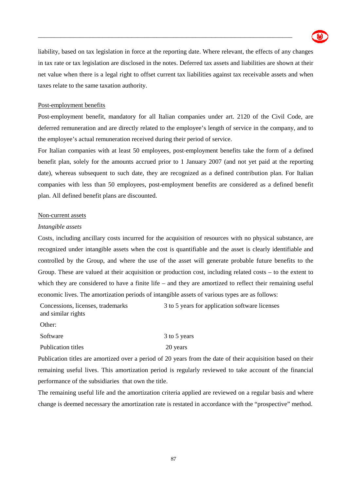

liability, based on tax legislation in force at the reporting date. Where relevant, the effects of any changes in tax rate or tax legislation are disclosed in the notes. Deferred tax assets and liabilities are shown at their net value when there is a legal right to offset current tax liabilities against tax receivable assets and when taxes relate to the same taxation authority.

\_\_\_\_\_\_\_\_\_\_\_\_\_\_\_\_\_\_\_\_\_\_\_\_\_\_\_\_\_\_\_\_\_\_\_\_\_\_\_\_\_\_\_\_\_\_\_\_\_\_\_\_\_\_\_\_\_\_\_\_\_\_\_\_\_\_\_\_\_\_\_\_\_\_\_\_\_\_\_

#### Post-employment benefits

Post-employment benefit, mandatory for all Italian companies under art. 2120 of the Civil Code, are deferred remuneration and are directly related to the employee's length of service in the company, and to the employee's actual remuneration received during their period of service.

For Italian companies with at least 50 employees, post-employment benefits take the form of a defined benefit plan, solely for the amounts accrued prior to 1 January 2007 (and not yet paid at the reporting date), whereas subsequent to such date, they are recognized as a defined contribution plan. For Italian companies with less than 50 employees, post-employment benefits are considered as a defined benefit plan. All defined benefit plans are discounted.

#### Non-current assets

#### *Intangible assets*

Costs, including ancillary costs incurred for the acquisition of resources with no physical substance, are recognized under intangible assets when the cost is quantifiable and the asset is clearly identifiable and controlled by the Group, and where the use of the asset will generate probable future benefits to the Group. These are valued at their acquisition or production cost, including related costs – to the extent to which they are considered to have a finite life – and they are amortized to reflect their remaining useful economic lives. The amortization periods of intangible assets of various types are as follows:

Concessions, licenses, trademarks and similar rights 3 to 5 years for application software licenses

Other:

| Software           | 3 to 5 years |
|--------------------|--------------|
| Publication titles | 20 years     |

Publication titles are amortized over a period of 20 years from the date of their acquisition based on their remaining useful lives. This amortization period is regularly reviewed to take account of the financial performance of the subsidiaries that own the title.

The remaining useful life and the amortization criteria applied are reviewed on a regular basis and where change is deemed necessary the amortization rate is restated in accordance with the "prospective" method.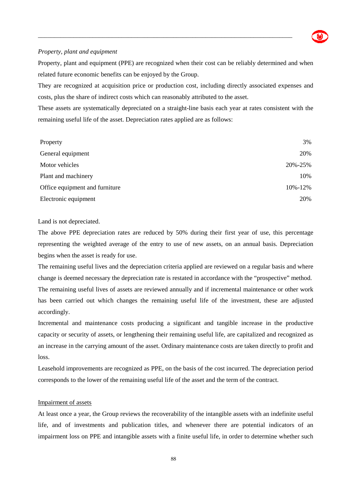

#### *Property, plant and equipment*

Property, plant and equipment (PPE) are recognized when their cost can be reliably determined and when related future economic benefits can be enjoyed by the Group.

\_\_\_\_\_\_\_\_\_\_\_\_\_\_\_\_\_\_\_\_\_\_\_\_\_\_\_\_\_\_\_\_\_\_\_\_\_\_\_\_\_\_\_\_\_\_\_\_\_\_\_\_\_\_\_\_\_\_\_\_\_\_\_\_\_\_\_\_\_\_\_\_\_\_\_\_\_\_\_

They are recognized at acquisition price or production cost, including directly associated expenses and costs, plus the share of indirect costs which can reasonably attributed to the asset.

These assets are systematically depreciated on a straight-line basis each year at rates consistent with the remaining useful life of the asset. Depreciation rates applied are as follows:

| Property                       | 3%      |
|--------------------------------|---------|
| General equipment              | 20%     |
| Motor vehicles                 | 20%-25% |
| Plant and machinery            | 10%     |
| Office equipment and furniture | 10%-12% |
| Electronic equipment           | 20%     |

#### Land is not depreciated.

The above PPE depreciation rates are reduced by 50% during their first year of use, this percentage representing the weighted average of the entry to use of new assets, on an annual basis. Depreciation begins when the asset is ready for use.

The remaining useful lives and the depreciation criteria applied are reviewed on a regular basis and where change is deemed necessary the depreciation rate is restated in accordance with the "prospective" method. The remaining useful lives of assets are reviewed annually and if incremental maintenance or other work has been carried out which changes the remaining useful life of the investment, these are adjusted accordingly.

Incremental and maintenance costs producing a significant and tangible increase in the productive capacity or security of assets, or lengthening their remaining useful life, are capitalized and recognized as an increase in the carrying amount of the asset. Ordinary maintenance costs are taken directly to profit and loss.

Leasehold improvements are recognized as PPE, on the basis of the cost incurred. The depreciation period corresponds to the lower of the remaining useful life of the asset and the term of the contract.

#### Impairment of assets

At least once a year, the Group reviews the recoverability of the intangible assets with an indefinite useful life, and of investments and publication titles, and whenever there are potential indicators of an impairment loss on PPE and intangible assets with a finite useful life, in order to determine whether such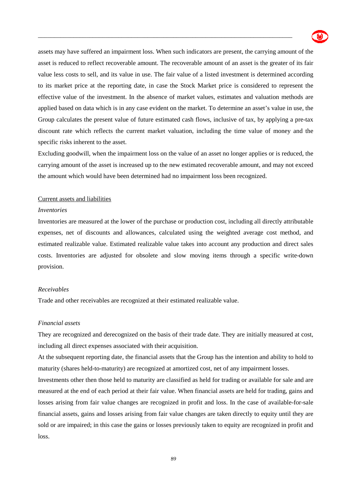

assets may have suffered an impairment loss. When such indicators are present, the carrying amount of the asset is reduced to reflect recoverable amount. The recoverable amount of an asset is the greater of its fair value less costs to sell, and its value in use. The fair value of a listed investment is determined according to its market price at the reporting date, in case the Stock Market price is considered to represent the effective value of the investment. In the absence of market values, estimates and valuation methods are applied based on data which is in any case evident on the market. To determine an asset's value in use, the Group calculates the present value of future estimated cash flows, inclusive of tax, by applying a pre-tax discount rate which reflects the current market valuation, including the time value of money and the specific risks inherent to the asset.

\_\_\_\_\_\_\_\_\_\_\_\_\_\_\_\_\_\_\_\_\_\_\_\_\_\_\_\_\_\_\_\_\_\_\_\_\_\_\_\_\_\_\_\_\_\_\_\_\_\_\_\_\_\_\_\_\_\_\_\_\_\_\_\_\_\_\_\_\_\_\_\_\_\_\_\_\_\_\_

Excluding goodwill, when the impairment loss on the value of an asset no longer applies or is reduced, the carrying amount of the asset is increased up to the new estimated recoverable amount, and may not exceed the amount which would have been determined had no impairment loss been recognized.

#### Current assets and liabilities

#### *Inventories*

Inventories are measured at the lower of the purchase or production cost, including all directly attributable expenses, net of discounts and allowances, calculated using the weighted average cost method, and estimated realizable value. Estimated realizable value takes into account any production and direct sales costs. Inventories are adjusted for obsolete and slow moving items through a specific write-down provision.

#### *Receivables*

Trade and other receivables are recognized at their estimated realizable value.

#### *Financial assets*

They are recognized and derecognized on the basis of their trade date. They are initially measured at cost, including all direct expenses associated with their acquisition.

At the subsequent reporting date, the financial assets that the Group has the intention and ability to hold to maturity (shares held-to-maturity) are recognized at amortized cost, net of any impairment losses.

Investments other then those held to maturity are classified as held for trading or available for sale and are measured at the end of each period at their fair value. When financial assets are held for trading, gains and losses arising from fair value changes are recognized in profit and loss. In the case of available-for-sale financial assets, gains and losses arising from fair value changes are taken directly to equity until they are sold or are impaired; in this case the gains or losses previously taken to equity are recognized in profit and loss.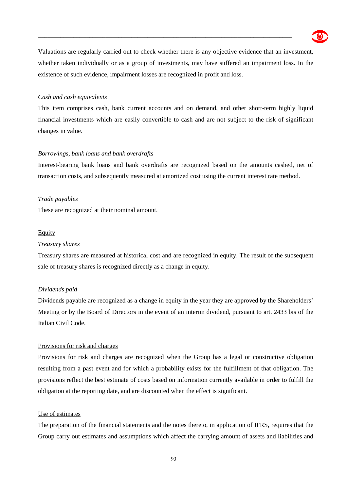

Valuations are regularly carried out to check whether there is any objective evidence that an investment, whether taken individually or as a group of investments, may have suffered an impairment loss. In the existence of such evidence, impairment losses are recognized in profit and loss.

\_\_\_\_\_\_\_\_\_\_\_\_\_\_\_\_\_\_\_\_\_\_\_\_\_\_\_\_\_\_\_\_\_\_\_\_\_\_\_\_\_\_\_\_\_\_\_\_\_\_\_\_\_\_\_\_\_\_\_\_\_\_\_\_\_\_\_\_\_\_\_\_\_\_\_\_\_\_\_

#### *Cash and cash equivalents*

This item comprises cash, bank current accounts and on demand, and other short-term highly liquid financial investments which are easily convertible to cash and are not subject to the risk of significant changes in value.

#### *Borrowings, bank loans and bank overdrafts*

Interest-bearing bank loans and bank overdrafts are recognized based on the amounts cashed, net of transaction costs, and subsequently measured at amortized cost using the current interest rate method.

#### *Trade payables*

These are recognized at their nominal amount.

#### Equity

#### *Treasury shares*

Treasury shares are measured at historical cost and are recognized in equity. The result of the subsequent sale of treasury shares is recognized directly as a change in equity.

#### *Dividends paid*

Dividends payable are recognized as a change in equity in the year they are approved by the Shareholders' Meeting or by the Board of Directors in the event of an interim dividend, pursuant to art. 2433 bis of the Italian Civil Code.

#### Provisions for risk and charges

Provisions for risk and charges are recognized when the Group has a legal or constructive obligation resulting from a past event and for which a probability exists for the fulfillment of that obligation. The provisions reflect the best estimate of costs based on information currently available in order to fulfill the obligation at the reporting date, and are discounted when the effect is significant.

#### Use of estimates

The preparation of the financial statements and the notes thereto, in application of IFRS, requires that the Group carry out estimates and assumptions which affect the carrying amount of assets and liabilities and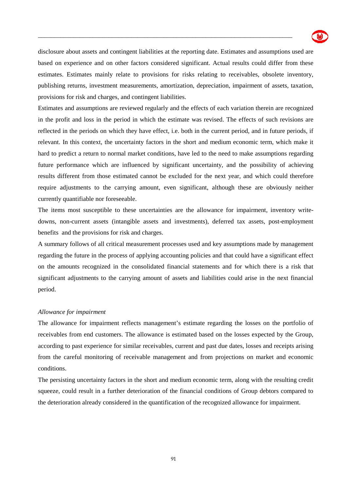

disclosure about assets and contingent liabilities at the reporting date. Estimates and assumptions used are based on experience and on other factors considered significant. Actual results could differ from these estimates. Estimates mainly relate to provisions for risks relating to receivables, obsolete inventory, publishing returns, investment measurements, amortization, depreciation, impairment of assets, taxation, provisions for risk and charges, and contingent liabilities.

\_\_\_\_\_\_\_\_\_\_\_\_\_\_\_\_\_\_\_\_\_\_\_\_\_\_\_\_\_\_\_\_\_\_\_\_\_\_\_\_\_\_\_\_\_\_\_\_\_\_\_\_\_\_\_\_\_\_\_\_\_\_\_\_\_\_\_\_\_\_\_\_\_\_\_\_\_\_\_

Estimates and assumptions are reviewed regularly and the effects of each variation therein are recognized in the profit and loss in the period in which the estimate was revised. The effects of such revisions are reflected in the periods on which they have effect, i.e. both in the current period, and in future periods, if relevant. In this context, the uncertainty factors in the short and medium economic term, which make it hard to predict a return to normal market conditions, have led to the need to make assumptions regarding future performance which are influenced by significant uncertainty, and the possibility of achieving results different from those estimated cannot be excluded for the next year, and which could therefore require adjustments to the carrying amount, even significant, although these are obviously neither currently quantifiable nor foreseeable.

The items most susceptible to these uncertainties are the allowance for impairment, inventory writedowns, non-current assets (intangible assets and investments), deferred tax assets, post-employment benefits and the provisions for risk and charges.

A summary follows of all critical measurement processes used and key assumptions made by management regarding the future in the process of applying accounting policies and that could have a significant effect on the amounts recognized in the consolidated financial statements and for which there is a risk that significant adjustments to the carrying amount of assets and liabilities could arise in the next financial period.

#### *Allowance for impairment*

The allowance for impairment reflects management's estimate regarding the losses on the portfolio of receivables from end customers. The allowance is estimated based on the losses expected by the Group, according to past experience for similar receivables, current and past due dates, losses and receipts arising from the careful monitoring of receivable management and from projections on market and economic conditions.

The persisting uncertainty factors in the short and medium economic term, along with the resulting credit squeeze, could result in a further deterioration of the financial conditions of Group debtors compared to the deterioration already considered in the quantification of the recognized allowance for impairment.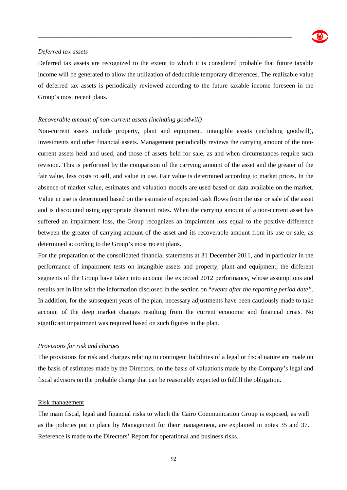

#### *Deferred tax assets*

Deferred tax assets are recognized to the extent to which it is considered probable that future taxable income will be generated to allow the utilization of deductible temporary differences. The realizable value of deferred tax assets is periodically reviewed according to the future taxable income foreseen in the Group's most recent plans.

\_\_\_\_\_\_\_\_\_\_\_\_\_\_\_\_\_\_\_\_\_\_\_\_\_\_\_\_\_\_\_\_\_\_\_\_\_\_\_\_\_\_\_\_\_\_\_\_\_\_\_\_\_\_\_\_\_\_\_\_\_\_\_\_\_\_\_\_\_\_\_\_\_\_\_\_\_\_\_

#### *Recoverable amount of non-current assets (including goodwill)*

Non-current assets include property, plant and equipment, intangible assets (including goodwill), investments and other financial assets. Management periodically reviews the carrying amount of the noncurrent assets held and used, and those of assets held for sale, as and when circumstances require such revision. This is performed by the comparison of the carrying amount of the asset and the greater of the fair value, less costs to sell, and value in use. Fair value is determined according to market prices. In the absence of market value, estimates and valuation models are used based on data available on the market. Value in use is determined based on the estimate of expected cash flows from the use or sale of the asset and is discounted using appropriate discount rates. When the carrying amount of a non-current asset has suffered an impairment loss, the Group recognizes an impairment loss equal to the positive difference between the greater of carrying amount of the asset and its recoverable amount from its use or sale, as determined according to the Group's most recent plans.

For the preparation of the consolidated financial statements at 31 December 2011, and in particular in the performance of impairment tests on intangible assets and property, plant and equipment, the different segments of the Group have taken into account the expected 2012 performance, whose assumptions and results are in line with the information disclosed in the section on "*events after the reporting period date"*. In addition, for the subsequent years of the plan, necessary adjustments have been cautiously made to take account of the deep market changes resulting from the current economic and financial crisis. No significant impairment was required based on such figures in the plan.

#### *Provisions for risk and charges*

The provisions for risk and charges relating to contingent liabilities of a legal or fiscal nature are made on the basis of estimates made by the Directors, on the basis of valuations made by the Company's legal and fiscal advisors on the probable charge that can be reasonably expected to fulfill the obligation.

#### Risk management

The main fiscal, legal and financial risks to which the Cairo Communication Group is exposed, as well as the policies put in place by Management for their management, are explained in notes 35 and 37. Reference is made to the Directors' Report for operational and business risks.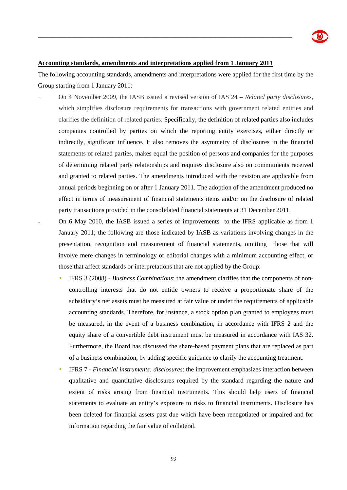#### **Accounting standards, amendments and interpretations applied from 1 January 2011**

\_\_\_\_\_\_\_\_\_\_\_\_\_\_\_\_\_\_\_\_\_\_\_\_\_\_\_\_\_\_\_\_\_\_\_\_\_\_\_\_\_\_\_\_\_\_\_\_\_\_\_\_\_\_\_\_\_\_\_\_\_\_\_\_\_\_\_\_\_\_\_\_\_\_\_\_\_\_\_

The following accounting standards, amendments and interpretations were applied for the first time by the Group starting from 1 January 2011:

- On 4 November 2009, the IASB issued a revised version of IAS 24 – *Related party disclosures*, which simplifies disclosure requirements for transactions with government related entities and clarifies the definition of related parties. Specifically, the definition of related parties also includes companies controlled by parties on which the reporting entity exercises, either directly or indirectly, significant influence. It also removes the asymmetry of disclosures in the financial statements of related parties, makes equal the position of persons and companies for the purposes of determining related party relationships and requires disclosure also on commitments received and granted to related parties. The amendments introduced with the revision are applicable from annual periods beginning on or after 1 January 2011. The adoption of the amendment produced no effect in terms of measurement of financial statements items and/or on the disclosure of related party transactions provided in the consolidated financial statements at 31 December 2011.

- On 6 May 2010, the IASB issued a series of improvements to the IFRS applicable as from 1 January 2011; the following are those indicated by IASB as variations involving changes in the presentation, recognition and measurement of financial statements, omitting those that will involve mere changes in terminology or editorial changes with a minimum accounting effect, or those that affect standards or interpretations that are not applied by the Group:

- IFRS 3 (2008) *Business Combinations*: the amendment clarifies that the components of noncontrolling interests that do not entitle owners to receive a proportionate share of the subsidiary's net assets must be measured at fair value or under the requirements of applicable accounting standards. Therefore, for instance, a stock option plan granted to employees must be measured, in the event of a business combination, in accordance with IFRS 2 and the equity share of a convertible debt instrument must be measured in accordance with IAS 32. Furthermore, the Board has discussed the share-based payment plans that are replaced as part of a business combination, by adding specific guidance to clarify the accounting treatment.
- IFRS 7 *Financial instruments: disclosures*: the improvement emphasizes interaction between qualitative and quantitative disclosures required by the standard regarding the nature and extent of risks arising from financial instruments. This should help users of financial statements to evaluate an entity's exposure to risks to financial instruments. Disclosure has been deleted for financial assets past due which have been renegotiated or impaired and for information regarding the fair value of collateral.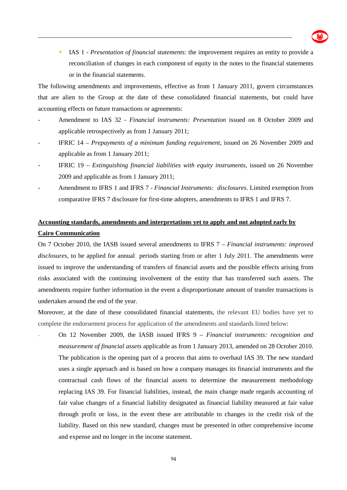

• IAS 1 *- Presentation of financial statements*: the improvement requires an entity to provide a reconciliation of changes in each component of equity in the notes to the financial statements or in the financial statements.

The following amendments and improvements, effective as from 1 January 2011, govern circumstances that are alien to the Group at the date of these consolidated financial statements, but could have accounting effects on future transactions or agreements:

\_\_\_\_\_\_\_\_\_\_\_\_\_\_\_\_\_\_\_\_\_\_\_\_\_\_\_\_\_\_\_\_\_\_\_\_\_\_\_\_\_\_\_\_\_\_\_\_\_\_\_\_\_\_\_\_\_\_\_\_\_\_\_\_\_\_\_\_\_\_\_\_\_\_\_\_\_\_\_

- Amendment to IAS 32 *Financial instruments: Presentation* issued on 8 October 2009 and applicable retrospectively as from 1 January 2011;
- IFRIC 14 *Prepayments of a minimum funding requirement*, issued on 26 November 2009 and applicable as from 1 January 2011;
- IFRIC 19 *Extinguishing financial liabilities with equity instruments*, issued on 26 November 2009 and applicable as from 1 January 2011;
- Amendment to IFRS 1 and IFRS 7 *Financial Instruments: disclosures*. Limited exemption from comparative IFRS 7 disclosure for first-time adopters, amendments to IFRS 1 and IFRS 7.

### **Accounting standards, amendments and interpretations yet to apply and not adopted early by Cairo Communication**

On 7 October 2010, the IASB issued several amendments to IFRS 7 – *Financial instruments: improved disclosures*, to be applied for annual periods starting from or after 1 July 2011. The amendments were issued to improve the understanding of transfers of financial assets and the possible effects arising from risks associated with the continuing involvement of the entity that has transferred such assets. The amendments require further information in the event a disproportionate amount of transfer transactions is undertaken around the end of the year.

Moreover, at the date of these consolidated financial statements, the relevant EU bodies have yet to complete the endorsement process for application of the amendments and standards listed below:

- On 12 November 2009, the IASB issued IFRS 9 – *Financial instruments: recognition and measurement of financial assets* applicable as from 1 January 2013, amended on 28 October 2010. The publication is the opening part of a process that aims to overhaul IAS 39. The new standard uses a single approach and is based on how a company manages its financial instruments and the contractual cash flows of the financial assets to determine the measurement methodology replacing IAS 39. For financial liabilities, instead, the main change made regards accounting of fair value changes of a financial liability designated as financial liability measured at fair value through profit or loss, in the event these are attributable to changes in the credit risk of the liability. Based on this new standard, changes must be presented in other comprehensive income and expense and no longer in the income statement.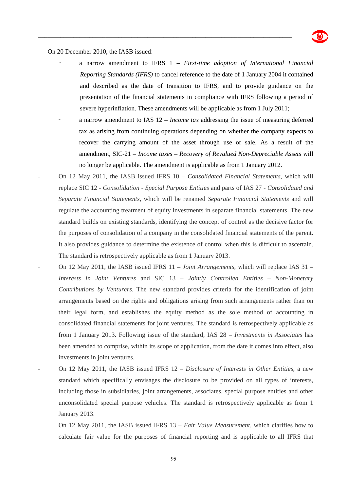

#### On 20 December 2010, the IASB issued:

- a narrow amendment to IFRS 1 – *First-time adoption of International Financial Reporting Standards (IFRS)* to cancel reference to the date of 1 January 2004 it contained and described as the date of transition to IFRS, and to provide guidance on the presentation of the financial statements in compliance with IFRS following a period of severe hyperinflation. These amendments will be applicable as from 1 July 2011;

- a narrow amendment to IAS 12 *Income tax* addressing the issue of measuring deferred tax as arising from continuing operations depending on whether the company expects to recover the carrying amount of the asset through use or sale. As a result of the amendment, SIC-21 – *Income taxes – Recovery of Revalued Non-Depreciable Assets* will no longer be applicable. The amendment is applicable as from 1 January 2012.
- On 12 May 2011, the IASB issued IFRS 10 *Consolidated Financial Statements*, which will replace SIC 12 - *Consolidation - Special Purpose Entities* and parts of IAS 27 *- Consolidated and Separate Financial Statements*, which will be renamed *Separate Financial Statements* and will regulate the accounting treatment of equity investments in separate financial statements. The new standard builds on existing standards, identifying the concept of control as the decisive factor for the purposes of consolidation of a company in the consolidated financial statements of the parent. It also provides guidance to determine the existence of control when this is difficult to ascertain. The standard is retrospectively applicable as from 1 January 2013.
- On 12 May 2011, the IASB issued IFRS 11 *Joint Arrangements*, which will replace IAS 31 *Interests in Joint Ventures* and SIC 13 – *Jointly Controlled Entities* – *Non-Monetary Contributions by Venturers*. The new standard provides criteria for the identification of joint arrangements based on the rights and obligations arising from such arrangements rather than on their legal form, and establishes the equity method as the sole method of accounting in consolidated financial statements for joint ventures. The standard is retrospectively applicable as from 1 January 2013. Following issue of the standard, IAS 28 – *Investments in Associates* has been amended to comprise, within its scope of application, from the date it comes into effect, also investments in joint ventures.
- On 12 May 2011, the IASB issued IFRS 12 *Disclosure of Interests in Other Entities*, a new standard which specifically envisages the disclosure to be provided on all types of interests, including those in subsidiaries, joint arrangements, associates, special purpose entities and other unconsolidated special purpose vehicles. The standard is retrospectively applicable as from 1 January 2013.
- On 12 May 2011, the IASB issued IFRS 13 *Fair Value Measurement*, which clarifies how to calculate fair value for the purposes of financial reporting and is applicable to all IFRS that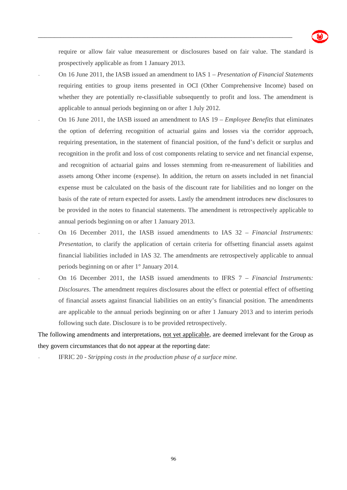

require or allow fair value measurement or disclosures based on fair value. The standard is prospectively applicable as from 1 January 2013.

\_\_\_\_\_\_\_\_\_\_\_\_\_\_\_\_\_\_\_\_\_\_\_\_\_\_\_\_\_\_\_\_\_\_\_\_\_\_\_\_\_\_\_\_\_\_\_\_\_\_\_\_\_\_\_\_\_\_\_\_\_\_\_\_\_\_\_\_\_\_\_\_\_\_\_\_\_\_\_

- On 16 June 2011, the IASB issued an amendment to IAS 1 *Presentation of Financial Statements* requiring entities to group items presented in OCI (Other Comprehensive Income) based on whether they are potentially re-classifiable subsequently to profit and loss. The amendment is applicable to annual periods beginning on or after 1 July 2012.
- On 16 June 2011, the IASB issued an amendment to IAS 19 *Employee Benefits* that eliminates the option of deferring recognition of actuarial gains and losses via the corridor approach, requiring presentation, in the statement of financial position, of the fund's deficit or surplus and recognition in the profit and loss of cost components relating to service and net financial expense, and recognition of actuarial gains and losses stemming from re-measurement of liabilities and assets among Other income (expense). In addition, the return on assets included in net financial expense must be calculated on the basis of the discount rate for liabilities and no longer on the basis of the rate of return expected for assets. Lastly the amendment introduces new disclosures to be provided in the notes to financial statements. The amendment is retrospectively applicable to annual periods beginning on or after 1 January 2013.
- On 16 December 2011, the IASB issued amendments to IAS 32 *Financial Instruments: Presentation*, to clarify the application of certain criteria for offsetting financial assets against financial liabilities included in IAS 32. The amendments are retrospectively applicable to annual periods beginning on or after 1° January 2014.
- On 16 December 2011, the IASB issued amendments to IFRS 7 *Financial Instruments: Disclosures*. The amendment requires disclosures about the effect or potential effect of offsetting of financial assets against financial liabilities on an entity's financial position. The amendments are applicable to the annual periods beginning on or after 1 January 2013 and to interim periods following such date. Disclosure is to be provided retrospectively.

The following amendments and interpretations, not yet applicable, are deemed irrelevant for the Group as they govern circumstances that do not appear at the reporting date:

- IFRIC 20 - *Stripping costs in the production phase of a surface mine.*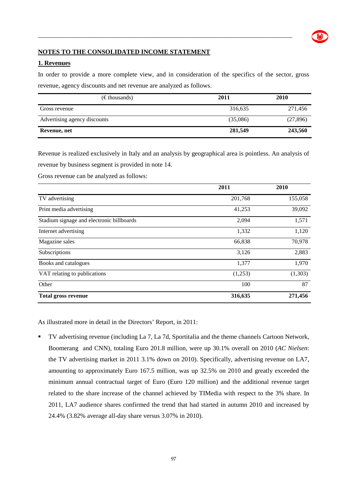### **NOTES TO THE CONSOLIDATED INCOME STATEMENT**

#### **1. Revenues**

In order to provide a more complete view, and in consideration of the specifics of the sector, gross revenue, agency discounts and net revenue are analyzed as follows.

\_\_\_\_\_\_\_\_\_\_\_\_\_\_\_\_\_\_\_\_\_\_\_\_\_\_\_\_\_\_\_\_\_\_\_\_\_\_\_\_\_\_\_\_\_\_\_\_\_\_\_\_\_\_\_\_\_\_\_\_\_\_\_\_\_\_\_\_\_\_\_\_\_\_\_\_\_\_\_

| $(\epsilon$ thousands)       | 2011     | <b>2010</b> |  |
|------------------------------|----------|-------------|--|
| Gross revenue                | 316,635  | 271,456     |  |
| Advertising agency discounts | (35,086) | (27, 896)   |  |
| Revenue, net                 | 281,549  | 243,560     |  |

Revenue is realized exclusively in Italy and an analysis by geographical area is pointless. An analysis of revenue by business segment is provided in note 14.

Gross revenue can be analyzed as follows:

|                                           | 2011    | 2010    |
|-------------------------------------------|---------|---------|
| TV advertising                            | 201,768 | 155,058 |
| Print media advertising                   | 41,253  | 39,092  |
| Stadium signage and electronic billboards | 2,094   | 1,571   |
| Internet advertising                      | 1,332   | 1,120   |
| Magazine sales                            | 66,838  | 70,978  |
| Subscriptions                             | 3,126   | 2,883   |
| Books and catalogues                      | 1,377   | 1,970   |
| VAT relating to publications              | (1,253) | (1,303) |
| Other                                     | 100     | 87      |
| <b>Total gross revenue</b>                | 316,635 | 271,456 |

As illustrated more in detail in the Directors' Report, in 2011:

TV advertising revenue (including La 7, La 7d, Sportitalia and the theme channels Cartoon Network, Boomerang and CNN), totaling Euro 201.8 million, were up 30.1% overall on 2010 (*AC Nielsen*: the TV advertising market in 2011 3.1% down on 2010). Specifically, advertising revenue on LA7, amounting to approximately Euro 167.5 million, was up 32.5% on 2010 and greatly exceeded the minimum annual contractual target of Euro (Euro 120 million) and the additional revenue target related to the share increase of the channel achieved by TIMedia with respect to the 3% share. In 2011, LA7 audience shares confirmed the trend that had started in autumn 2010 and increased by 24.4% (3.82% average all-day share versus 3.07% in 2010).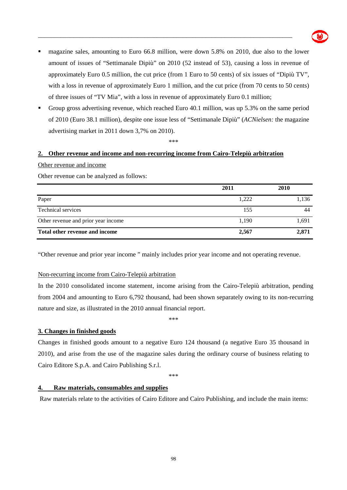

 magazine sales, amounting to Euro 66.8 million, were down 5.8% on 2010, due also to the lower amount of issues of "Settimanale Dipiù" on 2010 (52 instead of 53), causing a loss in revenue of approximately Euro 0.5 million, the cut price (from 1 Euro to 50 cents) of six issues of "Dipiù TV", with a loss in revenue of approximately Euro 1 million, and the cut price (from 70 cents to 50 cents) of three issues of "TV Mia", with a loss in revenue of approximately Euro 0.1 million;

\_\_\_\_\_\_\_\_\_\_\_\_\_\_\_\_\_\_\_\_\_\_\_\_\_\_\_\_\_\_\_\_\_\_\_\_\_\_\_\_\_\_\_\_\_\_\_\_\_\_\_\_\_\_\_\_\_\_\_\_\_\_\_\_\_\_\_\_\_\_\_\_\_\_\_\_\_\_\_

Group gross advertising revenue, which reached Euro 40.1 million, was up 5.3% on the same period of 2010 (Euro 38.1 million), despite one issue less of "Settimanale Dipiù" (*ACNielsen:* the magazine advertising market in 2011 down 3,7% on 2010).

\*\*\*

#### **2. Other revenue and income and non-recurring income from Cairo-Telepiù arbitration**

Other revenue and income

Other revenue can be analyzed as follows:

|                                     | 2011  | 2010  |
|-------------------------------------|-------|-------|
| Paper                               | 1,222 | 1,136 |
| <b>Technical services</b>           | 155   |       |
| Other revenue and prior year income | 1,190 | 1,691 |
| Total other revenue and income      | 2,567 | 2,871 |

"Other revenue and prior year income " mainly includes prior year income and not operating revenue.

#### Non-recurring income from Cairo-Telepiù arbitration

In the 2010 consolidated income statement, income arising from the Cairo-Telepiù arbitration, pending from 2004 and amounting to Euro 6,792 thousand, had been shown separately owing to its non-recurring nature and size, as illustrated in the 2010 annual financial report.

\*\*\*

#### **3. Changes in finished goods**

Changes in finished goods amount to a negative Euro 124 thousand (a negative Euro 35 thousand in 2010), and arise from the use of the magazine sales during the ordinary course of business relating to Cairo Editore S.p.A. and Cairo Publishing S.r.l.

\*\*\*

#### **4. Raw materials, consumables and supplies**

Raw materials relate to the activities of Cairo Editore and Cairo Publishing, and include the main items: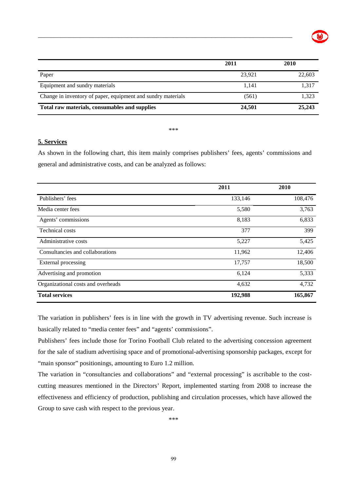

|                                                              | 2011   | <b>2010</b> |
|--------------------------------------------------------------|--------|-------------|
| Paper                                                        | 23.921 | 22,603      |
| Equipment and sundry materials                               | 1.141  | 1,317       |
| Change in inventory of paper, equipment and sundry materials | (561)  | 1,323       |
| Total raw materials, consumables and supplies                | 24,501 | 25,243      |

\_\_\_\_\_\_\_\_\_\_\_\_\_\_\_\_\_\_\_\_\_\_\_\_\_\_\_\_\_\_\_\_\_\_\_\_\_\_\_\_\_\_\_\_\_\_\_\_\_\_\_\_\_\_\_\_\_\_\_\_\_\_\_\_\_\_\_\_\_\_\_\_\_\_\_\_\_\_\_

\*\*\*

#### **5. Services**

As shown in the following chart, this item mainly comprises publishers' fees, agents' commissions and general and administrative costs, and can be analyzed as follows:

|                                    | 2011    | 2010    |
|------------------------------------|---------|---------|
| Publishers' fees                   | 133,146 | 108,476 |
| Media center fees                  | 5,580   | 3,763   |
| Agents' commissions                | 8,183   | 6,833   |
| <b>Technical costs</b>             | 377     | 399     |
| Administrative costs               | 5,227   | 5,425   |
| Consultancies and collaborations   | 11,962  | 12,406  |
| External processing                | 17,757  | 18,500  |
| Advertising and promotion          | 6,124   | 5,333   |
| Organizational costs and overheads | 4,632   | 4,732   |
| <b>Total services</b>              | 192,988 | 165,867 |

The variation in publishers' fees is in line with the growth in TV advertising revenue. Such increase is basically related to "media center fees" and "agents' commissions".

Publishers' fees include those for Torino Football Club related to the advertising concession agreement for the sale of stadium advertising space and of promotional-advertising sponsorship packages, except for "main sponsor" positionings, amounting to Euro 1.2 million.

The variation in "consultancies and collaborations" and "external processing" is ascribable to the costcutting measures mentioned in the Directors' Report, implemented starting from 2008 to increase the effectiveness and efficiency of production, publishing and circulation processes, which have allowed the Group to save cash with respect to the previous year.

\*\*\*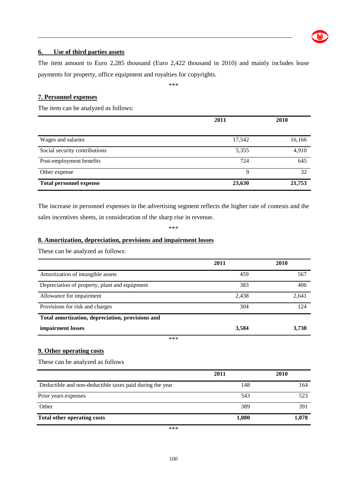

#### **6. Use of third parties assets**

The item amount to Euro 2,285 thousand (Euro 2,422 thousand in 2010) and mainly includes lease payments for property, office equipment and royalties for copyrights.

\_\_\_\_\_\_\_\_\_\_\_\_\_\_\_\_\_\_\_\_\_\_\_\_\_\_\_\_\_\_\_\_\_\_\_\_\_\_\_\_\_\_\_\_\_\_\_\_\_\_\_\_\_\_\_\_\_\_\_\_\_\_\_\_\_\_\_\_\_\_\_\_\_\_\_\_\_\_\_

\*\*\*

#### **7. Personnel expenses**

The item can be analyzed as follows:

|                                | 2011   | 2010   |
|--------------------------------|--------|--------|
| Wages and salaries             | 17,542 | 16,166 |
| Social security contributions  | 5,355  | 4,910  |
| Post-employment benefits       | 724    | 645    |
| Other expense                  | 9      | 32     |
| <b>Total personnel expense</b> | 23,630 | 21,753 |

The increase in personnel expenses in the advertising segment reflects the higher rate of contests and the sales incentives sheets, in consideration of the sharp rise in revenue.

\*\*\*

#### **8. Amortization, depreciation, provisions and impairment losses**

These can be analyzed as follows:

|                                                  | 2011  | 2010  |
|--------------------------------------------------|-------|-------|
| Amortization of intangible assets                | 459   | 567   |
| Depreciation of property, plant and equipment    | 383   | 406   |
| Allowance for impairment                         | 2,438 | 2,641 |
| Provisions for risk and charges                  | 304   | 124   |
| Total amortization, depreciation, provisions and |       |       |
| impairment losses                                | 3,584 | 3,738 |
| ***                                              |       |       |

#### **9. Other operating costs**

These can be analyzed as follows

|                                                          | 2011  | 2010  |
|----------------------------------------------------------|-------|-------|
| Deductible and non-deductible taxes paid during the year | 148   | 164   |
| Prior years expenses                                     | 543   | 523   |
| Other                                                    | 389   | 391   |
| <b>Total other operating costs</b>                       | 1,080 | 1,078 |

\*\*\*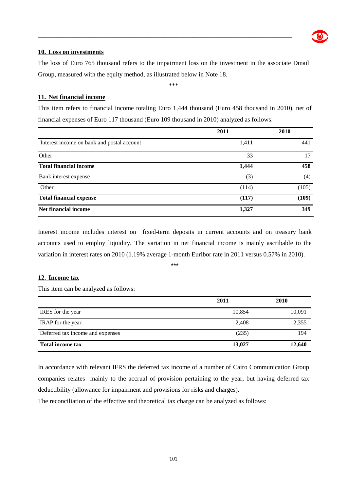#### **10. Loss on investments**

The loss of Euro 765 thousand refers to the impairment loss on the investment in the associate Dmail Group, measured with the equity method, as illustrated below in Note 18.

\_\_\_\_\_\_\_\_\_\_\_\_\_\_\_\_\_\_\_\_\_\_\_\_\_\_\_\_\_\_\_\_\_\_\_\_\_\_\_\_\_\_\_\_\_\_\_\_\_\_\_\_\_\_\_\_\_\_\_\_\_\_\_\_\_\_\_\_\_\_\_\_\_\_\_\_\_\_\_

\*\*\*

#### **11. Net financial income**

This item refers to financial income totaling Euro 1,444 thousand (Euro 458 thousand in 2010), net of financial expenses of Euro 117 thousand (Euro 109 thousand in 2010) analyzed as follows:

|                                            | 2011  | 2010  |
|--------------------------------------------|-------|-------|
| Interest income on bank and postal account | 1,411 | 441   |
| Other                                      | 33    | 17    |
| <b>Total financial income</b>              | 1,444 | 458   |
| Bank interest expense                      | (3)   | (4)   |
| Other                                      | (114) | (105) |
| <b>Total financial expense</b>             | (117) | (109) |
| Net financial income                       | 1,327 | 349   |

Interest income includes interest on fixed-term deposits in current accounts and on treasury bank accounts used to employ liquidity. The variation in net financial income is mainly ascribable to the variation in interest rates on 2010 (1.19% average 1-month Euribor rate in 2011 versus 0.57% in 2010).

\*\*\*

#### **12. Income tax**

This item can be analyzed as follows:

|                                  | 2011   | 2010   |
|----------------------------------|--------|--------|
| IRES for the year                | 10,854 | 10,091 |
| IRAP for the year                | 2,408  | 2,355  |
| Deferred tax income and expenses | (235)  | 194    |
| <b>Total income tax</b>          | 13,027 | 12,640 |

In accordance with relevant IFRS the deferred tax income of a number of Cairo Communication Group companies relates mainly to the accrual of provision pertaining to the year, but having deferred tax deductibility (allowance for impairment and provisions for risks and charges).

The reconciliation of the effective and theoretical tax charge can be analyzed as follows: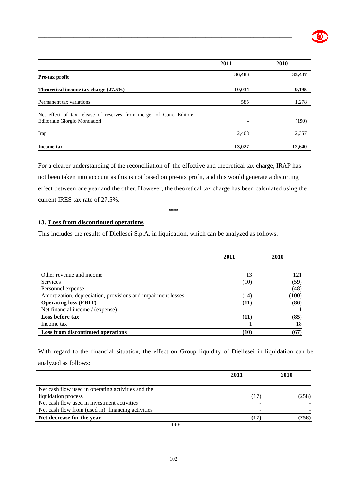

|                                                                                                     | 2011                     | 2010   |
|-----------------------------------------------------------------------------------------------------|--------------------------|--------|
| Pre-tax profit                                                                                      | 36,486                   | 33,437 |
| Theoretical income tax charge $(27.5\%)$                                                            | 10,034                   | 9,195  |
| Permanent tax variations                                                                            | 585                      | 1,278  |
| Net effect of tax release of reserves from merger of Cairo Editore-<br>Editoriale Giorgio Mondadori | $\overline{\phantom{a}}$ | (190)  |
| Irap                                                                                                | 2,408                    | 2,357  |
| Income tax                                                                                          | 13,027                   | 12,640 |

\_\_\_\_\_\_\_\_\_\_\_\_\_\_\_\_\_\_\_\_\_\_\_\_\_\_\_\_\_\_\_\_\_\_\_\_\_\_\_\_\_\_\_\_\_\_\_\_\_\_\_\_\_\_\_\_\_\_\_\_\_\_\_\_\_\_\_\_\_\_\_\_\_\_\_\_\_\_\_

For a clearer understanding of the reconciliation of the effective and theoretical tax charge, IRAP has not been taken into account as this is not based on pre-tax profit, and this would generate a distorting effect between one year and the other. However, the theoretical tax charge has been calculated using the current IRES tax rate of 27.5%.

\*\*\*

#### **13. Loss from discontinued operations**

This includes the results of Diellesei S.p.A. in liquidation, which can be analyzed as follows:

|                                                              | 2011 | 2010  |
|--------------------------------------------------------------|------|-------|
|                                                              |      |       |
| Other revenue and income                                     | 13   | 121   |
| <b>Services</b>                                              | (10) | (59)  |
| Personnel expense                                            |      | (48)  |
| Amortization, depreciation, provisions and impairment losses | (14) | (100) |
| <b>Operating loss (EBIT)</b>                                 | (11) | (86)  |
| Net financial income / (expense)                             |      |       |
| Loss before tax                                              | (11) | (85)  |
| Income tax                                                   |      | 18    |
| <b>Loss from discontinued operations</b>                     | (10) | (67)  |

With regard to the financial situation, the effect on Group liquidity of Diellesei in liquidation can be analyzed as follows:

|                                                    | 2011 | 2010  |
|----------------------------------------------------|------|-------|
| Net cash flow used in operating activities and the |      |       |
| liquidation process                                | (17) | (258) |
| Net cash flow used in investment activities        |      |       |
| Net cash flow from (used in) financing activities  |      |       |
| Net decrease for the year                          | (17) | (258) |
| ***                                                |      |       |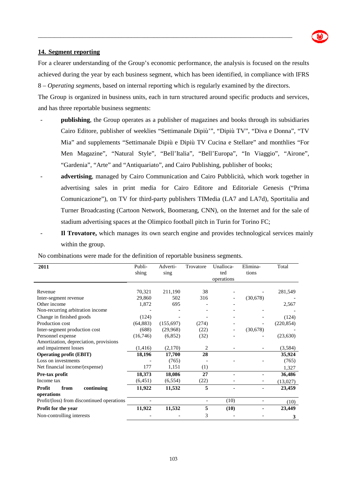

#### **14. Segment reporting**

For a clearer understanding of the Group's economic performance, the analysis is focused on the results achieved during the year by each business segment, which has been identified, in compliance with IFRS 8 – *Operating segments*, based on internal reporting which is regularly examined by the directors.

\_\_\_\_\_\_\_\_\_\_\_\_\_\_\_\_\_\_\_\_\_\_\_\_\_\_\_\_\_\_\_\_\_\_\_\_\_\_\_\_\_\_\_\_\_\_\_\_\_\_\_\_\_\_\_\_\_\_\_\_\_\_\_\_\_\_\_\_\_\_\_\_\_\_\_\_\_\_\_

The Group is organized in business units*,* each in turn structured around specific products and services, and has three reportable business segments:

- **publishing**, the Group operates as a publisher of magazines and books through its subsidiaries Cairo Editore, publisher of weeklies "Settimanale Dipiù'", "Dipiù TV", "Diva e Donna", "TV Mia" and supplements "Settimanale Dipiù e Dipiù TV Cucina e Stellare" and monthlies "For Men Magazine", "Natural Style", "Bell'Italia", "Bell'Europa", "In Viaggio", "Airone", "Gardenia", "Arte" and "Antiquariato", and Cairo Publishing, publisher of books;
- **advertising**, managed by Cairo Communication and Cairo Pubblicità, which work together in advertising sales in print media for Cairo Editore and Editoriale Genesis ("Prima Comunicazione"), on TV for third-party publishers TIMedia (LA7 and LA7d), Sportitalia and Turner Broadcasting (Cartoon Network, Boomerang, CNN), on the Internet and for the sale of stadium advertising spaces at the Olimpico football pitch in Turin for Torino FC;
- **Il Trovatore,** which manages its own search engine and provides technological services mainly within the group.

| 2011                                       | Publi-<br>shing | Adverti-<br>sing | Trovatore | Unalloca-<br>ted<br>operations | Elimina-<br>tions        | Total      |
|--------------------------------------------|-----------------|------------------|-----------|--------------------------------|--------------------------|------------|
|                                            |                 |                  |           |                                |                          |            |
| Revenue                                    | 70,321          | 211,190          | 38        |                                |                          | 281,549    |
| Inter-segment revenue                      | 29,860          | 502              | 316       |                                | (30,678)                 |            |
| Other income                               | 1,872           | 695              |           |                                |                          | 2,567      |
| Non-recurring arbitration income           |                 |                  |           |                                |                          |            |
| Change in finished goods                   | (124)           |                  |           |                                |                          | (124)      |
| Production cost                            | (64, 883)       | (155, 697)       | (274)     |                                |                          | (220, 854) |
| Inter-segment production cost              | (688)           | (29,968)         | (22)      |                                | (30,678)                 |            |
| Personnel expense                          | (16,746)        | (6,852)          | (32)      |                                |                          | (23, 630)  |
| Amortization, depreciation, provisions     |                 |                  |           |                                |                          |            |
| and impairment losses                      | (1, 416)        | (2,170)          | 2         |                                |                          |            |
| <b>Operating profit (EBIT)</b>             | 18,196          | 17,700           | 28        |                                |                          | 35,924     |
| Loss on investments                        |                 | (765)            |           |                                |                          | (765)      |
| Net financial income/(expense)             | 177             | 1,151            | (1)       |                                |                          | 1,327      |
| Pre-tax profit                             | 18,373          | 18,086           | 27        |                                |                          | 36,486     |
| Income tax                                 | (6, 451)        | (6, 554)         | (22)      |                                |                          | (13,027)   |
| Profit<br>from<br>continuing               | 11,922          | 11,532           | 5         |                                |                          | 23,459     |
| operations                                 |                 |                  |           |                                |                          |            |
| Profit/(loss) from discontinued operations |                 |                  | ٠         | (10)                           | $\overline{\phantom{a}}$ | (10)       |
| Profit for the year                        | 11,922          | 11,532           | 5         | (10)                           |                          | 23,449     |
| Non-controlling interests                  |                 |                  | 3         |                                |                          | 3          |

No combinations were made for the definition of reportable business segments.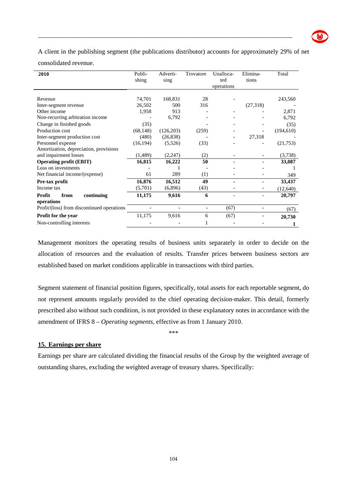A client in the publishing segment (the publications distributor) accounts for approximately 29% of net

\_\_\_\_\_\_\_\_\_\_\_\_\_\_\_\_\_\_\_\_\_\_\_\_\_\_\_\_\_\_\_\_\_\_\_\_\_\_\_\_\_\_\_\_\_\_\_\_\_\_\_\_\_\_\_\_\_\_\_\_\_\_\_\_\_\_\_\_\_\_\_\_\_\_\_\_\_\_\_

consolidated revenue.

| 2010                                       | Publi-<br>shing | Adverti-<br>sing | Trovatore | Unalloca-<br>ted<br>operations | Elimina-<br>tions | Total      |
|--------------------------------------------|-----------------|------------------|-----------|--------------------------------|-------------------|------------|
| Revenue                                    | 74,701          | 168,831          | 28        |                                |                   | 243,560    |
| Inter-segment revenue                      | 26,502          | 500              | 316       |                                | (27,318)          |            |
| Other income                               | 1,958           | 913              |           |                                |                   | 2,871      |
| Non-recurring arbitration income           |                 | 6,792            |           |                                |                   | 6,792      |
| Change in finished goods                   | (35)            |                  |           |                                |                   | (35)       |
| Production cost                            | (68, 148)       | (126, 203)       | (259)     |                                |                   | (194, 610) |
| Inter-segment production cost              | (480)           | (26, 838)        |           |                                | 27,318            |            |
| Personnel expense                          | (16, 194)       | (5,526)          | (33)      |                                |                   | (21, 753)  |
| Amortization, depreciation, provisions     |                 |                  |           |                                |                   |            |
| and impairment losses                      | (1, 489)        | (2,247)          | (2)       |                                |                   | (3,738)    |
| <b>Operating profit (EBIT)</b>             | 16,815          | 16,222           | 50        |                                |                   | 33,087     |
| Loss on investments                        |                 |                  |           |                                |                   |            |
| Net financial income/(expense)             | 61              | 289              | (1)       |                                |                   | 349        |
| Pre-tax profit                             | 16,876          | 16,512           | 49        |                                |                   | 33,437     |
| Income tax                                 | (5,701)         | (6,896)          | (43)      |                                |                   | (12, 640)  |
| Profit<br>from<br>continuing               | 11,175          | 9,616            | 6         |                                |                   | 20,797     |
| operations                                 |                 |                  |           |                                |                   |            |
| Profit/(loss) from discontinued operations |                 |                  | -         | (67)                           |                   | (67)       |
| Profit for the year                        | 11,175          | 9,616            | 6         | (67)                           |                   | 20,730     |
| Non-controlling interests                  |                 |                  |           |                                |                   |            |

Management monitors the operating results of business units separately in order to decide on the allocation of resources and the evaluation of results. Transfer prices between business sectors are established based on market conditions applicable in transactions with third parties.

Segment statement of financial position figures, specifically, total assets for each reportable segment, do not represent amounts regularly provided to the chief operating decision-maker. This detail, formerly prescribed also without such condition, is not provided in these explanatory notes in accordance with the amendment of IFRS 8 – *Operating segments*, effective as from 1 January 2010.

\*\*\*

### **15. Earnings per share**

Earnings per share are calculated dividing the financial results of the Group by the weighted average of outstanding shares, excluding the weighted average of treasury shares. Specifically: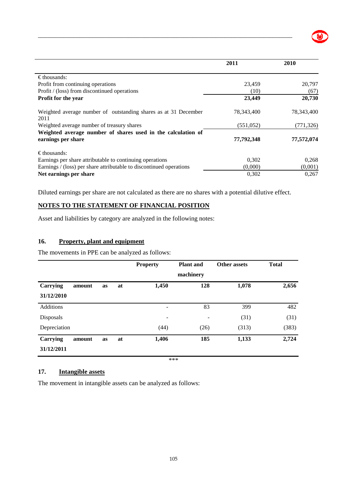

|                                                                                    | 2011       | 2010       |
|------------------------------------------------------------------------------------|------------|------------|
| $\epsilon$ thousands:                                                              |            |            |
| Profit from continuing operations                                                  | 23,459     | 20,797     |
| Profit / (loss) from discontinued operations                                       | (10)       | (67)       |
| <b>Profit for the year</b>                                                         | 23,449     | 20,730     |
| Weighted average number of outstanding shares as at 31 December<br>2011            | 78,343,400 | 78,343,400 |
| Weighted average number of treasury shares                                         | (551, 052) | (771, 326) |
| Weighted average number of shares used in the calculation of<br>earnings per share | 77,792,348 | 77,572,074 |
| $\epsilon$ thousands:                                                              |            |            |
| Earnings per share attributable to continuing operations                           | 0,302      | 0.268      |
| Earnings / (loss) per share attributable to discontinued operations                | (0,000)    | (0,001)    |
| Net earnings per share                                                             | 0,302      | 0,267      |

\_\_\_\_\_\_\_\_\_\_\_\_\_\_\_\_\_\_\_\_\_\_\_\_\_\_\_\_\_\_\_\_\_\_\_\_\_\_\_\_\_\_\_\_\_\_\_\_\_\_\_\_\_\_\_\_\_\_\_\_\_\_\_\_\_\_\_\_\_\_\_\_\_\_\_\_\_\_\_

Diluted earnings per share are not calculated as there are no shares with a potential dilutive effect.

#### **NOTES TO THE STATEMENT OF FINANCIAL POSITION**

Asset and liabilities by category are analyzed in the following notes:

### **16. Property, plant and equipment**

The movements in PPE can be analyzed as follows:

|                 |        |    |    | <b>Property</b> | <b>Plant</b> and | Other assets | <b>Total</b> |
|-----------------|--------|----|----|-----------------|------------------|--------------|--------------|
|                 |        |    |    |                 | machinery        |              |              |
| <b>Carrying</b> | amount | as | at | 1,450           | 128              | 1,078        | 2,656        |
| 31/12/2010      |        |    |    |                 |                  |              |              |
| Additions       |        |    |    | -               | 83               | 399          | 482          |
| Disposals       |        |    |    | -               |                  | (31)         | (31)         |
| Depreciation    |        |    |    | (44)            | (26)             | (313)        | (383)        |
| <b>Carrying</b> | amount | as | at | 1,406           | 185              | 1,133        | 2,724        |
| 31/12/2011      |        |    |    |                 |                  |              |              |
|                 |        |    |    |                 | ***              |              |              |

#### **17. Intangible assets**

The movement in intangible assets can be analyzed as follows: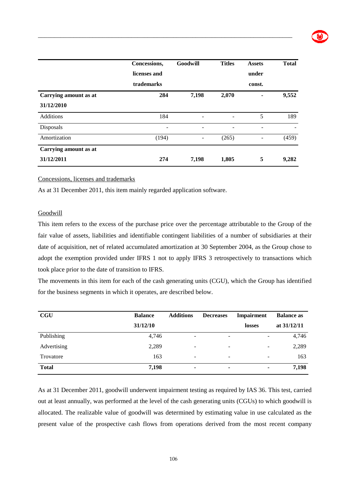|                                     | Concessions,<br>licenses and<br>trademarks | Goodwill | <b>Titles</b> | <b>Assets</b><br>under<br>const. | <b>Total</b> |
|-------------------------------------|--------------------------------------------|----------|---------------|----------------------------------|--------------|
| Carrying amount as at<br>31/12/2010 | 284                                        | 7,198    | 2,070         |                                  | 9,552        |
| Additions                           | 184                                        |          |               | 5                                | 189          |
| Disposals                           | -                                          | ۰        |               | -                                |              |
| Amortization                        | (194)                                      |          | (265)         |                                  | (459)        |
| Carrying amount as at               |                                            |          |               |                                  |              |
| 31/12/2011                          | 274                                        | 7,198    | 1,805         | 5                                | 9,282        |

\_\_\_\_\_\_\_\_\_\_\_\_\_\_\_\_\_\_\_\_\_\_\_\_\_\_\_\_\_\_\_\_\_\_\_\_\_\_\_\_\_\_\_\_\_\_\_\_\_\_\_\_\_\_\_\_\_\_\_\_\_\_\_\_\_\_\_\_\_\_\_\_\_\_\_\_\_\_\_

#### Concessions, licenses and trademarks

As at 31 December 2011, this item mainly regarded application software.

#### **Goodwill**

This item refers to the excess of the purchase price over the percentage attributable to the Group of the fair value of assets, liabilities and identifiable contingent liabilities of a number of subsidiaries at their date of acquisition, net of related accumulated amortization at 30 September 2004, as the Group chose to adopt the exemption provided under IFRS 1 not to apply IFRS 3 retrospectively to transactions which took place prior to the date of transition to IFRS.

The movements in this item for each of the cash generating units (CGU), which the Group has identified for the business segments in which it operates, are described below.

| CGU          | <b>Balance</b> | <b>Additions</b>         | <b>Decreases</b>         | Impairment               | <b>Balance as</b> |
|--------------|----------------|--------------------------|--------------------------|--------------------------|-------------------|
|              | 31/12/10       |                          |                          | losses                   | at $31/12/11$     |
| Publishing   | 4,746          | -                        | $\overline{\phantom{a}}$ | $\overline{\phantom{0}}$ | 4,746             |
| Advertising  | 2,289          | $\overline{\phantom{a}}$ | $\overline{\phantom{a}}$ | $\overline{\phantom{a}}$ | 2,289             |
| Trovatore    | 163            | $\overline{\phantom{a}}$ | $\overline{\phantom{a}}$ | $\overline{\phantom{0}}$ | 163               |
| <b>Total</b> | 7,198          | ۰                        | ٠                        | ٠                        | 7,198             |

As at 31 December 2011, goodwill underwent impairment testing as required by IAS 36. This test, carried out at least annually, was performed at the level of the cash generating units (CGUs) to which goodwill is allocated. The realizable value of goodwill was determined by estimating value in use calculated as the present value of the prospective cash flows from operations derived from the most recent company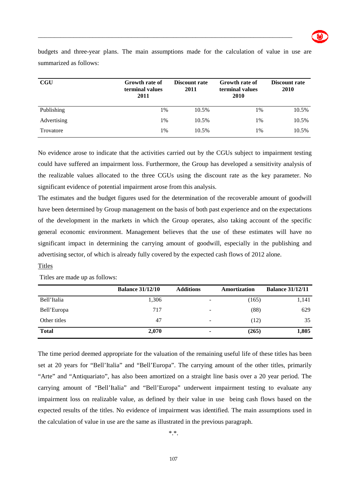**CGU Growth rate of terminal values 2011 Discount rate 2011 Growth rate of terminal values 2010 Discount rate 2010**  Publishing 1% 10.5% 1% 10.5% 1% 10.5% Advertising 1% 10.5% 1% 10.5% 1% 10.5% Trovatore 1% 1% 10.5% 1% 10.5% 1% 10.5%

budgets and three-year plans. The main assumptions made for the calculation of value in use are summarized as follows:

\_\_\_\_\_\_\_\_\_\_\_\_\_\_\_\_\_\_\_\_\_\_\_\_\_\_\_\_\_\_\_\_\_\_\_\_\_\_\_\_\_\_\_\_\_\_\_\_\_\_\_\_\_\_\_\_\_\_\_\_\_\_\_\_\_\_\_\_\_\_\_\_\_\_\_\_\_\_\_

No evidence arose to indicate that the activities carried out by the CGUs subject to impairment testing could have suffered an impairment loss. Furthermore, the Group has developed a sensitivity analysis of the realizable values allocated to the three CGUs using the discount rate as the key parameter. No significant evidence of potential impairment arose from this analysis.

The estimates and the budget figures used for the determination of the recoverable amount of goodwill have been determined by Group management on the basis of both past experience and on the expectations of the development in the markets in which the Group operates, also taking account of the specific general economic environment. Management believes that the use of these estimates will have no significant impact in determining the carrying amount of goodwill, especially in the publishing and advertising sector, of which is already fully covered by the expected cash flows of 2012 alone.

#### **Titles**

Titles are made up as follows:

|              | <b>Balance 31/12/10</b> | <b>Additions</b> | Amortization | <b>Balance 31/12/11</b> |
|--------------|-------------------------|------------------|--------------|-------------------------|
| Bell'Italia  | 1,306                   |                  | (165)        | 1,141                   |
| Bell'Europa  | 717                     | $\qquad \qquad$  | (88)         | 629                     |
| Other titles | 47                      | -                | (12)         | 35                      |
| <b>Total</b> | 2,070                   | ٠                | (265)        | 1,805                   |

The time period deemed appropriate for the valuation of the remaining useful life of these titles has been set at 20 years for "Bell'Italia" and "Bell'Europa". The carrying amount of the other titles, primarily "Arte" and "Antiquariato", has also been amortized on a straight line basis over a 20 year period. The carrying amount of "Bell'Italia" and "Bell'Europa" underwent impairment testing to evaluate any impairment loss on realizable value, as defined by their value in use being cash flows based on the expected results of the titles. No evidence of impairment was identified. The main assumptions used in the calculation of value in use are the same as illustrated in the previous paragraph.

\*.\*.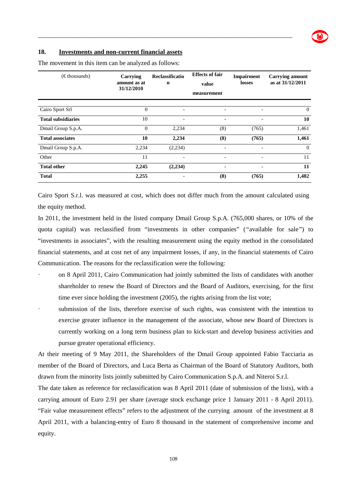#### **18. Investments and non-current financial assets**

| $(\epsilon$ thousands)    | Carrying<br>amount as at<br>31/12/2010 | Reclassificatio<br>$\mathbf n$ | <b>Effects of fair</b><br>value<br>measurement | <b>Impairment</b><br>losses | <b>Carrying amount</b><br>as at 31/12/2011 |
|---------------------------|----------------------------------------|--------------------------------|------------------------------------------------|-----------------------------|--------------------------------------------|
| Cairo Sport Srl           | $\mathbf{0}$                           |                                | $\overline{\phantom{0}}$                       |                             | $\theta$                                   |
| <b>Total subsidiaries</b> | 10                                     |                                | $\overline{\phantom{a}}$                       |                             | 10                                         |
| Dmail Group S.p.A.        | $\mathbf{0}$                           | 2,234                          | (8)                                            | (765)                       | 1,461                                      |
| <b>Total associates</b>   | 10                                     | 2,234                          | (8)                                            | (765)                       | 1,461                                      |
| Dmail Group S.p.A.        | 2,234                                  | (2,234)                        | $\overline{\phantom{a}}$                       | $\overline{\phantom{a}}$    | $\theta$                                   |
| Other                     | 11                                     |                                | $\overline{\phantom{a}}$                       | $\overline{\phantom{a}}$    | 11                                         |
| <b>Total other</b>        | 2,245                                  | (2,234)                        | $\overline{\phantom{a}}$                       | $\overline{\phantom{0}}$    | 11                                         |
| <b>Total</b>              | 2,255                                  |                                | (8)                                            | (765)                       | 1,482                                      |

\_\_\_\_\_\_\_\_\_\_\_\_\_\_\_\_\_\_\_\_\_\_\_\_\_\_\_\_\_\_\_\_\_\_\_\_\_\_\_\_\_\_\_\_\_\_\_\_\_\_\_\_\_\_\_\_\_\_\_\_\_\_\_\_\_\_\_\_\_\_\_\_\_\_\_\_\_\_\_

The movement in this item can be analyzed as follows:

Cairo Sport S.r.l. was measured at cost, which does not differ much from the amount calculated using the equity method.

In 2011, the investment held in the listed company Dmail Group S.p.A. (765,000 shares, or 10% of the quota capital) was reclassified from "investments in other companies" (*"*available for sale*"*) to "investments in associates", with the resulting measurement using the equity method in the consolidated financial statements, and at cost net of any impairment losses, if any, in the financial statements of Cairo Communication. The reasons for the reclassification were the following:

- on 8 April 2011, Cairo Communication had jointly submitted the lists of candidates with another shareholder to renew the Board of Directors and the Board of Auditors, exercising, for the first time ever since holding the investment (2005), the rights arising from the list vote;
- submission of the lists, therefore exercise of such rights, was consistent with the intention to exercise greater influence in the management of the associate, whose new Board of Directors is currently working on a long term business plan to kick-start and develop business activities and pursue greater operational efficiency.

At their meeting of 9 May 2011, the Shareholders of the Dmail Group appointed Fabio Tacciaria as member of the Board of Directors, and Luca Berta as Chairman of the Board of Statutory Auditors, both drawn from the minority lists jointly submitted by Cairo Communication S.p.A. and Niteroi S.r.l.

The date taken as reference for reclassification was 8 April 2011 (date of submission of the lists), with a carrying amount of Euro 2.91 per share (average stock exchange price 1 January 2011 - 8 April 2011). "Fair value measurement effects" refers to the adjustment of the currying amount of the investment at 8 April 2011, with a balancing-entry of Euro 8 thousand in the statement of comprehensive income and equity.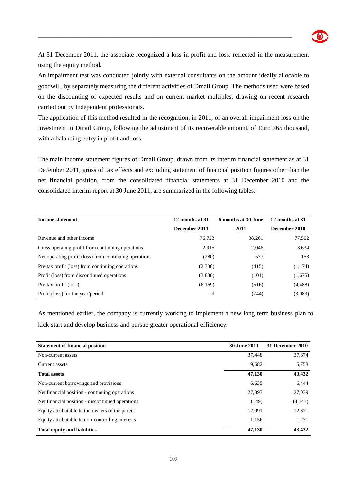

At 31 December 2011, the associate recognized a loss in profit and loss, reflected in the measurement using the equity method.

\_\_\_\_\_\_\_\_\_\_\_\_\_\_\_\_\_\_\_\_\_\_\_\_\_\_\_\_\_\_\_\_\_\_\_\_\_\_\_\_\_\_\_\_\_\_\_\_\_\_\_\_\_\_\_\_\_\_\_\_\_\_\_\_\_\_\_\_\_\_\_\_\_\_\_\_\_\_\_

An impairment test was conducted jointly with external consultants on the amount ideally allocable to goodwill, by separately measuring the different activities of Dmail Group. The methods used were based on the discounting of expected results and on current market multiples, drawing on recent research carried out by independent professionals.

The application of this method resulted in the recognition, in 2011, of an overall impairment loss on the investment in Dmail Group, following the adjustment of its recoverable amount, of Euro 765 thousand, with a balancing-entry in profit and loss.

The main income statement figures of Dmail Group, drawn from its interim financial statement as at 31 December 2011, gross of tax effects and excluding statement of financial position figures other than the net financial position, from the consolidated financial statements at 31 December 2010 and the consolidated interim report at 30 June 2011, are summarized in the following tables:

| Income statement                                       | 12 months at 31 | 6 months at 30 June | 12 months at 31 |
|--------------------------------------------------------|-----------------|---------------------|-----------------|
|                                                        | December 2011   | 2011                | December 2010   |
| Revenue and other income                               | 76,723          | 38,261              | 77,502          |
| Gross operating profit from continuing operations      | 2,915           | 2,046               | 3,634           |
| Net operating profit (loss) from continuing operations | (280)           | 577                 | 153             |
| Pre-tax profit (loss) from continuing operations       | (2,338)         | (415)               | (1,174)         |
| Profit (loss) from discontinued operations             | (3,830)         | (101)               | (1,675)         |
| Pre-tax profit (loss)                                  | (6,169)         | (516)               | (4, 488)        |
| Profit (loss) for the year/period                      | nd              | (744)               | (3,083)         |

As mentioned earlier, the company is currently working to implement a new long term business plan to kick-start and develop business and pursue greater operational efficiency.

| <b>Statement of financial position</b>           | 30 June 2011 | 31 December 2010 |
|--------------------------------------------------|--------------|------------------|
| Non-current assets                               | 37,448       | 37,674           |
| Current assets                                   | 9,682        | 5,758            |
| <b>Total assets</b>                              | 47,130       | 43,432           |
| Non-current borrowings and provisions            | 6,635        | 6,444            |
| Net financial position - continuing operations   | 27,397       | 27,039           |
| Net financial position - discontinued operations | (149)        | (4,143)          |
| Equity attributable to the owners of the parent  | 12.091       | 12,821           |
| Equity attributable to non-controlling interests | 1.156        | 1,271            |
| <b>Total equity and liabilities</b>              | 47,130       | 43,432           |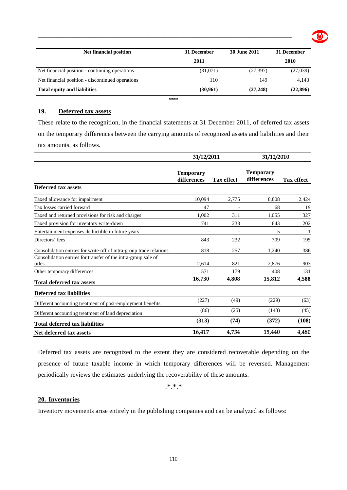| <b>Net financial position</b>                    | 31 December | 30 June 2011 | 31 December |
|--------------------------------------------------|-------------|--------------|-------------|
|                                                  | 2011        |              | 2010        |
| Net financial position - continuing operations   | (31,071)    | (27, 397)    | (27,039)    |
| Net financial position - discontinued operations | 110         | 149          | 4.143       |
| <b>Total equity and liabilities</b>              | (30,961)    | (27, 248)    | (22, 896)   |

\*\*\*

### **19. Deferred tax assets**

These relate to the recognition, in the financial statements at 31 December 2011, of deferred tax assets on the temporary differences between the carrying amounts of recognized assets and liabilities and their tax amounts, as follows.

|                                                                         | 31/12/2011                      |                   |                                 | 31/12/2010        |  |
|-------------------------------------------------------------------------|---------------------------------|-------------------|---------------------------------|-------------------|--|
|                                                                         | <b>Temporary</b><br>differences | <b>Tax effect</b> | <b>Temporary</b><br>differences | <b>Tax effect</b> |  |
| <b>Deferred tax assets</b>                                              |                                 |                   |                                 |                   |  |
| Taxed allowance for impairment                                          | 10.094                          | 2,775             | 8.808                           | 2,424             |  |
| Tax losses carried forward                                              | 47                              |                   | 68                              | 19                |  |
| Taxed and returned provisions for risk and charges                      | 1.002                           | 311               | 1,055                           | 327               |  |
| Taxed provision for inventory write-down                                | 741                             | 233               | 643                             | 202               |  |
| Entertainment expenses deductible in future years                       |                                 |                   | 5                               | -1                |  |
| Directors' fees                                                         | 843                             | 232               | 709                             | 195               |  |
| Consolidation entries for write-off of intra-group trade relations      | 818                             | 257               | 1,240                           | 386               |  |
| Consolidation entries for transfer of the intra-group sale of<br>titles | 2,614                           | 821               | 2,876                           | 903               |  |
| Other temporary differences                                             | 571                             | 179               | 408                             | 131               |  |
| <b>Total deferred tax assets</b>                                        | 16,730                          | 4,808             | 15,812                          | 4,588             |  |
| <b>Deferred tax liabilities</b>                                         |                                 |                   |                                 |                   |  |
| Different accounting treatment of post-employment benefits              | (227)                           | (49)              | (229)                           | (63)              |  |
| Different accounting treatment of land depreciation                     | (86)                            | (25)              | (143)                           | (45)              |  |
| <b>Total deferred tax liabilities</b>                                   | (313)                           | (74)              | (372)                           | (108)             |  |
| Net deferred tax assets                                                 | 16,417                          | 4,734             | 15,440                          | 4,480             |  |

Deferred tax assets are recognized to the extent they are considered recoverable depending on the presence of future taxable income in which temporary differences will be reversed. Management periodically reviews the estimates underlying the recoverability of these amounts.

.\*.\*.\*

#### **20. Inventories**

Inventory movements arise entirely in the publishing companies and can be analyzed as follows: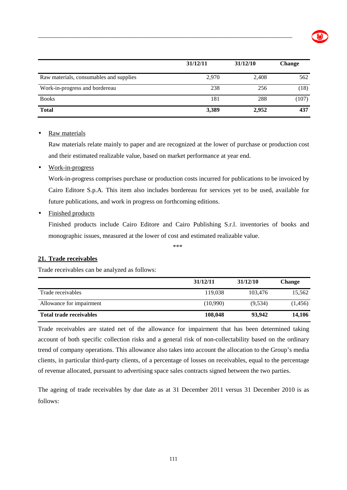|                                         | 31/12/11 | 31/12/10 | <b>Change</b> |
|-----------------------------------------|----------|----------|---------------|
| Raw materials, consumables and supplies | 2,970    | 2,408    | 562           |
| Work-in-progress and bordereau          | 238      | 256      | (18)          |
| <b>Books</b>                            | 181      | 288      | (107)         |
| <b>Total</b>                            | 3,389    | 2,952    | 437           |

• Raw materials

Raw materials relate mainly to paper and are recognized at the lower of purchase or production cost and their estimated realizable value, based on market performance at year end.

• Work-in-progress

Work-in-progress comprises purchase or production costs incurred for publications to be invoiced by Cairo Editore S.p.A. This item also includes bordereau for services yet to be used, available for future publications, and work in progress on forthcoming editions.

• Finished products

Finished products include Cairo Editore and Cairo Publishing S.r.l. inventories of books and monographic issues, measured at the lower of cost and estimated realizable value.

\*\*\*

#### **21. Trade receivables**

Trade receivables can be analyzed as follows:

|                                | 31/12/11 | 31/12/10 | <b>Change</b> |
|--------------------------------|----------|----------|---------------|
| Trade receivables              | 119.038  | 103.476  | 15.562        |
| Allowance for impairment       | (10,990) | (9.534)  | (1,456)       |
| <b>Total trade receivables</b> | 108,048  | 93.942   | 14,106        |

Trade receivables are stated net of the allowance for impairment that has been determined taking account of both specific collection risks and a general risk of non-collectability based on the ordinary trend of company operations. This allowance also takes into account the allocation to the Group's media clients, in particular third-party clients, of a percentage of losses on receivables, equal to the percentage of revenue allocated, pursuant to advertising space sales contracts signed between the two parties.

The ageing of trade receivables by due date as at 31 December 2011 versus 31 December 2010 is as follows: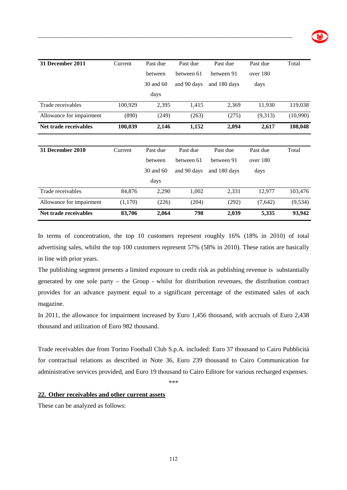| 31 December 2011         | Current | Past due  | Past due    | Past due     | Past due | Total    |
|--------------------------|---------|-----------|-------------|--------------|----------|----------|
|                          |         | between   | between 61  | between 91   | over 180 |          |
|                          |         | 30 and 60 | and 90 days | and 180 days | days     |          |
|                          |         | days      |             |              |          |          |
| Trade receivables        | 100,929 | 2,395     | 1,415       | 2,369        | 11,930   | 119,038  |
| Allowance for impairment | (890)   | (249)     | (263)       | (275)        | (9,313)  | (10,990) |
| Net trade receivables    | 100,039 | 2,146     | 1,152       | 2,094        | 2,617    | 108,048  |
|                          |         |           |             |              |          |          |
| <b>31 December 2010</b>  | Current | Past due  | Past due    | Past due     | Past due | Total    |
|                          |         | between   | between 61  | between 91   | over 180 |          |
|                          |         | 30 and 60 | and 90 days | and 180 days | days     |          |
|                          |         | days      |             |              |          |          |
| Trade receivables        | 84,876  | 2,290     | 1,002       | 2,331        | 12,977   | 103,476  |
| Allowance for impairment | (1,170) | (226)     | (204)       | (292)        | (7,642)  | (9, 534) |
| Net trade receivables    | 83,706  | 2,064     | 798         | 2,039        | 5,335    | 93,942   |

In terms of concentration, the top 10 customers represent roughly 16% (18% in 2010) of total advertising sales, whilst the top 100 customers represent 57% (58% in 2010). These ratios are basically in line with prior years.

The publishing segment presents a limited exposure to credit risk as publishing revenue is substantially generated by one sole party – the Group - whilst for distribution revenues, the distribution contract provides for an advance payment equal to a significant percentage of the estimated sales of each magazine.

In 2011, the allowance for impairment increased by Euro 1,456 thousand, with accruals of Euro 2,438 thousand and utilization of Euro 982 thousand.

Trade receivables due from Torino Football Club S.p.A. included: Euro 37 thousand to Cairo Pubblicità for contractual relations as described in Note 36, Euro 239 thousand to Cairo Communication for administrative services provided, and Euro 19 thousand to Cairo Editore for various recharged expenses.

\*\*\*

#### **22. Other receivables and other current assets**

These can be analyzed as follows: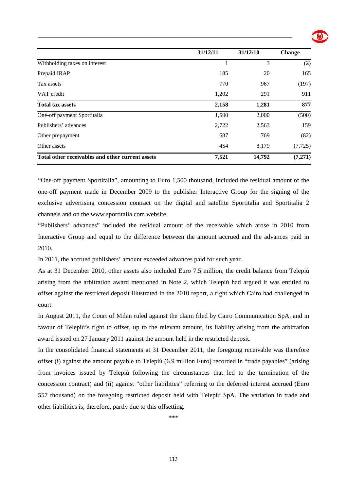|                                                  | 31/12/11 | 31/12/10 | <b>Change</b> |
|--------------------------------------------------|----------|----------|---------------|
| Withholding taxes on interest                    |          | 3        | (2)           |
| Prepaid IRAP                                     | 185      | 20       | 165           |
| Tax assets                                       | 770      | 967      | (197)         |
| VAT credit                                       | 1,202    | 291      | 911           |
| <b>Total tax assets</b>                          | 2,158    | 1,281    | 877           |
| One-off payment Sportitalia                      | 1,500    | 2,000    | (500)         |
| Publishers' advances                             | 2,722    | 2,563    | 159           |
| Other prepayment                                 | 687      | 769      | (82)          |
| Other assets                                     | 454      | 8,179    | (7, 725)      |
| Total other receivables and other current assets | 7,521    | 14,792   | (7,271)       |

"One-off payment Sportitalia", amounting to Euro 1,500 thousand, included the residual amount of the one-off payment made in December 2009 to the publisher Interactive Group for the signing of the exclusive advertising concession contract on the digital and satellite Sportitalia and Sportitalia 2 channels and on the www.sportitalia.com website.

"Publishers' advances" included the residual amount of the receivable which arose in 2010 from Interactive Group and equal to the difference between the amount accrued and the advances paid in 2010.

In 2011, the accrued publishers' amount exceeded advances paid for such year.

As at 31 December 2010, other assets also included Euro 7.5 million, the credit balance from Telepiù arising from the arbitration award mentioned in Note 2, which Telepiù had argued it was entitled to offset against the restricted deposit illustrated in the 2010 report, a right which Cairo had challenged in court.

In August 2011, the Court of Milan ruled against the claim filed by Cairo Communication SpA, and in favour of Telepiù's right to offset, up to the relevant amount, its liability arising from the arbitration award issued on 27 January 2011 against the amount held in the restricted deposit.

In the consolidated financial statements at 31 December 2011, the foregoing receivable was therefore offset (i) against the amount payable to Telepiù (6.9 million Euro) recorded in "trade payables" (arising from invoices issued by Telepiù following the circumstances that led to the termination of the concession contract) and (ii) against "other liabilities" referring to the deferred interest accrued (Euro 557 thousand) on the foregoing restricted deposit held with Telepiù SpA. The variation in trade and other liabilities is, therefore, partly due to this offsetting.

\*\*\*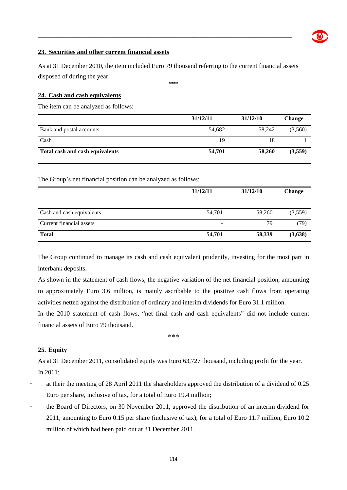#### **23. Securities and other current financial assets**

As at 31 December 2010, the item included Euro 79 thousand referring to the current financial assets disposed of during the year.

\_\_\_\_\_\_\_\_\_\_\_\_\_\_\_\_\_\_\_\_\_\_\_\_\_\_\_\_\_\_\_\_\_\_\_\_\_\_\_\_\_\_\_\_\_\_\_\_\_\_\_\_\_\_\_\_\_\_\_\_\_\_\_\_\_\_\_\_\_\_\_\_\_\_\_\_\_\_\_

\*\*\*

#### **24. Cash and cash equivalents**

The item can be analyzed as follows:

|                                 | 31/12/11 | 31/12/10 | <b>Change</b> |
|---------------------------------|----------|----------|---------------|
| Bank and postal accounts        | 54,682   | 58.242   | (3,560)       |
| Cash                            | 19       | 18       |               |
| Total cash and cash equivalents | 54,701   | 58,260   | (3,559)       |

The Group's net financial position can be analyzed as follows:

|                           | 31/12/11 | 31/12/10 | <b>Change</b> |
|---------------------------|----------|----------|---------------|
| Cash and cash equivalents | 54,701   | 58,260   | (3,559)       |
| Current financial assets  | -        | 79       | (79)          |
| <b>Total</b>              | 54,701   | 58,339   | (3,638)       |

The Group continued to manage its cash and cash equivalent prudently, investing for the most part in interbank deposits.

As shown in the statement of cash flows, the negative variation of the net financial position, amounting to approximately Euro 3.6 million, is mainly ascribable to the positive cash flows from operating activities netted against the distribution of ordinary and interim dividends for Euro 31.1 million.

In the 2010 statement of cash flows, "net final cash and cash equivalents" did not include current financial assets of Euro 79 thousand.

#### \*\*\*

#### **25. Equity**

As at 31 December 2011, consolidated equity was Euro 63,727 thousand, including profit for the year. In 2011:

- at their the meeting of 28 April 2011 the shareholders approved the distribution of a dividend of 0.25 Euro per share, inclusive of tax, for a total of Euro 19.4 million;
- the Board of Directors, on 30 November 2011, approved the distribution of an interim dividend for 2011, amounting to Euro 0.15 per share (inclusive of tax), for a total of Euro 11.7 million, Euro 10.2 million of which had been paid out at 31 December 2011.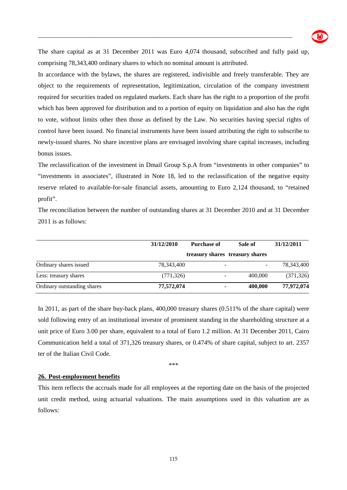

The share capital as at 31 December 2011 was Euro 4,074 thousand, subscribed and fully paid up, comprising 78,343,400 ordinary shares to which no nominal amount is attributed.

\_\_\_\_\_\_\_\_\_\_\_\_\_\_\_\_\_\_\_\_\_\_\_\_\_\_\_\_\_\_\_\_\_\_\_\_\_\_\_\_\_\_\_\_\_\_\_\_\_\_\_\_\_\_\_\_\_\_\_\_\_\_\_\_\_\_\_\_\_\_\_\_\_\_\_\_\_\_\_

In accordance with the bylaws, the shares are registered, indivisible and freely transferable. They are object to the requirements of representation, legitimization, circulation of the company investment required for securities traded on regulated markets. Each share has the right to a proportion of the profit which has been approved for distribution and to a portion of equity on liquidation and also has the right to vote, without limits other then those as defined by the Law. No securities having special rights of control have been issued. No financial instruments have been issued attributing the right to subscribe to newly-issued shares. No share incentive plans are envisaged involving share capital increases, including bonus issues.

The reclassification of the investment in Dmail Group S.p.A from "investments in other companies" to "investments in associates", illustrated in Note 18, led to the reclassification of the negative equity reserve related to available-for-sale financial assets, amounting to Euro 2,124 thousand, to "retained profit".

The reconciliation between the number of outstanding shares at 31 December 2010 and at 31 December 2011 is as follows:

|                             | 31/12/2010 | <b>Purchase of</b> | Sale of                         | 31/12/2011 |
|-----------------------------|------------|--------------------|---------------------------------|------------|
|                             |            |                    | treasury shares treasury shares |            |
| Ordinary shares issued      | 78,343,400 |                    |                                 | 78,343,400 |
| Less: treasury shares       | (771, 326) |                    | 400,000                         | (371, 326) |
| Ordinary outstanding shares | 77,572,074 |                    | 400,000                         | 77,972,074 |

In 2011, as part of the share buy-back plans, 400,000 treasury shares (0.511% of the share capital) were sold following entry of an institutional investor of prominent standing in the shareholding structure at a unit price of Euro 3.00 per share, equivalent to a total of Euro 1.2 million. At 31 December 2011, Cairo Communication held a total of 371,326 treasury shares, or 0.474% of share capital, subject to art. 2357 ter of the Italian Civil Code.

\*\*\*

#### **26. Post-employment benefits**

This item reflects the accruals made for all employees at the reporting date on the basis of the projected unit credit method, using actuarial valuations. The main assumptions used in this valuation are as follows: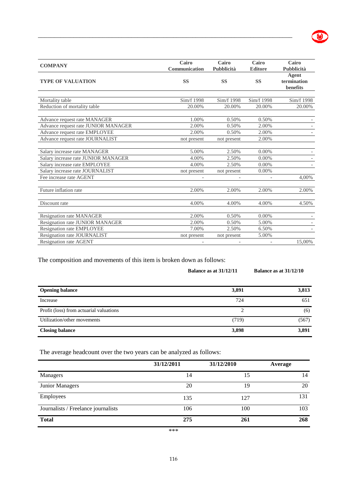| <b>COMPANY</b>                      | Cairo<br>Communication | Cairo<br>Pubblicità | Cairo<br><b>Editore</b> | Cairo<br>Pubblicità              |
|-------------------------------------|------------------------|---------------------|-------------------------|----------------------------------|
| <b>TYPE OF VALUATION</b>            | <b>SS</b>              | <b>SS</b>           | <b>SS</b>               | Agent<br>termination<br>benefits |
| Mortality table                     | Sim/f 1998             | Sim/f 1998          | Sim/f 1998              | Sim/f 1998                       |
| Reduction of mortality table        | 20.00%                 | 20.00%              | 20.00%                  | 20.00%                           |
| Advance request rate MANAGER        | 1.00%                  | 0.50%               | 0.50%                   |                                  |
| Advance request rate JUNIOR MANAGER | 2.00%                  | 0.50%               | 2.00%                   |                                  |
| Advance request rate EMPLOYEE       | 2.00%                  | 0.50%               | 2.00%                   |                                  |
| Advance request rate JOURNALIST     | not present            | not present         | 2.00%                   |                                  |
| Salary increase rate MANAGER        | 5.00%                  | 2.50%               | 0.00%                   |                                  |
| Salary increase rate JUNIOR MANAGER | 4.00%                  | 2.50%               | 0.00%                   |                                  |
| Salary increase rate EMPLOYEE       | 4.00%                  | 2.50%               | 0.00%                   |                                  |
| Salary increase rate JOURNALIST     | not present            | not present         | 0.00%                   |                                  |
| Fee increase rate AGENT             |                        |                     |                         | 4,00%                            |
| Future inflation rate               | 2.00%                  | 2.00%               | 2.00%                   | 2.00%                            |
| Discount rate                       | 4.00%                  | 4.00%               | 4.00%                   | 4.50%                            |
| <b>Resignation rate MANAGER</b>     | 2.00%                  | 0.50%               | 0.00%                   |                                  |
| Resignation rate JUNIOR MANAGER     | 2.00%                  | 0.50%               | 5.00%                   |                                  |
| Resignation rate EMPLOYEE           | 7.00%                  | 2.50%               | 6.50%                   |                                  |
| Resignation rate JOURNALIST         | not present            | not present         | 5.00%                   |                                  |
| <b>Resignation rate AGENT</b>       |                        |                     |                         | 15,00%                           |

 $\bullet$ 

The composition and movements of this item is broken down as follows:

|                                         | Balance as at 31/12/11      | Balance as at $31/12/10$ |
|-----------------------------------------|-----------------------------|--------------------------|
| <b>Opening balance</b>                  | 3,891                       | 3,813                    |
| Increase                                | 724                         | 651                      |
| Profit (loss) from actuarial valuations | $\mathcal{D}_{\mathcal{L}}$ | (6)                      |
| Utilization/other movements             | (719)                       | (567)                    |
| <b>Closing balance</b>                  | 3,898                       | 3,891                    |

The average headcount over the two years can be analyzed as follows:

|                                     | 31/12/2011 | 31/12/2010 | Average |
|-------------------------------------|------------|------------|---------|
| Managers                            | 14         | 15         | 14      |
| Junior Managers                     | 20         | 19         | 20      |
| Employees                           | 135        | 127        | 131     |
| Journalists / Freelance journalists | 106        | 100        | 103     |
| <b>Total</b>                        | 275        | 261        | 268     |

\*\*\*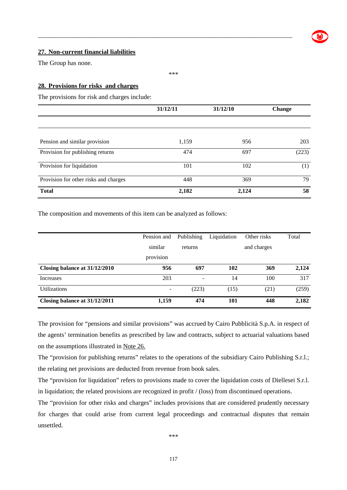#### **27. Non-current financial liabilities**

The Group has none.

#### **28. Provisions for risks and charges**

The provisions for risk and charges include:

|                                       | 31/12/11 | 31/12/10 | <b>Change</b> |
|---------------------------------------|----------|----------|---------------|
|                                       |          |          |               |
| Pension and similar provision         | 1,159    | 956      | 203           |
| Provision for publishing returns      | 474      | 697      | (223)         |
| Provision for liquidation             | 101      | 102      | (1)           |
| Provision for other risks and charges | 448      | 369      | 79            |
| <b>Total</b>                          | 2,182    | 2,124    | 58            |

\_\_\_\_\_\_\_\_\_\_\_\_\_\_\_\_\_\_\_\_\_\_\_\_\_\_\_\_\_\_\_\_\_\_\_\_\_\_\_\_\_\_\_\_\_\_\_\_\_\_\_\_\_\_\_\_\_\_\_\_\_\_\_\_\_\_\_\_\_\_\_\_\_\_\_\_\_\_\_

\*\*\*

The composition and movements of this item can be analyzed as follows:

|                               | Pension and              | Publishing | Liquidation | Other risks | Total |
|-------------------------------|--------------------------|------------|-------------|-------------|-------|
|                               | similar                  | returns    |             | and charges |       |
|                               | provision                |            |             |             |       |
| Closing balance at 31/12/2010 | 956                      | 697        | 102         | 369         | 2,124 |
| Increases                     | 203                      |            | 14          | 100         | 317   |
| <b>Utilizations</b>           | $\overline{\phantom{m}}$ | (223)      | (15)        | (21)        | (259) |
| Closing balance at 31/12/2011 | 1,159                    | 474        | 101         | 448         | 2,182 |

The provision for "pensions and similar provisions" was accrued by Cairo Pubblicità S.p.A. in respect of the agents' termination benefits as prescribed by law and contracts, subject to actuarial valuations based on the assumptions illustrated in Note 26.

The "provision for publishing returns" relates to the operations of the subsidiary Cairo Publishing S.r.l.; the relating net provisions are deducted from revenue from book sales.

The "provision for liquidation" refers to provisions made to cover the liquidation costs of Diellesei S.r.l. in liquidation; the related provisions are recognized in profit / (loss) from discontinued operations.

The "provision for other risks and charges" includes provisions that are considered prudently necessary for charges that could arise from current legal proceedings and contractual disputes that remain unsettled.

\*\*\*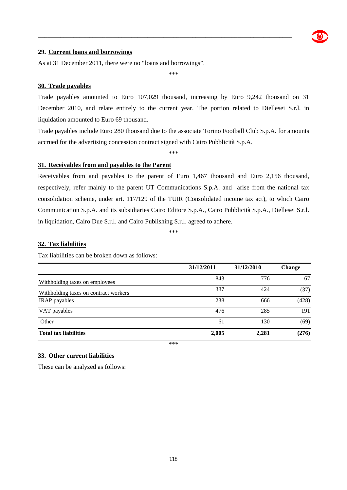

#### **29. Current loans and borrowings**

As at 31 December 2011, there were no "loans and borrowings".

\*\*\*

\_\_\_\_\_\_\_\_\_\_\_\_\_\_\_\_\_\_\_\_\_\_\_\_\_\_\_\_\_\_\_\_\_\_\_\_\_\_\_\_\_\_\_\_\_\_\_\_\_\_\_\_\_\_\_\_\_\_\_\_\_\_\_\_\_\_\_\_\_\_\_\_\_\_\_\_\_\_\_

#### **30. Trade payables**

Trade payables amounted to Euro 107,029 thousand, increasing by Euro 9,242 thousand on 31 December 2010, and relate entirely to the current year. The portion related to Diellesei S.r.l. in liquidation amounted to Euro 69 thousand.

Trade payables include Euro 280 thousand due to the associate Torino Football Club S.p.A. for amounts accrued for the advertising concession contract signed with Cairo Pubblicità S.p.A.

\*\*\*

#### **31. Receivables from and payables to the Parent**

Receivables from and payables to the parent of Euro 1,467 thousand and Euro 2,156 thousand, respectively, refer mainly to the parent UT Communications S.p.A. and arise from the national tax consolidation scheme, under art. 117/129 of the TUIR (Consolidated income tax act), to which Cairo Communication S.p.A. and its subsidiaries Cairo Editore S.p.A., Cairo Pubblicità S.p.A., Diellesei S.r.l. in liquidation, Cairo Due S.r.l. and Cairo Publishing S.r.l. agreed to adhere.

\*\*\*

#### **32. Tax liabilities**

Tax liabilities can be broken down as follows:

|                                       | 31/12/2011 | 31/12/2010 | <b>Change</b> |
|---------------------------------------|------------|------------|---------------|
| With holding taxes on employees       | 843        | 776        | 67            |
| Withholding taxes on contract workers | 387        | 424        | (37)          |
| <b>IRAP</b> payables                  | 238        | 666        | (428)         |
| VAT payables                          | 476        | 285        | 191           |
| Other                                 | 61         | 130        | (69)          |
| <b>Total tax liabilities</b>          | 2,005      | 2,281      | (276)         |

\*\*\*

#### **33. Other current liabilities**

These can be analyzed as follows: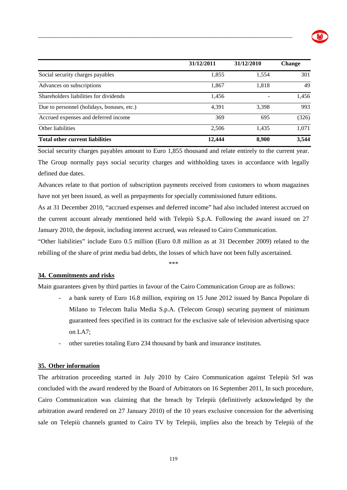|                                            | 31/12/2011 | 31/12/2010 | Change |
|--------------------------------------------|------------|------------|--------|
| Social security charges payables           | 1,855      | 1,554      | 301    |
| Advances on subscriptions                  | 1,867      | 1,818      | 49     |
| Shareholders liabilities for dividends     | 1,456      |            | 1,456  |
| Due to personnel (holidays, bonuses, etc.) | 4.391      | 3.398      | 993    |
| Accrued expenses and deferred income       | 369        | 695        | (326)  |
| Other liabilities                          | 2,506      | 1,435      | 1,071  |
| <b>Total other current liabilities</b>     | 12,444     | 8,900      | 3,544  |

Social security charges payables amount to Euro 1,855 thousand and relate entirely to the current year. The Group normally pays social security charges and withholding taxes in accordance with legally defined due dates.

Advances relate to that portion of subscription payments received from customers to whom magazines have not yet been issued, as well as prepayments for specially commissioned future editions.

As at 31 December 2010, "accrued expenses and deferred income" had also included interest accrued on the current account already mentioned held with Telepiù S.p.A. Following the award issued on 27 January 2010, the deposit, including interest accrued, was released to Cairo Communication.

"Other liabilities" include Euro 0.5 million (Euro 0.8 million as at 31 December 2009) related to the rebilling of the share of print media bad debts, the losses of which have not been fully ascertained.

\*\*\*

#### **34. Commitments and risks**

Main guarantees given by third parties in favour of the Cairo Communication Group are as follows:

- a bank surety of Euro 16.8 million, expiring on 15 June 2012 issued by Banca Popolare di Milano to Telecom Italia Media S.p.A. (Telecom Group) securing payment of minimum guaranteed fees specified in its contract for the exclusive sale of television advertising space on LA7;
- other sureties totaling Euro 234 thousand by bank and insurance institutes.

#### **35. Other information**

The arbitration proceeding started in July 2010 by Cairo Communication against Telepiù Srl was concluded with the award rendered by the Board of Arbitrators on 16 September 2011, In such procedure, Cairo Communication was claiming that the breach by Telepiù (definitively acknowledged by the arbitration award rendered on 27 January 2010) of the 10 years exclusive concession for the advertising sale on Telepiù channels granted to Cairo TV by Telepiù, implies also the breach by Telepiù of the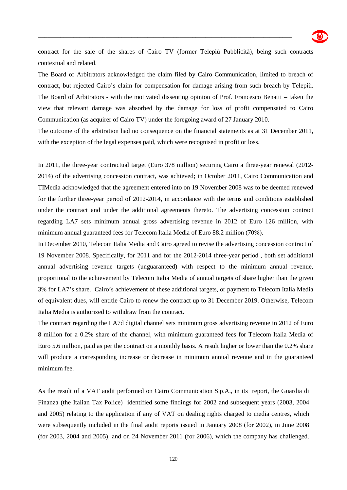

contract for the sale of the shares of Cairo TV (former Telepiù Pubblicità), being such contracts contextual and related.

\_\_\_\_\_\_\_\_\_\_\_\_\_\_\_\_\_\_\_\_\_\_\_\_\_\_\_\_\_\_\_\_\_\_\_\_\_\_\_\_\_\_\_\_\_\_\_\_\_\_\_\_\_\_\_\_\_\_\_\_\_\_\_\_\_\_\_\_\_\_\_\_\_\_\_\_\_\_\_

The Board of Arbitrators acknowledged the claim filed by Cairo Communication, limited to breach of contract, but rejected Cairo's claim for compensation for damage arising from such breach by Telepiù. The Board of Arbitrators - with the motivated dissenting opinion of Prof. Francesco Benatti – taken the view that relevant damage was absorbed by the damage for loss of profit compensated to Cairo Communication (as acquirer of Cairo TV) under the foregoing award of 27 January 2010.

The outcome of the arbitration had no consequence on the financial statements as at 31 December 2011, with the exception of the legal expenses paid, which were recognised in profit or loss.

In 2011, the three-year contractual target (Euro 378 million) securing Cairo a three-year renewal (2012- 2014) of the advertising concession contract, was achieved; in October 2011, Cairo Communication and TIMedia acknowledged that the agreement entered into on 19 November 2008 was to be deemed renewed for the further three-year period of 2012-2014, in accordance with the terms and conditions established under the contract and under the additional agreements thereto. The advertising concession contract regarding LA7 sets minimum annual gross advertising revenue in 2012 of Euro 126 million, with minimum annual guaranteed fees for Telecom Italia Media of Euro 88.2 million (70%).

In December 2010, Telecom Italia Media and Cairo agreed to revise the advertising concession contract of 19 November 2008. Specifically, for 2011 and for the 2012-2014 three-year period , both set additional annual advertising revenue targets (unguaranteed) with respect to the minimum annual revenue, proportional to the achievement by Telecom Italia Media of annual targets of share higher than the given 3% for LA7's share. Cairo's achievement of these additional targets, or payment to Telecom Italia Media of equivalent dues, will entitle Cairo to renew the contract up to 31 December 2019. Otherwise, Telecom Italia Media is authorized to withdraw from the contract.

The contract regarding the LA7d digital channel sets minimum gross advertising revenue in 2012 of Euro 8 million for a 0.2% share of the channel, with minimum guaranteed fees for Telecom Italia Media of Euro 5.6 million, paid as per the contract on a monthly basis. A result higher or lower than the 0.2% share will produce a corresponding increase or decrease in minimum annual revenue and in the guaranteed minimum fee.

As the result of a VAT audit performed on Cairo Communication S.p.A., in its report, the Guardia di Finanza (the Italian Tax Police) identified some findings for 2002 and subsequent years (2003, 2004 and 2005) relating to the application if any of VAT on dealing rights charged to media centres, which were subsequently included in the final audit reports issued in January 2008 (for 2002), in June 2008 (for 2003, 2004 and 2005), and on 24 November 2011 (for 2006), which the company has challenged.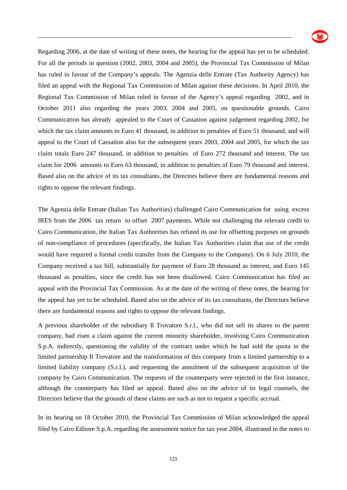

Regarding 2006, at the date of writing of these notes, the hearing for the appeal has yet to be scheduled. For all the periods in question (2002, 2003, 2004 and 2005), the Provincial Tax Commission of Milan has ruled in favour of the Company's appeals. The Agenzia delle Entrate (Tax Authority Agency) has filed an appeal with the Regional Tax Commission of Milan against these decisions. In April 2010, the Regional Tax Commission of Milan ruled in favour of the Agency's appeal regarding 2002, and in October 2011 also regarding the years 2003, 2004 and 2005, on questionable grounds. Cairo Communication has already appealed to the Court of Cassation against judgement regarding 2002, for which the tax claim amounts to Euro 41 thousand, in addition to penalties of Euro 51 thousand, and will appeal to the Court of Cassation also for the subsequent years 2003, 2004 and 2005, for which the tax claim totals Euro 247 thousand, in addition to penalties of Euro 272 thousand and interest. The tax claim for 2006 amounts to Euro 63 thousand, in addition to penalties of Euro 79 thousand and interest. Based also on the advice of its tax consultants, the Directors believe there are fundamental reasons and rights to oppose the relevant findings.

\_\_\_\_\_\_\_\_\_\_\_\_\_\_\_\_\_\_\_\_\_\_\_\_\_\_\_\_\_\_\_\_\_\_\_\_\_\_\_\_\_\_\_\_\_\_\_\_\_\_\_\_\_\_\_\_\_\_\_\_\_\_\_\_\_\_\_\_\_\_\_\_\_\_\_\_\_\_\_

The Agenzia delle Entrate (Italian Tax Authorities) challenged Cairo Communication for using excess IRES from the 2006 tax return to offset 2007 payments. While not challenging the relevant credit to Cairo Communication, the Italian Tax Authorities has refuted its use for offsetting purposes on grounds of non-compliance of procedures (specifically, the Italian Tax Authorities claim that use of the credit would have required a formal credit transfer from the Company to the Company). On 6 July 2010, the Company received a tax bill, substantially for payment of Euro 28 thousand as interest, and Euro 145 thousand as penalties, since the credit has not been disallowed. Cairo Communication has filed an appeal with the Provincial Tax Commission. As at the date of the writing of these notes, the hearing for the appeal has yet to be scheduled. Based also on the advice of its tax consultants, the Directors believe there are fundamental reasons and rights to oppose the relevant findings.

A previous shareholder of the subsidiary Il Trovatore S.r.l., who did not sell its shares to the parent company, had risen a claim against the current minority shareholder, involving Cairo Communication S.p.A. indirectly, questioning the validity of the contract under which he had sold the quota in the limited partnership Il Trovatore and the transformation of this company from a limited partnership to a limited liability company (S.r.l.), and requesting the annulment of the subsequent acquisition of the company by Cairo Communication. The requests of the counterparty were rejected in the first instance, although the counterparty has filed an appeal. Based also on the advice of its legal counsels, the Directors believe that the grounds of these claims are such as not to request a specific accrual.

In its hearing on 18 October 2010, the Provincial Tax Commission of Milan acknowledged the appeal filed by Cairo Editore S.p.A. regarding the assessment notice for tax year 2004, illustrated in the notes to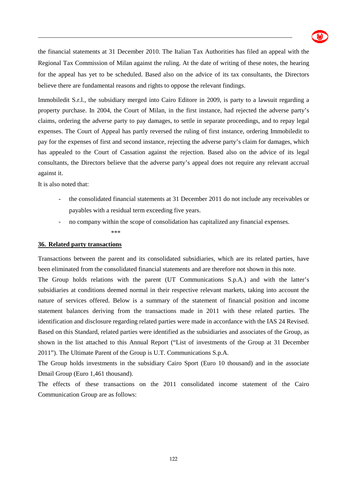

the financial statements at 31 December 2010. The Italian Tax Authorities has filed an appeal with the Regional Tax Commission of Milan against the ruling. At the date of writing of these notes, the hearing for the appeal has yet to be scheduled. Based also on the advice of its tax consultants, the Directors believe there are fundamental reasons and rights to oppose the relevant findings.

\_\_\_\_\_\_\_\_\_\_\_\_\_\_\_\_\_\_\_\_\_\_\_\_\_\_\_\_\_\_\_\_\_\_\_\_\_\_\_\_\_\_\_\_\_\_\_\_\_\_\_\_\_\_\_\_\_\_\_\_\_\_\_\_\_\_\_\_\_\_\_\_\_\_\_\_\_\_\_

Immobiledit S.r.l., the subsidiary merged into Cairo Editore in 2009, is party to a lawsuit regarding a property purchase. In 2004, the Court of Milan, in the first instance, had rejected the adverse party's claims, ordering the adverse party to pay damages, to settle in separate proceedings, and to repay legal expenses. The Court of Appeal has partly reversed the ruling of first instance, ordering Immobiledit to pay for the expenses of first and second instance, rejecting the adverse party's claim for damages, which has appealed to the Court of Cassation against the rejection. Based also on the advice of its legal consultants, the Directors believe that the adverse party's appeal does not require any relevant accrual against it.

It is also noted that:

- the consolidated financial statements at 31 December 2011 do not include any receivables or payables with a residual term exceeding five years.
- no company within the scope of consolidation has capitalized any financial expenses.

#### \*\*\*

#### **36. Related party transactions**

Transactions between the parent and its consolidated subsidiaries, which are its related parties, have been eliminated from the consolidated financial statements and are therefore not shown in this note.

The Group holds relations with the parent (UT Communications S.p.A.) and with the latter's subsidiaries at conditions deemed normal in their respective relevant markets, taking into account the nature of services offered. Below is a summary of the statement of financial position and income statement balances deriving from the transactions made in 2011 with these related parties. The identification and disclosure regarding related parties were made in accordance with the IAS 24 Revised. Based on this Standard, related parties were identified as the subsidiaries and associates of the Group, as shown in the list attached to this Annual Report ("List of investments of the Group at 31 December 2011"). The Ultimate Parent of the Group is U.T. Communications S.p.A.

The Group holds investments in the subsidiary Cairo Sport (Euro 10 thousand) and in the associate Dmail Group (Euro 1,461 thousand).

The effects of these transactions on the 2011 consolidated income statement of the Cairo Communication Group are as follows: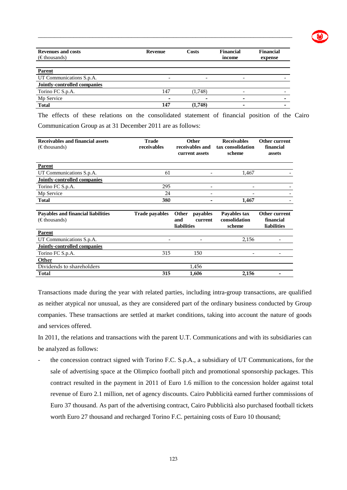| <b>Revenues and costs</b><br>$(\epsilon$ thousands) | <b>Revenue</b> | Costs   | <b>Financial</b><br>income | <b>Financial</b><br>expense |
|-----------------------------------------------------|----------------|---------|----------------------------|-----------------------------|
| <b>Parent</b>                                       |                |         |                            |                             |
| UT Communications S.p.A.                            |                |         |                            |                             |
| <b>Jointly-controlled companies</b>                 |                |         |                            |                             |
| Torino FC S.p.A.                                    | 147            | (1,748) |                            |                             |
| Mp Service                                          | -              |         |                            |                             |
| <b>Total</b>                                        | 147            | (1,748) | -                          |                             |

The effects of these relations on the consolidated statement of financial position of the Cairo Communication Group as at 31 December 2011 are as follows:

| Receivables and financial assets<br>$(\epsilon$ thousands)          | <b>Trade</b><br>receivables | Other                              | receivables and<br>current assets | <b>Receivables</b><br>tax consolidation<br>scheme | Other current<br>financial<br>assets      |
|---------------------------------------------------------------------|-----------------------------|------------------------------------|-----------------------------------|---------------------------------------------------|-------------------------------------------|
| <b>Parent</b>                                                       |                             |                                    |                                   |                                                   |                                           |
| UT Communications S.p.A.                                            | 61                          |                                    |                                   | 1,467                                             |                                           |
| Jointly-controlled companies                                        |                             |                                    |                                   |                                                   |                                           |
| Torino FC S.p.A.                                                    | 295                         |                                    |                                   |                                                   |                                           |
| Mp Service                                                          | 24                          |                                    |                                   |                                                   |                                           |
| <b>Total</b>                                                        | 380                         |                                    |                                   | 1,467                                             |                                           |
| <b>Payables and financial liabilities</b><br>$(\epsilon$ thousands) | <b>Trade payables</b>       | Other<br>and<br><b>liabilities</b> | payables<br>current               | Payables tax<br>consolidation<br>scheme           | Other current<br>financial<br>liabilities |
| <b>Parent</b>                                                       |                             |                                    |                                   |                                                   |                                           |
| UT Communications S.p.A.                                            |                             |                                    |                                   | 2,156                                             |                                           |
| Jointly-controlled companies                                        |                             |                                    |                                   |                                                   |                                           |
| Torino FC S.p.A.                                                    | 315                         |                                    | 150                               |                                                   |                                           |
| Other                                                               |                             |                                    |                                   |                                                   |                                           |
| Dividends to shareholders                                           |                             |                                    | 1,456                             |                                                   |                                           |
| Total                                                               | 315                         |                                    | 1,606                             | 2,156                                             |                                           |

Transactions made during the year with related parties, including intra-group transactions, are qualified as neither atypical nor unusual, as they are considered part of the ordinary business conducted by Group companies. These transactions are settled at market conditions, taking into account the nature of goods and services offered.

In 2011, the relations and transactions with the parent U.T. Communications and with its subsidiaries can be analyzed as follows:

- the concession contract signed with Torino F.C. S.p.A., a subsidiary of UT Communications, for the sale of advertising space at the Olimpico football pitch and promotional sponsorship packages. This contract resulted in the payment in 2011 of Euro 1.6 million to the concession holder against total revenue of Euro 2.1 million, net of agency discounts. Cairo Pubblicità earned further commissions of Euro 37 thousand. As part of the advertising contract, Cairo Pubblicità also purchased football tickets worth Euro 27 thousand and recharged Torino F.C. pertaining costs of Euro 10 thousand;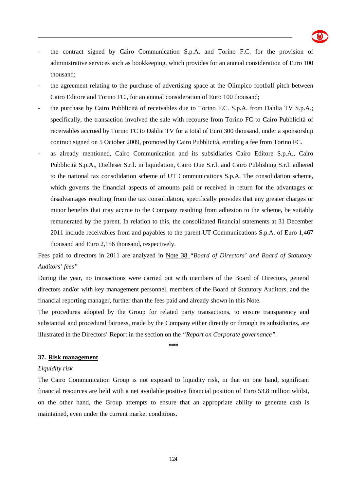

the contract signed by Cairo Communication S.p.A. and Torino F.C. for the provision of administrative services such as bookkeeping, which provides for an annual consideration of Euro 100 thousand;

\_\_\_\_\_\_\_\_\_\_\_\_\_\_\_\_\_\_\_\_\_\_\_\_\_\_\_\_\_\_\_\_\_\_\_\_\_\_\_\_\_\_\_\_\_\_\_\_\_\_\_\_\_\_\_\_\_\_\_\_\_\_\_\_\_\_\_\_\_\_\_\_\_\_\_\_\_\_\_

- the agreement relating to the purchase of advertising space at the Olimpico football pitch between Cairo Editore and Torino FC., for an annual consideration of Euro 100 thousand;
- the purchase by Cairo Pubblicità of receivables due to Torino F.C. S.p.A. from Dahlia TV S.p.A.; specifically, the transaction involved the sale with recourse from Torino FC to Cairo Pubblicità of receivables accrued by Torino FC to Dahlia TV for a total of Euro 300 thousand, under a sponsorship contract signed on 5 October 2009, promoted by Cairo Pubblicità, entitling a fee from Torino FC.
- as already mentioned, Cairo Communication and its subsidiaries Cairo Editore S.p.A., Cairo Pubblicità S.p.A., Diellesei S.r.l. in liquidation, Cairo Due S.r.l. and Cairo Publishing S.r.l. adhered to the national tax consolidation scheme of UT Communications S.p.A. The consolidation scheme, which governs the financial aspects of amounts paid or received in return for the advantages or disadvantages resulting from the tax consolidation, specifically provides that any greater charges or minor benefits that may accrue to the Company resulting from adhesion to the scheme, be suitably remunerated by the parent. In relation to this, the consolidated financial statements at 31 December 2011 include receivables from and payables to the parent UT Communications S.p.A. of Euro 1,467 thousand and Euro 2,156 thousand, respectively.

Fees paid to directors in 2011 are analyzed in Note 38 *"Board of Directors' and Board of Statutory Auditors' fees"* 

During the year, no transactions were carried out with members of the Board of Directors, general directors and/or with key management personnel, members of the Board of Statutory Auditors, and the financial reporting manager, further than the fees paid and already shown in this Note.

The procedures adopted by the Group for related party transactions, to ensure transparency and substantial and procedural fairness, made by the Company either directly or through its subsidiaries, are illustrated in the Directors' Report in the section on the *"Report on Corporate governance".*

**\*\*\*** 

#### **37. Risk management**

#### *Liquidity risk*

The Cairo Communication Group is not exposed to liquidity risk, in that on one hand, significant financial resources are held with a net available positive financial position of Euro 53.8 million whilst, on the other hand, the Group attempts to ensure that an appropriate ability to generate cash is maintained, even under the current market conditions.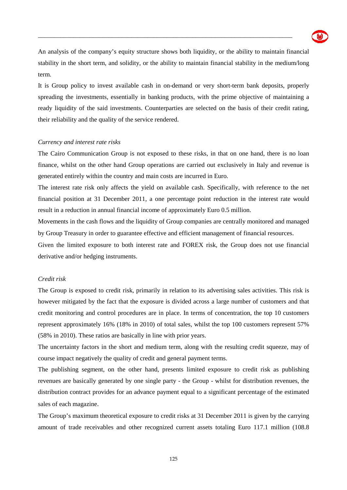

An analysis of the company's equity structure shows both liquidity, or the ability to maintain financial stability in the short term, and solidity, or the ability to maintain financial stability in the medium/long term.

\_\_\_\_\_\_\_\_\_\_\_\_\_\_\_\_\_\_\_\_\_\_\_\_\_\_\_\_\_\_\_\_\_\_\_\_\_\_\_\_\_\_\_\_\_\_\_\_\_\_\_\_\_\_\_\_\_\_\_\_\_\_\_\_\_\_\_\_\_\_\_\_\_\_\_\_\_\_\_

It is Group policy to invest available cash in on-demand or very short-term bank deposits, properly spreading the investments, essentially in banking products, with the prime objective of maintaining a ready liquidity of the said investments. Counterparties are selected on the basis of their credit rating, their reliability and the quality of the service rendered.

#### *Currency and interest rate risks*

The Cairo Communication Group is not exposed to these risks, in that on one hand, there is no loan finance, whilst on the other hand Group operations are carried out exclusively in Italy and revenue is generated entirely within the country and main costs are incurred in Euro.

The interest rate risk only affects the yield on available cash. Specifically, with reference to the net financial position at 31 December 2011, a one percentage point reduction in the interest rate would result in a reduction in annual financial income of approximately Euro 0.5 million.

Movements in the cash flows and the liquidity of Group companies are centrally monitored and managed by Group Treasury in order to guarantee effective and efficient management of financial resources.

Given the limited exposure to both interest rate and FOREX risk, the Group does not use financial derivative and/or hedging instruments.

#### *Credit risk*

The Group is exposed to credit risk, primarily in relation to its advertising sales activities. This risk is however mitigated by the fact that the exposure is divided across a large number of customers and that credit monitoring and control procedures are in place. In terms of concentration, the top 10 customers represent approximately 16% (18% in 2010) of total sales, whilst the top 100 customers represent 57% (58% in 2010). These ratios are basically in line with prior years.

The uncertainty factors in the short and medium term, along with the resulting credit squeeze, may of course impact negatively the quality of credit and general payment terms.

The publishing segment, on the other hand, presents limited exposure to credit risk as publishing revenues are basically generated by one single party - the Group - whilst for distribution revenues, the distribution contract provides for an advance payment equal to a significant percentage of the estimated sales of each magazine.

The Group's maximum theoretical exposure to credit risks at 31 December 2011 is given by the carrying amount of trade receivables and other recognized current assets totaling Euro 117.1 million (108.8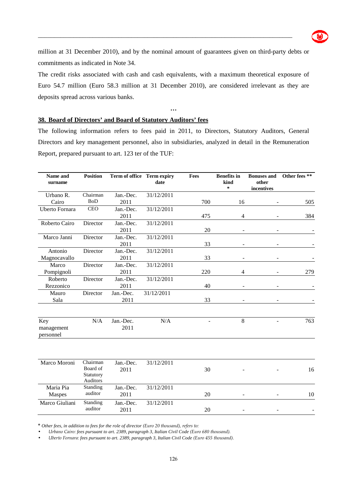

million at 31 December 2010), and by the nominal amount of guarantees given on third-party debts or commitments as indicated in Note 34.

\_\_\_\_\_\_\_\_\_\_\_\_\_\_\_\_\_\_\_\_\_\_\_\_\_\_\_\_\_\_\_\_\_\_\_\_\_\_\_\_\_\_\_\_\_\_\_\_\_\_\_\_\_\_\_\_\_\_\_\_\_\_\_\_\_\_\_\_\_\_\_\_\_\_\_\_\_\_\_

The credit risks associated with cash and cash equivalents, with a maximum theoretical exposure of Euro 54.7 million (Euro 58.3 million at 31 December 2010), are considered irrelevant as they are deposits spread across various banks.

**…** 

#### **38. Board of Directors' and Board of Statutory Auditors' fees**

The following information refers to fees paid in 2011, to Directors, Statutory Auditors, General Directors and key management personnel, also in subsidiaries, analyzed in detail in the Remuneration Report, prepared pursuant to art. 123 ter of the TUF:

| Name and<br>surname            | <b>Position</b>                   |                   | Term of office Term expiry<br>date | Fees | <b>Benefits</b> in<br>kind<br>* | <b>Bonuses and</b><br>other<br>incentives | Other fees ** |
|--------------------------------|-----------------------------------|-------------------|------------------------------------|------|---------------------------------|-------------------------------------------|---------------|
| Urbano R.                      | Chairman                          | Jan.-Dec.         | 31/12/2011                         |      |                                 |                                           |               |
| Cairo                          | <b>BoD</b>                        | 2011              |                                    | 700  | 16                              |                                           | 505           |
| Uberto Fornara                 | <b>CEO</b>                        | Jan.-Dec.         | 31/12/2011                         |      |                                 |                                           |               |
|                                |                                   | 2011              |                                    | 475  | $\overline{4}$                  |                                           | 384           |
| Roberto Cairo                  | Director                          | Jan.-Dec.         | 31/12/2011                         |      |                                 |                                           |               |
|                                |                                   | 2011              |                                    | 20   |                                 |                                           |               |
| Marco Janni                    | Director                          | Jan.-Dec.         | 31/12/2011                         |      |                                 |                                           |               |
|                                |                                   | 2011              |                                    | 33   |                                 |                                           |               |
| Antonio                        | Director                          | Jan.-Dec.         | 31/12/2011                         |      |                                 |                                           |               |
| Magnocavallo                   |                                   | 2011              |                                    | 33   | $\blacksquare$                  |                                           |               |
| Marco                          | Director                          | Jan.-Dec.         | 31/12/2011                         |      |                                 |                                           |               |
| Pompignoli                     |                                   | 2011              |                                    | 220  | $\overline{4}$                  |                                           | 279           |
| Roberto                        | Director                          | Jan.-Dec.         | 31/12/2011                         |      |                                 |                                           |               |
| Rezzonico                      |                                   | 2011              |                                    | 40   |                                 |                                           |               |
| Mauro                          | Director                          | Jan.-Dec.         | 31/12/2011                         |      |                                 |                                           |               |
| Sala                           |                                   | 2011              |                                    | 33   |                                 |                                           |               |
| Key<br>management<br>personnel | N/A                               | Jan.-Dec.<br>2011 | N/A                                |      | 8                               |                                           | 763           |
| Marco Moroni                   | Chairman                          | Jan.-Dec.         | 31/12/2011                         |      |                                 |                                           |               |
|                                | Board of<br>Statutory<br>Auditors | 2011              |                                    | 30   |                                 |                                           | 16            |
| Maria Pia<br>Maspes            | Standing<br>auditor               | Jan.-Dec.<br>2011 | 31/12/2011                         | 20   |                                 |                                           | 10            |
| Marco Giuliani                 | Standing<br>auditor               | Jan.-Dec.<br>2011 | 31/12/2011                         | 20   |                                 |                                           |               |

**\*** *Other fees, in addition to fees for the role of director (Euro 20 thousand), refers to:*

• *Urbano Cairo: fees pursuant to art. 2389, paragraph 3, Italian Civil Code (Euro 680 thousand).* 

• *Uberto Fornara: fees pursuant to art. 2389, paragraph 3, Italian Civil Code (Euro 455 thousand).*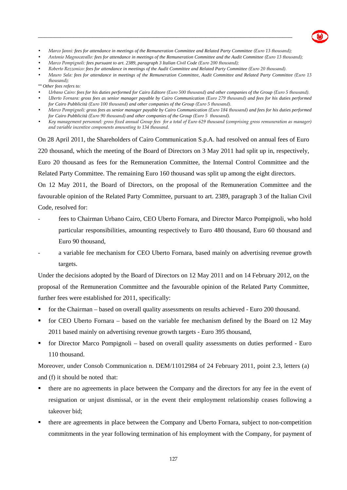

• *Marco Janni: fees for attendance in meetings of the Remuneration Committee and Related Party Committee (Euro 13 thousand);* 

\_\_\_\_\_\_\_\_\_\_\_\_\_\_\_\_\_\_\_\_\_\_\_\_\_\_\_\_\_\_\_\_\_\_\_\_\_\_\_\_\_\_\_\_\_\_\_\_\_\_\_\_\_\_\_\_\_\_\_\_\_\_\_\_\_\_\_\_\_\_\_\_\_\_\_\_\_\_\_

- *Antonio Magnocavallo: fees for attendance in meetings of the Remuneration Committee and the Audit Committee (Euro 13 thousand);*
- *Marco Pompignoli: fees pursuant to art. 2389, paragraph 3 Italian Civil Code (Euro 200 thousand);*
- *Roberto Rezzonico: fees for attendance in meetings of the Audit Committee and Related Party Committee (Euro 20 thousand).*
- *Mauro Sala: fees for attendance in meetings of the Remuneration Committee, Audit Committee and Related Party Committee (Euro 13 thousand);*

*\*\* Other fees refers to:* 

- *Urbano Cairo: fees for his duties performed for Cairo Editore (Euro 500 thousand) and other companies of the Group (Euro 5 thousand).*
- *Uberto Fornara: gross fees as senior manager payable by Cairo Communication (Euro 279 thousand) and fees for his duties performed for Cairo Pubblicità (Euro 100 thousand) and other companies of the Group (Euro 5 thousand).*
- *Marco Pompignoli: gross fees as senior manager payable by Cairo Communication (Euro 184 thousand) and fees for his duties performed for Cairo Pubblicità (Euro 90 thousand) and other companies of the Group (Euro 5 thousand).*
- *Key management personnel: gross fixed annual Group fees for a total of Euro 629 thousand (comprising gross remuneration as manager) and variable incentive components amounting to 134 thousand.*

On 28 April 2011, the Shareholders of Cairo Communication S.p.A. had resolved on annual fees of Euro 220 thousand, which the meeting of the Board of Directors on 3 May 2011 had split up in, respectively, Euro 20 thousand as fees for the Remuneration Committee, the Internal Control Committee and the Related Party Committee. The remaining Euro 160 thousand was split up among the eight directors.

On 12 May 2011, the Board of Directors, on the proposal of the Remuneration Committee and the favourable opinion of the Related Party Committee, pursuant to art. 2389, paragraph 3 of the Italian Civil Code, resolved for:

- fees to Chairman Urbano Cairo, CEO Uberto Fornara, and Director Marco Pompignoli, who hold particular responsibilities, amounting respectively to Euro 480 thousand, Euro 60 thousand and Euro 90 thousand,
- a variable fee mechanism for CEO Uberto Fornara, based mainly on advertising revenue growth targets.

Under the decisions adopted by the Board of Directors on 12 May 2011 and on 14 February 2012, on the proposal of the Remuneration Committee and the favourable opinion of the Related Party Committee, further fees were established for 2011, specifically:

- for the Chairman based on overall quality assessments on results achieved Euro 200 thousand.
- for CEO Uberto Fornara based on the variable fee mechanism defined by the Board on 12 May 2011 based mainly on advertising revenue growth targets - Euro 395 thousand,
- **for Director Marco Pompignoli** based on overall quality assessments on duties performed Euro 110 thousand.

Moreover, under Consob Communication n. DEM/11012984 of 24 February 2011, point 2.3, letters (a) and (f) it should be noted that:

- there are no agreements in place between the Company and the directors for any fee in the event of resignation or unjust dismissal, or in the event their employment relationship ceases following a takeover bid;
- there are agreements in place between the Company and Uberto Fornara, subject to non-competition commitments in the year following termination of his employment with the Company, for payment of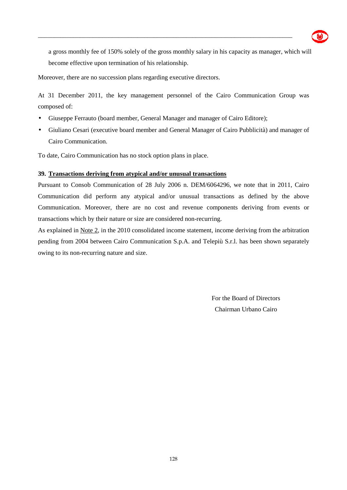

a gross monthly fee of 150% solely of the gross monthly salary in his capacity as manager, which will become effective upon termination of his relationship.

\_\_\_\_\_\_\_\_\_\_\_\_\_\_\_\_\_\_\_\_\_\_\_\_\_\_\_\_\_\_\_\_\_\_\_\_\_\_\_\_\_\_\_\_\_\_\_\_\_\_\_\_\_\_\_\_\_\_\_\_\_\_\_\_\_\_\_\_\_\_\_\_\_\_\_\_\_\_\_

Moreover, there are no succession plans regarding executive directors.

At 31 December 2011, the key management personnel of the Cairo Communication Group was composed of:

- Giuseppe Ferrauto (board member, General Manager and manager of Cairo Editore);
- Giuliano Cesari (executive board member and General Manager of Cairo Pubblicità) and manager of Cairo Communication.

To date, Cairo Communication has no stock option plans in place.

#### **39. Transactions deriving from atypical and/or unusual transactions**

Pursuant to Consob Communication of 28 July 2006 n. DEM/6064296, we note that in 2011, Cairo Communication did perform any atypical and/or unusual transactions as defined by the above Communication. Moreover, there are no cost and revenue components deriving from events or transactions which by their nature or size are considered non-recurring.

As explained in Note 2, in the 2010 consolidated income statement, income deriving from the arbitration pending from 2004 between Cairo Communication S.p.A. and Telepiù S.r.l. has been shown separately owing to its non-recurring nature and size.

> For the Board of Directors Chairman Urbano Cairo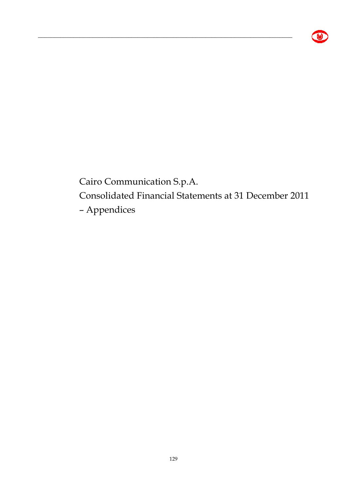

Cairo Communication S.p.A.

\_\_\_\_\_\_\_\_\_\_\_\_\_\_\_\_\_\_\_\_\_\_\_\_\_\_\_\_\_\_\_\_\_\_\_\_\_\_\_\_\_\_\_\_\_\_\_\_\_\_\_\_\_\_\_\_\_\_\_\_\_\_\_\_\_\_\_\_\_\_\_\_\_\_\_\_\_\_\_

Consolidated Financial Statements at 31 December 2011

– Appendices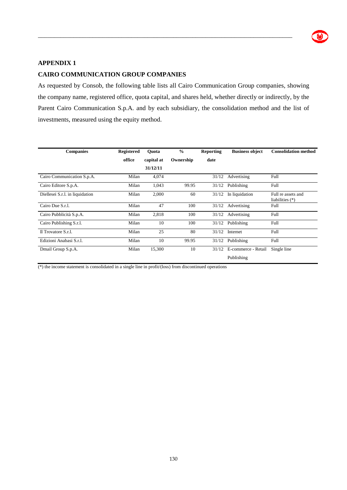

#### **APPENDIX 1**

#### **CAIRO COMMUNICATION GROUP COMPANIES**

As requested by Consob, the following table lists all Cairo Communication Group companies, showing the company name, registered office, quota capital, and shares held, whether directly or indirectly, by the Parent Cairo Communication S.p.A. and by each subsidiary, the consolidation method and the list of investments, measured using the equity method.

\_\_\_\_\_\_\_\_\_\_\_\_\_\_\_\_\_\_\_\_\_\_\_\_\_\_\_\_\_\_\_\_\_\_\_\_\_\_\_\_\_\_\_\_\_\_\_\_\_\_\_\_\_\_\_\_\_\_\_\_\_\_\_\_\_\_\_\_\_\_\_\_\_\_\_\_\_\_\_

| <b>Companies</b>                | <b>Registered</b> | Ouota      | $\frac{0}{0}$ | <b>Reporting</b> | <b>Business object</b> | <b>Consolidation method</b>             |
|---------------------------------|-------------------|------------|---------------|------------------|------------------------|-----------------------------------------|
|                                 | office            | capital at | Ownership     | date             |                        |                                         |
|                                 |                   | 31/12/11   |               |                  |                        |                                         |
| Cairo Communication S.p.A.      | Milan             | 4,074      |               | 31/12            | Advertising            | Full                                    |
| Cairo Editore S.p.A.            | Milan             | 1,043      | 99.95         | 31/12            | Publishing             | Full                                    |
| Diellesei S.r.l. in liquidation | Milan             | 2,000      | 60            | 31/12            | In liquidation         | Full re assets and<br>liabilities $(*)$ |
| Cairo Due S.r.l.                | Milan             | 47         | 100           | 31/12            | Advertising            | Full                                    |
| Cairo Pubblicità S.p.A.         | Milan             | 2,818      | 100           | 31/12            | Advertising            | Full                                    |
| Cairo Publishing S.r.l.         | Milan             | 10         | 100           | 31/12            | Publishing             | Full                                    |
| Il Trovatore S.r.l.             | Milan             | 25         | 80            | 31/12            | Internet               | Full                                    |
| Edizioni Anabasi S.r.l.         | Milan             | 10         | 99.95         | 31/12            | Publishing             | Full                                    |
| Dmail Group S.p.A.              | Milan             | 15,300     | 10            | 31/12            | E-commerce - Retail    | Single line                             |
|                                 |                   |            |               |                  | Publishing             |                                         |

(\*) the income statement is consolidated in a single line in profit/(loss) from discontinued operations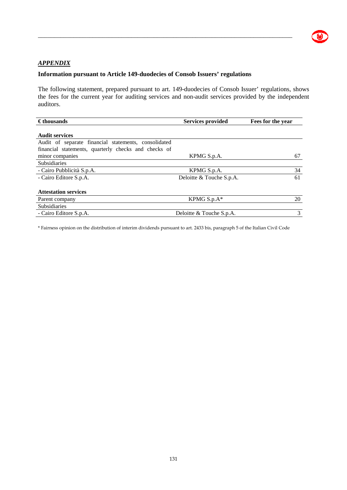

#### *APPENDIX*

#### **Information pursuant to Article 149-duodecies of Consob Issuers' regulations**

The following statement, prepared pursuant to art. 149-duodecies of Consob Issuer' regulations, shows the fees for the current year for auditing services and non-audit services provided by the independent auditors.

\_\_\_\_\_\_\_\_\_\_\_\_\_\_\_\_\_\_\_\_\_\_\_\_\_\_\_\_\_\_\_\_\_\_\_\_\_\_\_\_\_\_\_\_\_\_\_\_\_\_\_\_\_\_\_\_\_\_\_\_\_\_\_\_\_\_\_\_\_\_\_\_\_\_\_\_\_\_\_

| $\epsilon$ thousands                                 | <b>Services provided</b> | Fees for the year |
|------------------------------------------------------|--------------------------|-------------------|
| <b>Audit services</b>                                |                          |                   |
| Audit of separate financial statements, consolidated |                          |                   |
| financial statements, quarterly checks and checks of |                          |                   |
| minor companies                                      | KPMG S.p.A.              | 67                |
| Subsidiaries                                         |                          |                   |
| - Cairo Pubblicità S.p.A.                            | KPMG S.p.A.              | 34                |
| - Cairo Editore S.p.A.                               | Deloitte & Touche S.p.A. | 61                |
| <b>Attestation services</b>                          |                          |                   |
| Parent company                                       | KPMG $S.p.A*$            | 20                |
| Subsidiaries                                         |                          |                   |
| - Cairo Editore S.p.A.                               | Deloitte & Touche S.p.A. | 3                 |

\* Fairness opinion on the distribution of interim dividends pursuant to art. 2433 bis, paragraph 5 of the Italian Civil Code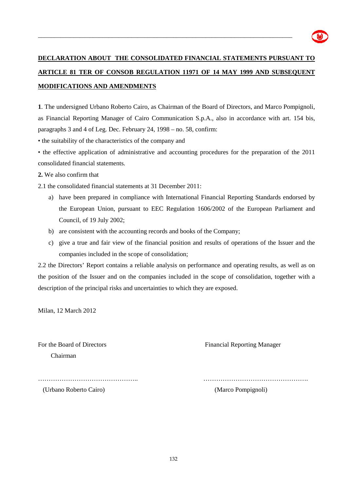

# **DECLARATION ABOUT THE CONSOLIDATED FINANCIAL STATEMENTS PURSUANT TO ARTICLE 81 TER OF CONSOB REGULATION 11971 OF 14 MAY 1999 AND SUBSEQUENT MODIFICATIONS AND AMENDMENTS**

\_\_\_\_\_\_\_\_\_\_\_\_\_\_\_\_\_\_\_\_\_\_\_\_\_\_\_\_\_\_\_\_\_\_\_\_\_\_\_\_\_\_\_\_\_\_\_\_\_\_\_\_\_\_\_\_\_\_\_\_\_\_\_\_\_\_\_\_\_\_\_\_\_\_\_\_\_\_\_

**1**. The undersigned Urbano Roberto Cairo, as Chairman of the Board of Directors, and Marco Pompignoli, as Financial Reporting Manager of Cairo Communication S.p.A., also in accordance with art. 154 bis, paragraphs 3 and 4 of Leg. Dec. February 24, 1998 – no. 58, confirm:

• the suitability of the characteristics of the company and

• the effective application of administrative and accounting procedures for the preparation of the 2011 consolidated financial statements*.*

**2.** We also confirm that

2.1 the consolidated financial statements at 31 December 2011:

- a) have been prepared in compliance with International Financial Reporting Standards endorsed by the European Union, pursuant to EEC Regulation 1606/2002 of the European Parliament and Council, of 19 July 2002;
- b) are consistent with the accounting records and books of the Company;
- c) give a true and fair view of the financial position and results of operations of the Issuer and the companies included in the scope of consolidation;

2.2 the Directors' Report contains a reliable analysis on performance and operating results, as well as on the position of the Issuer and on the companies included in the scope of consolidation, together with a description of the principal risks and uncertainties to which they are exposed.

Milan, 12 March 2012

Chairman

For the Board of Directors Financial Reporting Manager

……………………………………….. ………………………………………….

(Urbano Roberto Cairo) (Marco Pompignoli)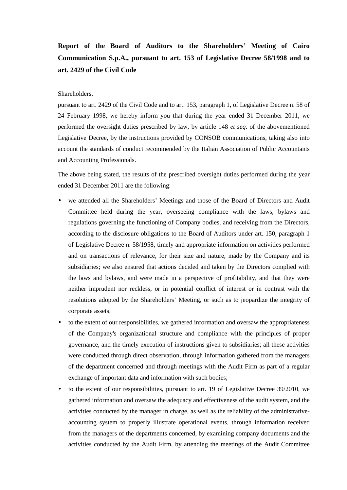## **Report of the Board of Auditors to the Shareholders' Meeting of Cairo Communication S.p.A., pursuant to art. 153 of Legislative Decree 58/1998 and to art. 2429 of the Civil Code**

#### Shareholders,

pursuant to art. 2429 of the Civil Code and to art. 153, paragraph 1, of Legislative Decree n. 58 of 24 February 1998, we hereby inform you that during the year ended 31 December 2011, we performed the oversight duties prescribed by law, by article 148 *et seq.* of the abovementioned Legislative Decree, by the instructions provided by CONSOB communications, taking also into account the standards of conduct recommended by the Italian Association of Public Accountants and Accounting Professionals.

The above being stated, the results of the prescribed oversight duties performed during the year ended 31 December 2011 are the following:

- we attended all the Shareholders' Meetings and those of the Board of Directors and Audit Committee held during the year, overseeing compliance with the laws, bylaws and regulations governing the functioning of Company bodies, and receiving from the Directors, according to the disclosure obligations to the Board of Auditors under art. 150, paragraph 1 of Legislative Decree n. 58/1958, timely and appropriate information on activities performed and on transactions of relevance, for their size and nature, made by the Company and its subsidiaries; we also ensured that actions decided and taken by the Directors complied with the laws and bylaws, and were made in a perspective of profitability, and that they were neither imprudent nor reckless, or in potential conflict of interest or in contrast with the resolutions adopted by the Shareholders' Meeting, or such as to jeopardize the integrity of corporate assets;
- to the extent of our responsibilities, we gathered information and oversaw the appropriateness of the Company's organizational structure and compliance with the principles of proper governance, and the timely execution of instructions given to subsidiaries; all these activities were conducted through direct observation, through information gathered from the managers of the department concerned and through meetings with the Audit Firm as part of a regular exchange of important data and information with such bodies;
- to the extent of our responsibilities, pursuant to art. 19 of Legislative Decree 39/2010, we gathered information and oversaw the adequacy and effectiveness of the audit system, and the activities conducted by the manager in charge, as well as the reliability of the administrativeaccounting system to properly illustrate operational events, through information received from the managers of the departments concerned, by examining company documents and the activities conducted by the Audit Firm, by attending the meetings of the Audit Committee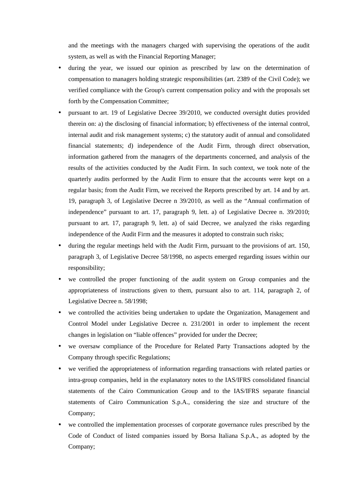and the meetings with the managers charged with supervising the operations of the audit system, as well as with the Financial Reporting Manager;

- during the year, we issued our opinion as prescribed by law on the determination of compensation to managers holding strategic responsibilities (art. 2389 of the Civil Code); we verified compliance with the Group's current compensation policy and with the proposals set forth by the Compensation Committee;
- pursuant to art. 19 of Legislative Decree 39/2010, we conducted oversight duties provided therein on: a) the disclosing of financial information; b) effectiveness of the internal control, internal audit and risk management systems; c) the statutory audit of annual and consolidated financial statements; d) independence of the Audit Firm, through direct observation, information gathered from the managers of the departments concerned, and analysis of the results of the activities conducted by the Audit Firm. In such context, we took note of the quarterly audits performed by the Audit Firm to ensure that the accounts were kept on a regular basis; from the Audit Firm, we received the Reports prescribed by art. 14 and by art. 19, paragraph 3, of Legislative Decree n 39/2010, as well as the "Annual confirmation of independence" pursuant to art. 17, paragraph 9, lett. a) of Legislative Decree n. 39/2010; pursuant to art. 17, paragraph 9, lett. a) of said Decree, we analyzed the risks regarding independence of the Audit Firm and the measures it adopted to constrain such risks;
- during the regular meetings held with the Audit Firm, pursuant to the provisions of art. 150, paragraph 3, of Legislative Decree 58/1998, no aspects emerged regarding issues within our responsibility;
- we controlled the proper functioning of the audit system on Group companies and the appropriateness of instructions given to them, pursuant also to art. 114, paragraph 2, of Legislative Decree n. 58/1998;
- we controlled the activities being undertaken to update the Organization, Management and Control Model under Legislative Decree n. 231/2001 in order to implement the recent changes in legislation on "liable offences" provided for under the Decree;
- we oversaw compliance of the Procedure for Related Party Transactions adopted by the Company through specific Regulations;
- we verified the appropriateness of information regarding transactions with related parties or intra-group companies, held in the explanatory notes to the IAS/IFRS consolidated financial statements of the Cairo Communication Group and to the IAS/IFRS separate financial statements of Cairo Communication S.p.A., considering the size and structure of the Company;
- we controlled the implementation processes of corporate governance rules prescribed by the Code of Conduct of listed companies issued by Borsa Italiana S.p.A., as adopted by the Company;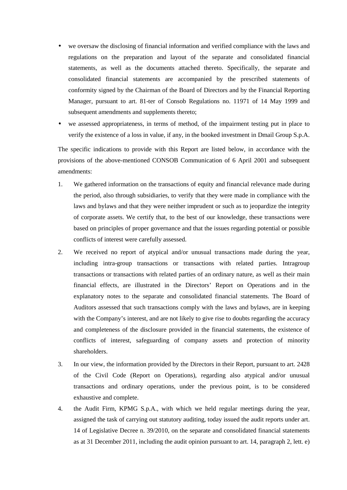- we oversaw the disclosing of financial information and verified compliance with the laws and regulations on the preparation and layout of the separate and consolidated financial statements, as well as the documents attached thereto. Specifically, the separate and consolidated financial statements are accompanied by the prescribed statements of conformity signed by the Chairman of the Board of Directors and by the Financial Reporting Manager, pursuant to art. 81-ter of Consob Regulations no. 11971 of 14 May 1999 and subsequent amendments and supplements thereto;
- we assessed appropriateness, in terms of method, of the impairment testing put in place to verify the existence of a loss in value, if any, in the booked investment in Dmail Group S.p.A.

The specific indications to provide with this Report are listed below, in accordance with the provisions of the above-mentioned CONSOB Communication of 6 April 2001 and subsequent amendments:

- 1. We gathered information on the transactions of equity and financial relevance made during the period, also through subsidiaries, to verify that they were made in compliance with the laws and bylaws and that they were neither imprudent or such as to jeopardize the integrity of corporate assets. We certify that, to the best of our knowledge, these transactions were based on principles of proper governance and that the issues regarding potential or possible conflicts of interest were carefully assessed.
- 2. We received no report of atypical and/or unusual transactions made during the year, including intra-group transactions or transactions with related parties. Intragroup transactions or transactions with related parties of an ordinary nature, as well as their main financial effects, are illustrated in the Directors' Report on Operations and in the explanatory notes to the separate and consolidated financial statements. The Board of Auditors assessed that such transactions comply with the laws and bylaws, are in keeping with the Company's interest, and are not likely to give rise to doubts regarding the accuracy and completeness of the disclosure provided in the financial statements, the existence of conflicts of interest, safeguarding of company assets and protection of minority shareholders.
- 3. In our view, the information provided by the Directors in their Report, pursuant to art. 2428 of the Civil Code (Report on Operations), regarding also atypical and/or unusual transactions and ordinary operations, under the previous point, is to be considered exhaustive and complete.
- 4. the Audit Firm, KPMG S.p.A., with which we held regular meetings during the year, assigned the task of carrying out statutory auditing, today issued the audit reports under art. 14 of Legislative Decree n. 39/2010, on the separate and consolidated financial statements as at 31 December 2011, including the audit opinion pursuant to art. 14, paragraph 2, lett. e)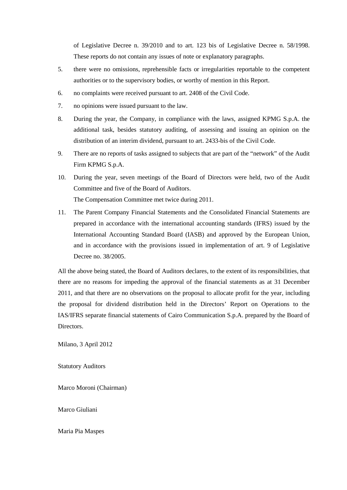of Legislative Decree n. 39/2010 and to art. 123 bis of Legislative Decree n. 58/1998. These reports do not contain any issues of note or explanatory paragraphs.

- 5. there were no omissions, reprehensible facts or irregularities reportable to the competent authorities or to the supervisory bodies, or worthy of mention in this Report.
- 6. no complaints were received pursuant to art. 2408 of the Civil Code.
- 7. no opinions were issued pursuant to the law.
- 8. During the year, the Company, in compliance with the laws, assigned KPMG S.p.A. the additional task, besides statutory auditing, of assessing and issuing an opinion on the distribution of an interim dividend, pursuant to art. 2433-bis of the Civil Code.
- 9. There are no reports of tasks assigned to subjects that are part of the "network" of the Audit Firm KPMG S.p.A.
- 10. During the year, seven meetings of the Board of Directors were held, two of the Audit Committee and five of the Board of Auditors. The Compensation Committee met twice during 2011.
- 11. The Parent Company Financial Statements and the Consolidated Financial Statements are prepared in accordance with the international accounting standards (IFRS) issued by the International Accounting Standard Board (IASB) and approved by the European Union, and in accordance with the provisions issued in implementation of art. 9 of Legislative Decree no. 38/2005.

All the above being stated, the Board of Auditors declares, to the extent of its responsibilities, that there are no reasons for impeding the approval of the financial statements as at 31 December 2011, and that there are no observations on the proposal to allocate profit for the year, including the proposal for dividend distribution held in the Directors' Report on Operations to the IAS/IFRS separate financial statements of Cairo Communication S.p.A. prepared by the Board of Directors.

Milano, 3 April 2012

Statutory Auditors

Marco Moroni (Chairman)

Marco Giuliani

Maria Pia Maspes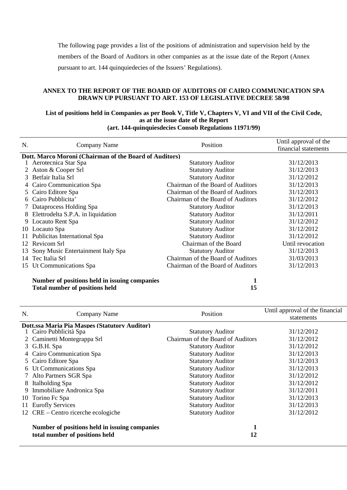The following page provides a list of the positions of administration and supervision held by the members of the Board of Auditors in other companies as at the issue date of the Report (Annex pursuant to art. 144 quinquiedecies of the Issuers' Regulations).

#### **ANNEX TO THE REPORT OF THE BOARD OF AUDITORS OF CAIRO COMMUNICATION SPA DRAWN UP PURSUANT TO ART. 153 OF LEGISLATIVE DECREE 58/98**

#### **List of positions held in Companies as per Book V, Title V, Chapters V, VI and VII of the Civil Code, as at the issue date of the Report (art. 144-quinquiesdecies Consob Regulations 11971/99)**

| N. | Company Name                                           | Position                          | Until approval of the<br>financial statements |
|----|--------------------------------------------------------|-----------------------------------|-----------------------------------------------|
|    | Dott. Marco Moroni (Chairman of the Board of Auditors) |                                   |                                               |
|    | Aerotecnica Star Spa                                   | <b>Statutory Auditor</b>          | 31/12/2013                                    |
|    | Aston & Cooper Srl                                     | <b>Statutory Auditor</b>          | 31/12/2013                                    |
| 3  | Betfair Italia Srl                                     | <b>Statutory Auditor</b>          | 31/12/2012                                    |
|    | Cairo Communication Spa                                | Chairman of the Board of Auditors | 31/12/2013                                    |
|    | 5 Cairo Editore Spa                                    | Chairman of the Board of Auditors | 31/12/2013                                    |
| 6  | Cairo Pubblicita'                                      | Chairman of the Board of Auditors | 31/12/2012                                    |
|    | Dataprocess Holding Spa                                | <b>Statutory Auditor</b>          | 31/12/2013                                    |
| 8  | Elettrodelta S.P.A. in liquidation                     | <b>Statutory Auditor</b>          | 31/12/2011                                    |
|    | 9 Locauto Rent Spa                                     | <b>Statutory Auditor</b>          | 31/12/2012                                    |
|    | 10 Locauto Spa                                         | <b>Statutory Auditor</b>          | 31/12/2012                                    |
|    | 11 Publicitas International Spa                        | <b>Statutory Auditor</b>          | 31/12/2012                                    |
|    | 12 Revicom Srl                                         | Chairman of the Board             | Until revocation                              |
| 13 | Sony Music Entertainment Italy Spa                     | <b>Statutory Auditor</b>          | 31/12/2013                                    |
| 14 | Tec Italia Srl                                         | Chairman of the Board of Auditors | 31/03/2013                                    |
| 15 | Ut Communications Spa                                  | Chairman of the Board of Auditors | 31/12/2013                                    |
|    | Number of positions held in issuing companies          | 1                                 |                                               |
|    | <b>Total number of positions held</b>                  | 15                                |                                               |

| N.                                            | Company Name                                                                    | Position                          | Until approval of the financial |  |
|-----------------------------------------------|---------------------------------------------------------------------------------|-----------------------------------|---------------------------------|--|
|                                               |                                                                                 |                                   | statements                      |  |
| Dott.ssa Maria Pia Maspes (Statutory Auditor) |                                                                                 |                                   |                                 |  |
|                                               | 1 Cairo Pubblicità Spa                                                          | <b>Statutory Auditor</b>          | 31/12/2012                      |  |
|                                               | 2 Caminetti Montegrappa Srl                                                     | Chairman of the Board of Auditors | 31/12/2012                      |  |
|                                               | 3 G.B.H. Spa                                                                    | <b>Statutory Auditor</b>          | 31/12/2012                      |  |
|                                               | 4 Cairo Communication Spa                                                       | <b>Statutory Auditor</b>          | 31/12/2013                      |  |
|                                               | 5 Cairo Editore Spa                                                             | <b>Statutory Auditor</b>          | 31/12/2013                      |  |
|                                               | 6 Ut Communications Spa                                                         | <b>Statutory Auditor</b>          | 31/12/2013                      |  |
|                                               | Alto Partners SGR Spa                                                           | <b>Statutory Auditor</b>          | 31/12/2012                      |  |
| 8                                             | Italholding Spa                                                                 | <b>Statutory Auditor</b>          | 31/12/2012                      |  |
| 9.                                            | Immobiliare Andronica Spa                                                       | <b>Statutory Auditor</b>          | 31/12/2011                      |  |
|                                               | 10 Torino Fc Spa                                                                | <b>Statutory Auditor</b>          | 31/12/2013                      |  |
| 11                                            | <b>Eurofly Services</b>                                                         | <b>Statutory Auditor</b>          | 31/12/2013                      |  |
|                                               | 12 CRE – Centro ricerche ecologiche                                             | <b>Statutory Auditor</b>          | 31/12/2012                      |  |
|                                               | Number of positions held in issuing companies<br>total number of positions held | 12                                |                                 |  |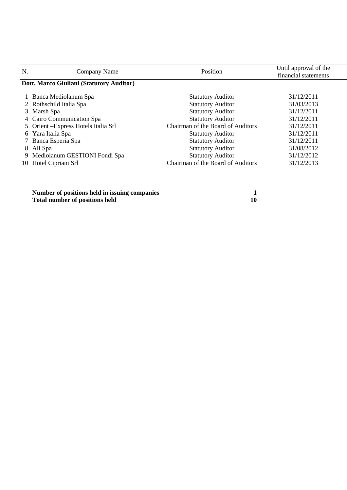| N. | Company Name                             | Position                          | Until approval of the<br>financial statements |  |  |
|----|------------------------------------------|-----------------------------------|-----------------------------------------------|--|--|
|    | Dott. Marco Giuliani (Statutory Auditor) |                                   |                                               |  |  |
|    | 1 Banca Mediolanum Spa                   | <b>Statutory Auditor</b>          | 31/12/2011                                    |  |  |
|    | 2 Rothschild Italia Spa                  | <b>Statutory Auditor</b>          | 31/03/2013                                    |  |  |
|    | 3 Marsh Spa                              | <b>Statutory Auditor</b>          | 31/12/2011                                    |  |  |
|    | 4 Cairo Communication Spa                | <b>Statutory Auditor</b>          | 31/12/2011                                    |  |  |
|    | 5 Orient - Express Hotels Italia Srl     | Chairman of the Board of Auditors | 31/12/2011                                    |  |  |
|    | 6 Yara Italia Spa                        | <b>Statutory Auditor</b>          | 31/12/2011                                    |  |  |
|    | 7 Banca Esperia Spa                      | <b>Statutory Auditor</b>          | 31/12/2011                                    |  |  |
|    | 8 Ali Spa                                | <b>Statutory Auditor</b>          | 31/08/2012                                    |  |  |
|    | 9 Mediolanum GESTIONI Fondi Spa          | <b>Statutory Auditor</b>          | 31/12/2012                                    |  |  |
|    | 10 Hotel Cipriani Srl                    | Chairman of the Board of Auditors | 31/12/2013                                    |  |  |
|    |                                          |                                   |                                               |  |  |

**Number of positions held in issuing companies 1 Total number of positions held 10 10**